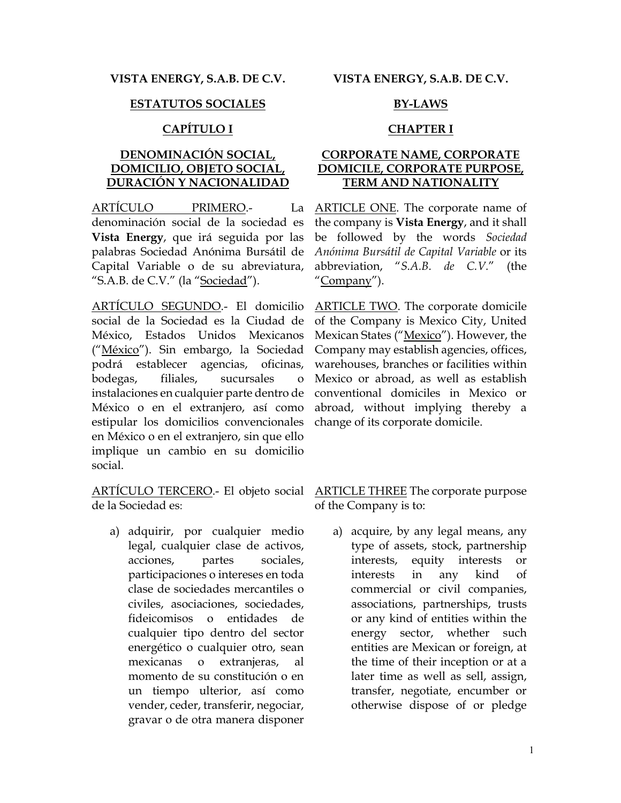### **ESTATUTOS SOCIALES BY-LAWS**

### **CAPÍTULO I CHAPTER I**

## **DENOMINACIÓN SOCIAL, DOMICILIO, OBJETO SOCIAL, DURACIÓN Y NACIONALIDAD**

ARTÍCULO PRIMERO.- La denominación social de la sociedad es **Vista Energy**, que irá seguida por las palabras Sociedad Anónima Bursátil de Capital Variable o de su abreviatura, "S.A.B. de C.V." (la "Sociedad").

ARTÍCULO SEGUNDO.- El domicilio social de la Sociedad es la Ciudad de México, Estados Unidos Mexicanos ("México"). Sin embargo, la Sociedad podrá establecer agencias, oficinas, bodegas, filiales, sucursales o instalaciones en cualquier parte dentro de México o en el extranjero, así como estipular los domicilios convencionales en México o en el extranjero, sin que ello implique un cambio en su domicilio social.

ARTÍCULO TERCERO.- El objeto social de la Sociedad es:

a) adquirir, por cualquier medio legal, cualquier clase de activos, acciones, partes sociales, participaciones o intereses en toda clase de sociedades mercantiles o civiles, asociaciones, sociedades, fideicomisos o entidades de cualquier tipo dentro del sector energético o cualquier otro, sean mexicanas o extranjeras, al momento de su constitución o en un tiempo ulterior, así como vender, ceder, transferir, negociar, gravar o de otra manera disponer

**VISTA ENERGY, S.A.B. DE C.V. VISTA ENERGY, S.A.B. DE C.V.**

### **CORPORATE NAME, CORPORATE DOMICILE, CORPORATE PURPOSE, TERM AND NATIONALITY**

ARTICLE ONE. The corporate name of the company is **Vista Energy**, and it shall be followed by the words *Sociedad Anónima Bursátil de Capital Variable* or its abbreviation, "*S.A.B. de C.V.*" (the "Company").

ARTICLE TWO. The corporate domicile of the Company is Mexico City, United Mexican States ("Mexico"). However, the Company may establish agencies, offices, warehouses, branches or facilities within Mexico or abroad, as well as establish conventional domiciles in Mexico or abroad, without implying thereby a change of its corporate domicile.

ARTICLE THREE The corporate purpose of the Company is to:

a) acquire, by any legal means, any type of assets, stock, partnership interests, equity interests or interests in any kind of commercial or civil companies, associations, partnerships, trusts or any kind of entities within the energy sector, whether such entities are Mexican or foreign, at the time of their inception or at a later time as well as sell, assign, transfer, negotiate, encumber or otherwise dispose of or pledge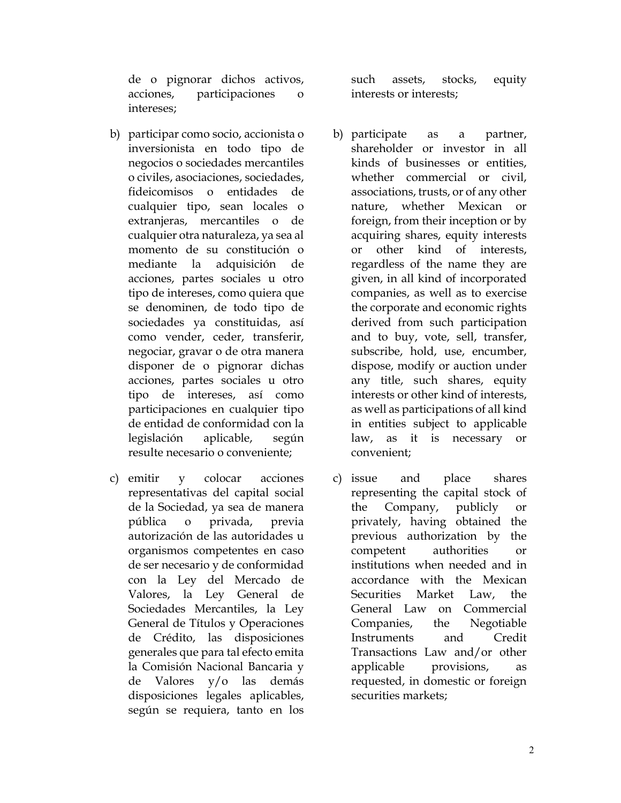de o pignorar dichos activos, acciones, participaciones o intereses;

- b) participar como socio, accionista o inversionista en todo tipo de negocios o sociedades mercantiles o civiles, asociaciones, sociedades, fideicomisos o entidades de cualquier tipo, sean locales o extranjeras, mercantiles o de cualquier otra naturaleza, ya sea al momento de su constitución o mediante la adquisición de acciones, partes sociales u otro tipo de intereses, como quiera que se denominen, de todo tipo de sociedades ya constituidas, así como vender, ceder, transferir, negociar, gravar o de otra manera disponer de o pignorar dichas acciones, partes sociales u otro tipo de intereses, así como participaciones en cualquier tipo de entidad de conformidad con la legislación aplicable, según resulte necesario o conveniente;
- c) emitir y colocar acciones representativas del capital social de la Sociedad, ya sea de manera pública o privada, previa autorización de las autoridades u organismos competentes en caso de ser necesario y de conformidad con la Ley del Mercado de Valores, la Ley General de Sociedades Mercantiles, la Ley General de Títulos y Operaciones de Crédito, las disposiciones generales que para tal efecto emita la Comisión Nacional Bancaria y de Valores y/o las demás disposiciones legales aplicables, según se requiera, tanto en los

such assets, stocks, equity interests or interests;

- b) participate as a partner, shareholder or investor in all kinds of businesses or entities, whether commercial or civil, associations, trusts, or of any other nature, whether Mexican or foreign, from their inception or by acquiring shares, equity interests or other kind of interests, regardless of the name they are given, in all kind of incorporated companies, as well as to exercise the corporate and economic rights derived from such participation and to buy, vote, sell, transfer, subscribe, hold, use, encumber, dispose, modify or auction under any title, such shares, equity interests or other kind of interests, as well as participations of all kind in entities subject to applicable law, as it is necessary or convenient;
- c) issue and place shares representing the capital stock of the Company, publicly or privately, having obtained the previous authorization by the competent authorities or institutions when needed and in accordance with the Mexican Securities Market Law, the General Law on Commercial Companies, the Negotiable Instruments and Credit Transactions Law and/or other applicable provisions, as requested, in domestic or foreign securities markets;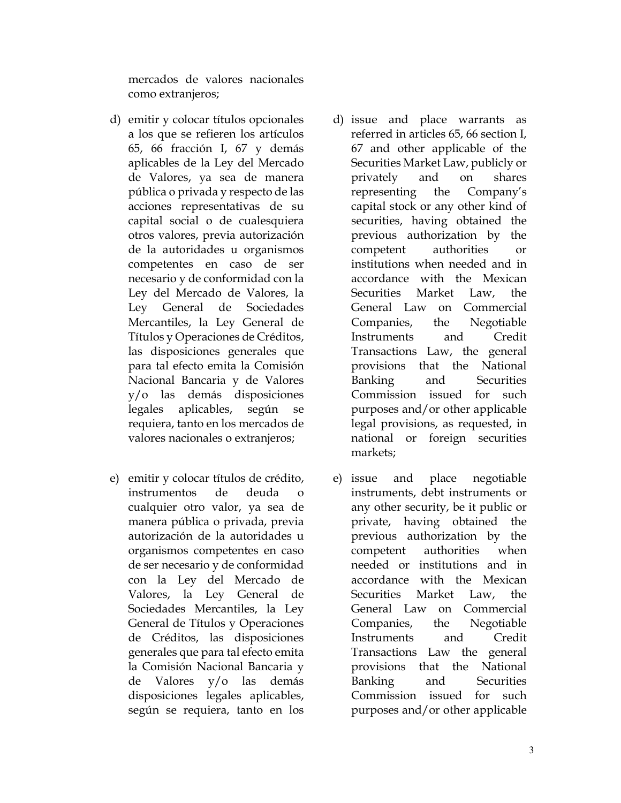mercados de valores nacionales como extranjeros;

- d) emitir y colocar títulos opcionales a los que se refieren los artículos 65, 66 fracción I, 67 y demás aplicables de la Ley del Mercado de Valores, ya sea de manera pública o privada y respecto de las acciones representativas de su capital social o de cualesquiera otros valores, previa autorización de la autoridades u organismos competentes en caso de ser necesario y de conformidad con la Ley del Mercado de Valores, la Ley General de Sociedades Mercantiles, la Ley General de Títulos y Operaciones de Créditos, las disposiciones generales que para tal efecto emita la Comisión Nacional Bancaria y de Valores y/o las demás disposiciones legales aplicables, según se requiera, tanto en los mercados de valores nacionales o extranjeros;
- e) emitir y colocar títulos de crédito, instrumentos de deuda o cualquier otro valor, ya sea de manera pública o privada, previa autorización de la autoridades u organismos competentes en caso de ser necesario y de conformidad con la Ley del Mercado de Valores, la Ley General de Sociedades Mercantiles, la Ley General de Títulos y Operaciones de Créditos, las disposiciones generales que para tal efecto emita la Comisión Nacional Bancaria y de Valores y/o las demás disposiciones legales aplicables, según se requiera, tanto en los
- d) issue and place warrants as referred in articles 65, 66 section I, 67 and other applicable of the Securities Market Law, publicly or privately and on shares representing the Company's capital stock or any other kind of securities, having obtained the previous authorization by the competent authorities or institutions when needed and in accordance with the Mexican Securities Market Law, the General Law on Commercial Companies, the Negotiable Instruments and Credit Transactions Law, the general provisions that the National Banking and Securities Commission issued for such purposes and/or other applicable legal provisions, as requested, in national or foreign securities markets;
- e) issue and place negotiable instruments, debt instruments or any other security, be it public or private, having obtained the previous authorization by the competent authorities when needed or institutions and in accordance with the Mexican Securities Market Law, the General Law on Commercial Companies, the Negotiable Instruments and Credit Transactions Law the general provisions that the National Banking and Securities Commission issued for such purposes and/or other applicable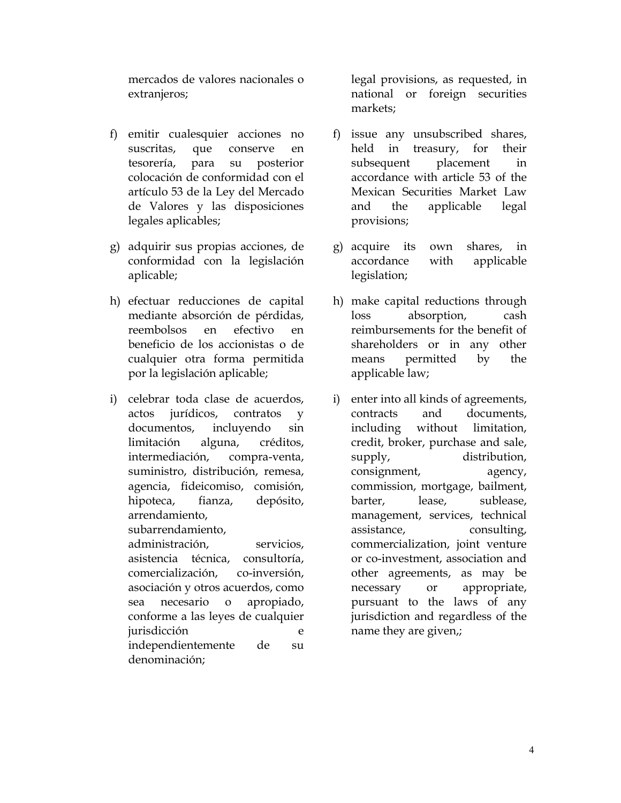mercados de valores nacionales o extranjeros;

- f) emitir cualesquier acciones no suscritas, que conserve en tesorería, para su posterior colocación de conformidad con el artículo 53 de la Ley del Mercado de Valores y las disposiciones legales aplicables;
- g) adquirir sus propias acciones, de conformidad con la legislación aplicable;
- h) efectuar reducciones de capital mediante absorción de pérdidas, reembolsos en efectivo en beneficio de los accionistas o de cualquier otra forma permitida por la legislación aplicable;
- i) celebrar toda clase de acuerdos, actos jurídicos, contratos y documentos, incluyendo sin limitación alguna, créditos, intermediación, compra-venta, suministro, distribución, remesa, agencia, fideicomiso, comisión, hipoteca, fianza, depósito, arrendamiento,

subarrendamiento,

administración, servicios, asistencia técnica, consultoría, comercialización, co-inversión, asociación y otros acuerdos, como sea necesario o apropiado, conforme a las leyes de cualquier jurisdicción e independientemente de su denominación;

legal provisions, as requested, in national or foreign securities markets;

- f) issue any unsubscribed shares, held in treasury, for their subsequent placement in accordance with article 53 of the Mexican Securities Market Law and the applicable legal provisions;
- g) acquire its own shares, in accordance with applicable legislation;
- h) make capital reductions through loss absorption, cash reimbursements for the benefit of shareholders or in any other means permitted by the applicable law;
- i) enter into all kinds of agreements, contracts and documents, including without limitation, credit, broker, purchase and sale, supply, distribution, consignment, agency, commission, mortgage, bailment, barter, lease, sublease, management, services, technical assistance, consulting, commercialization, joint venture or co-investment, association and other agreements, as may be necessary or appropriate, pursuant to the laws of any jurisdiction and regardless of the name they are given,;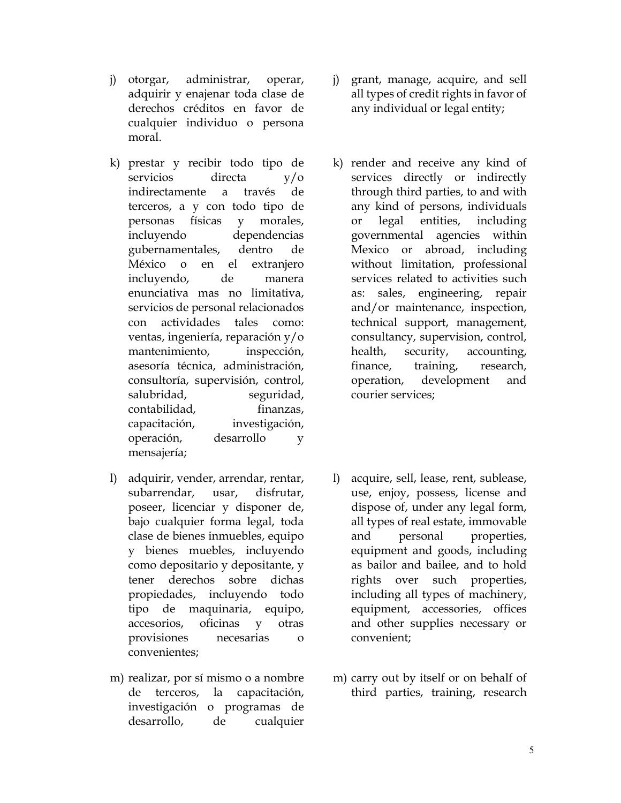- j) otorgar, administrar, operar, adquirir y enajenar toda clase de derechos créditos en favor de cualquier individuo o persona moral.
- k) prestar y recibir todo tipo de servicios directa y/o indirectamente a través de terceros, a y con todo tipo de personas físicas y morales, incluyendo dependencias gubernamentales, dentro de México o en el extranjero incluyendo, de manera enunciativa mas no limitativa, servicios de personal relacionados con actividades tales como: ventas, ingeniería, reparación y/o mantenimiento, inspección, asesoría técnica, administración, consultoría, supervisión, control, salubridad, seguridad, contabilidad, finanzas, capacitación, investigación, operación, desarrollo y mensajería;
- l) adquirir, vender, arrendar, rentar, subarrendar, usar, disfrutar, poseer, licenciar y disponer de, bajo cualquier forma legal, toda clase de bienes inmuebles, equipo y bienes muebles, incluyendo como depositario y depositante, y tener derechos sobre dichas propiedades, incluyendo todo tipo de maquinaria, equipo, accesorios, oficinas y otras provisiones necesarias o convenientes;
- m) realizar, por sí mismo o a nombre de terceros, la capacitación, investigación o programas de desarrollo, de cualquier
- j) grant, manage, acquire, and sell all types of credit rights in favor of any individual or legal entity;
- k) render and receive any kind of services directly or indirectly through third parties, to and with any kind of persons, individuals or legal entities, including governmental agencies within Mexico or abroad, including without limitation, professional services related to activities such as: sales, engineering, repair and/or maintenance, inspection, technical support, management, consultancy, supervision, control, health, security, accounting, finance, training, research, operation, development and courier services;
- l) acquire, sell, lease, rent, sublease, use, enjoy, possess, license and dispose of, under any legal form, all types of real estate, immovable and personal properties, equipment and goods, including as bailor and bailee, and to hold rights over such properties, including all types of machinery, equipment, accessories, offices and other supplies necessary or convenient;
- m) carry out by itself or on behalf of third parties, training, research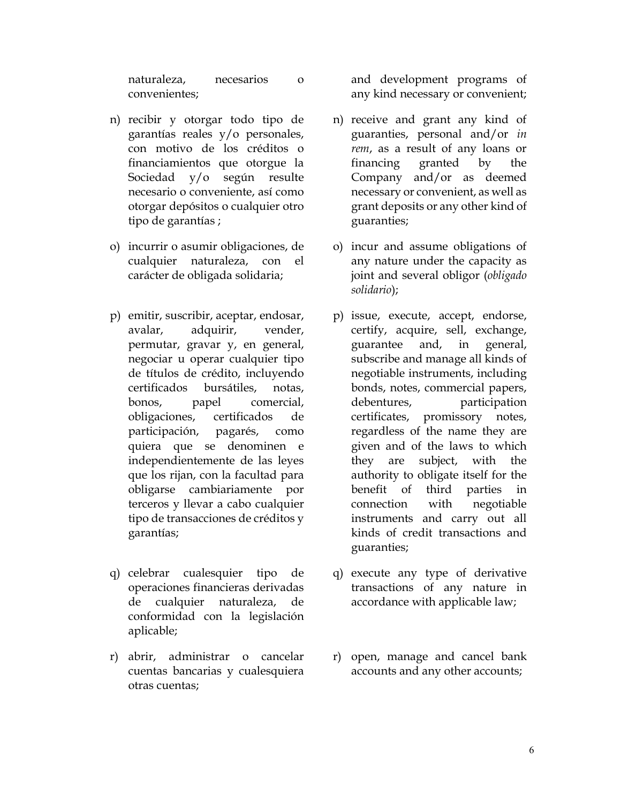naturaleza, necesarios o convenientes;

- n) recibir y otorgar todo tipo de garantías reales y/o personales, con motivo de los créditos o financiamientos que otorgue la Sociedad y/o según resulte necesario o conveniente, así como otorgar depósitos o cualquier otro tipo de garantías ;
- o) incurrir o asumir obligaciones, de cualquier naturaleza, con el carácter de obligada solidaria;
- p) emitir, suscribir, aceptar, endosar, avalar, adquirir, vender, permutar, gravar y, en general, negociar u operar cualquier tipo de títulos de crédito, incluyendo certificados bursátiles, notas, bonos, papel comercial, obligaciones, certificados de participación, pagarés, como quiera que se denominen e independientemente de las leyes que los rijan, con la facultad para obligarse cambiariamente por terceros y llevar a cabo cualquier tipo de transacciones de créditos y garantías;
- q) celebrar cualesquier tipo de operaciones financieras derivadas de cualquier naturaleza, de conformidad con la legislación aplicable;
- r) abrir, administrar o cancelar cuentas bancarias y cualesquiera otras cuentas;

and development programs of any kind necessary or convenient;

- n) receive and grant any kind of guaranties, personal and/or *in rem*, as a result of any loans or financing granted by the Company and/or as deemed necessary or convenient, as well as grant deposits or any other kind of guaranties;
- o) incur and assume obligations of any nature under the capacity as joint and several obligor (*obligado solidario*);
- p) issue, execute, accept, endorse, certify, acquire, sell, exchange, guarantee and, in general, subscribe and manage all kinds of negotiable instruments, including bonds, notes, commercial papers, debentures, participation certificates, promissory notes, regardless of the name they are given and of the laws to which they are subject, with the authority to obligate itself for the benefit of third parties in connection with negotiable instruments and carry out all kinds of credit transactions and guaranties;
- q) execute any type of derivative transactions of any nature in accordance with applicable law;
- r) open, manage and cancel bank accounts and any other accounts;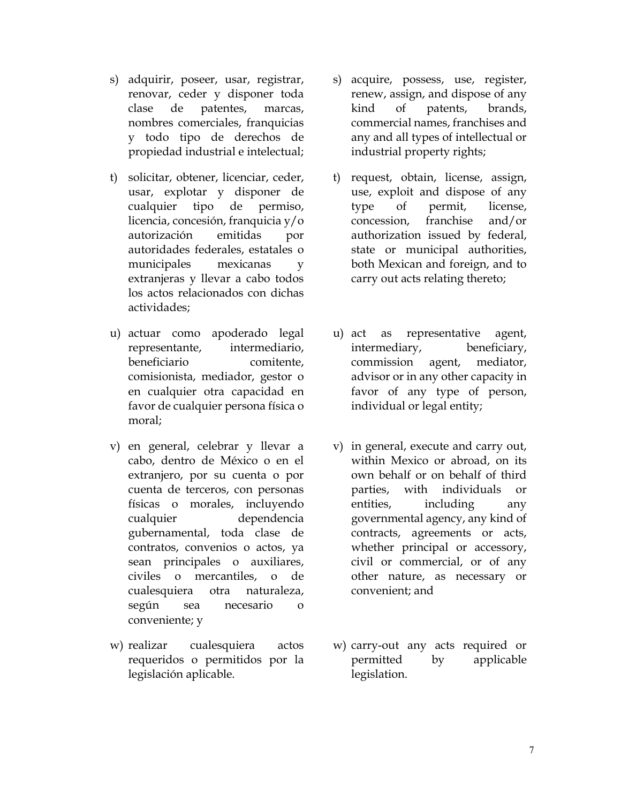- s) adquirir, poseer, usar, registrar, renovar, ceder y disponer toda clase de patentes, marcas, nombres comerciales, franquicias y todo tipo de derechos de propiedad industrial e intelectual;
- t) solicitar, obtener, licenciar, ceder, usar, explotar y disponer de cualquier tipo de permiso, licencia, concesión, franquicia y/o autorización emitidas por autoridades federales, estatales o municipales mexicanas y extranjeras y llevar a cabo todos los actos relacionados con dichas actividades;
- u) actuar como apoderado legal representante, intermediario, beneficiario comitente, comisionista, mediador, gestor o en cualquier otra capacidad en favor de cualquier persona física o moral;
- v) en general, celebrar y llevar a cabo, dentro de México o en el extranjero, por su cuenta o por cuenta de terceros, con personas físicas o morales, incluyendo cualquier dependencia gubernamental, toda clase de contratos, convenios o actos, ya sean principales o auxiliares, civiles o mercantiles, o de cualesquiera otra naturaleza, según sea necesario o conveniente; y
- w) realizar cualesquiera actos requeridos o permitidos por la legislación aplicable.
- s) acquire, possess, use, register, renew, assign, and dispose of any kind of patents, brands, commercial names, franchises and any and all types of intellectual or industrial property rights;
- t) request, obtain, license, assign, use, exploit and dispose of any type of permit, license, concession, franchise and/or authorization issued by federal, state or municipal authorities, both Mexican and foreign, and to carry out acts relating thereto;
- u) act as representative agent, intermediary, beneficiary, commission agent, mediator, advisor or in any other capacity in favor of any type of person, individual or legal entity;
- v) in general, execute and carry out, within Mexico or abroad, on its own behalf or on behalf of third parties, with individuals or entities, including any governmental agency, any kind of contracts, agreements or acts, whether principal or accessory, civil or commercial, or of any other nature, as necessary or convenient; and
- w) carry-out any acts required or permitted by applicable legislation.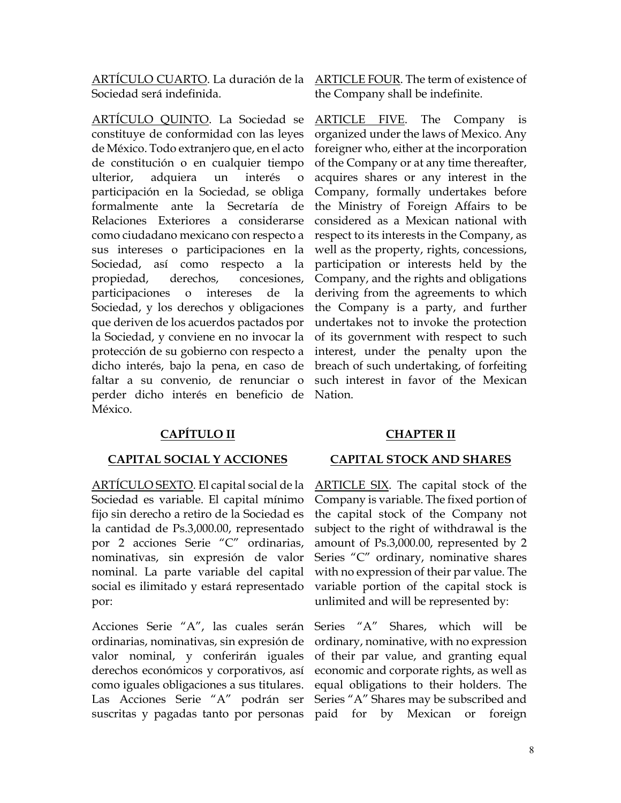ARTÍCULO CUARTO. La duración de la ARTICLE FOUR. The term of existence of Sociedad será indefinida.

ARTÍCULO QUINTO. La Sociedad se constituye de conformidad con las leyes de México. Todo extranjero que, en el acto de constitución o en cualquier tiempo ulterior, adquiera un interés o participación en la Sociedad, se obliga formalmente ante la Secretaría de Relaciones Exteriores a considerarse como ciudadano mexicano con respecto a sus intereses o participaciones en la Sociedad, así como respecto a la propiedad, derechos, concesiones, participaciones o intereses de la Sociedad, y los derechos y obligaciones que deriven de los acuerdos pactados por la Sociedad, y conviene en no invocar la protección de su gobierno con respecto a dicho interés, bajo la pena, en caso de faltar a su convenio, de renunciar o perder dicho interés en beneficio de México.

# **CAPÍTULO II CHAPTER II**

ARTÍCULO SEXTO. El capital social de la Sociedad es variable. El capital mínimo fijo sin derecho a retiro de la Sociedad es la cantidad de Ps.3,000.00, representado por 2 acciones Serie "C" ordinarias, nominativas, sin expresión de valor nominal. La parte variable del capital social es ilimitado y estará representado por:

Acciones Serie "A", las cuales serán ordinarias, nominativas, sin expresión de valor nominal, y conferirán iguales derechos económicos y corporativos, así como iguales obligaciones a sus titulares. Las Acciones Serie "A" podrán ser suscritas y pagadas tanto por personas

the Company shall be indefinite.

ARTICLE FIVE. The Company is organized under the laws of Mexico. Any foreigner who, either at the incorporation of the Company or at any time thereafter, acquires shares or any interest in the Company, formally undertakes before the Ministry of Foreign Affairs to be considered as a Mexican national with respect to its interests in the Company, as well as the property, rights, concessions, participation or interests held by the Company, and the rights and obligations deriving from the agreements to which the Company is a party, and further undertakes not to invoke the protection of its government with respect to such interest, under the penalty upon the breach of such undertaking, of forfeiting such interest in favor of the Mexican Nation.

### **CAPITAL SOCIAL Y ACCIONES CAPITAL STOCK AND SHARES**

ARTICLE SIX. The capital stock of the Company is variable. The fixed portion of the capital stock of the Company not subject to the right of withdrawal is the amount of Ps.3,000.00, represented by 2 Series "C" ordinary, nominative shares with no expression of their par value. The variable portion of the capital stock is unlimited and will be represented by:

Series "A" Shares, which will be ordinary, nominative, with no expression of their par value, and granting equal economic and corporate rights, as well as equal obligations to their holders. The Series "A" Shares may be subscribed and paid for by Mexican or foreign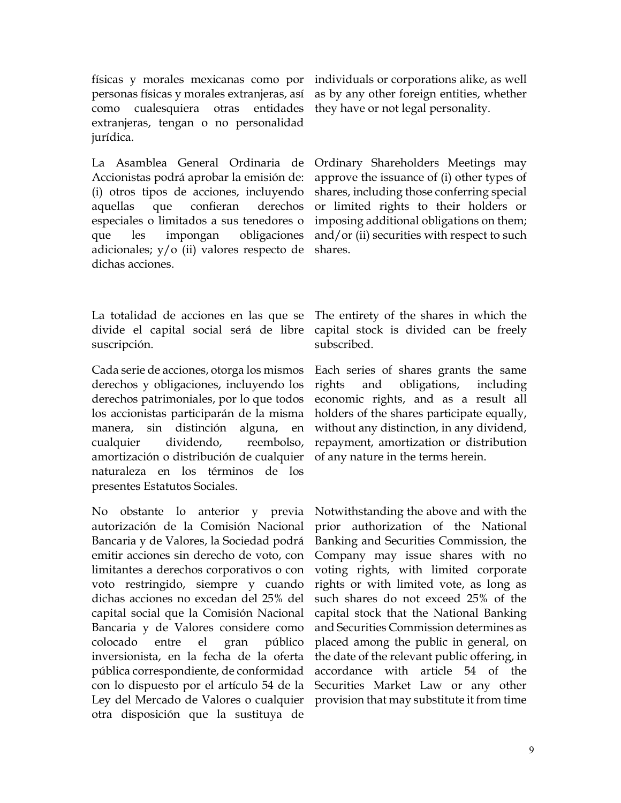físicas y morales mexicanas como por personas físicas y morales extranjeras, así como cualesquiera otras entidades extranjeras, tengan o no personalidad jurídica.

La Asamblea General Ordinaria de Accionistas podrá aprobar la emisión de: (i) otros tipos de acciones, incluyendo aquellas que confieran derechos especiales o limitados a sus tenedores o que les impongan obligaciones adicionales; y/o (ii) valores respecto de dichas acciones.

La totalidad de acciones en las que se divide el capital social será de libre suscripción.

Cada serie de acciones, otorga los mismos derechos y obligaciones, incluyendo los derechos patrimoniales, por lo que todos los accionistas participarán de la misma manera, sin distinción alguna, en cualquier dividendo, reembolso, amortización o distribución de cualquier naturaleza en los términos de los presentes Estatutos Sociales.

No obstante lo anterior y previa autorización de la Comisión Nacional Bancaria y de Valores, la Sociedad podrá emitir acciones sin derecho de voto, con limitantes a derechos corporativos o con voto restringido, siempre y cuando dichas acciones no excedan del 25% del capital social que la Comisión Nacional Bancaria y de Valores considere como colocado entre el gran público inversionista, en la fecha de la oferta pública correspondiente, de conformidad con lo dispuesto por el artículo 54 de la Ley del Mercado de Valores o cualquier otra disposición que la sustituya de

individuals or corporations alike, as well as by any other foreign entities, whether they have or not legal personality.

Ordinary Shareholders Meetings may approve the issuance of (i) other types of shares, including those conferring special or limited rights to their holders or imposing additional obligations on them; and/or (ii) securities with respect to such shares.

The entirety of the shares in which the capital stock is divided can be freely subscribed.

Each series of shares grants the same rights and obligations, including economic rights, and as a result all holders of the shares participate equally, without any distinction, in any dividend, repayment, amortization or distribution of any nature in the terms herein.

Notwithstanding the above and with the prior authorization of the National Banking and Securities Commission, the Company may issue shares with no voting rights, with limited corporate rights or with limited vote, as long as such shares do not exceed 25% of the capital stock that the National Banking and Securities Commission determines as placed among the public in general, on the date of the relevant public offering, in accordance with article 54 of the Securities Market Law or any other provision that may substitute it from time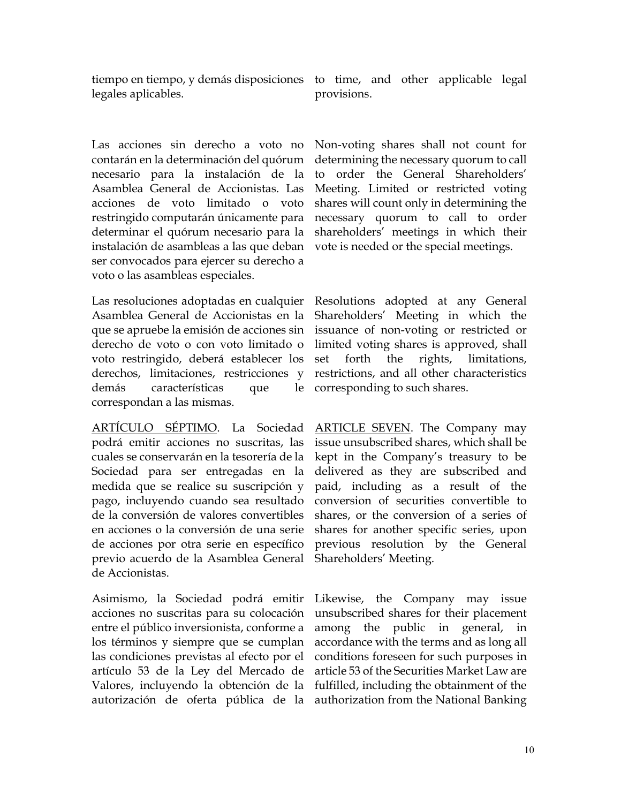tiempo en tiempo, y demás disposiciones to time, and other applicable legal legales aplicables.

Las acciones sin derecho a voto no contarán en la determinación del quórum necesario para la instalación de la Asamblea General de Accionistas. Las acciones de voto limitado o voto restringido computarán únicamente para determinar el quórum necesario para la instalación de asambleas a las que deban ser convocados para ejercer su derecho a voto o las asambleas especiales.

Las resoluciones adoptadas en cualquier Resolutions adopted at any General Asamblea General de Accionistas en la que se apruebe la emisión de acciones sin derecho de voto o con voto limitado o voto restringido, deberá establecer los derechos, limitaciones, restricciones y demás características que le correspondan a las mismas.

ARTÍCULO SÉPTIMO. La Sociedad podrá emitir acciones no suscritas, las cuales se conservarán en la tesorería de la Sociedad para ser entregadas en la medida que se realice su suscripción y pago, incluyendo cuando sea resultado de la conversión de valores convertibles en acciones o la conversión de una serie de acciones por otra serie en específico previo acuerdo de la Asamblea General de Accionistas.

Asimismo, la Sociedad podrá emitir acciones no suscritas para su colocación entre el público inversionista, conforme a los términos y siempre que se cumplan las condiciones previstas al efecto por el artículo 53 de la Ley del Mercado de Valores, incluyendo la obtención de la autorización de oferta pública de la authorization from the National-Banking

provisions.

Non-voting shares shall not count for determining the necessary quorum to call to order the General Shareholders' Meeting. Limited or restricted voting shares will count only in determining the necessary quorum to call to order shareholders' meetings in which their vote is needed or the special meetings.

Shareholders' Meeting in which the issuance of non-voting or restricted or limited voting shares is approved, shall set forth the rights, limitations, restrictions, and all other characteristics corresponding to such shares.

ARTICLE SEVEN. The Company may issue unsubscribed shares, which shall be kept in the Company's treasury to be delivered as they are subscribed and paid, including as a result of the conversion of securities convertible to shares, or the conversion of a series of shares for another specific series, upon previous resolution by the General Shareholders' Meeting.

Likewise, the Company may issue unsubscribed shares for their placement among the public in general, in accordance with the terms and as long all conditions foreseen for such purposes in article 53 of the Securities Market Law are fulfilled, including the obtainment of the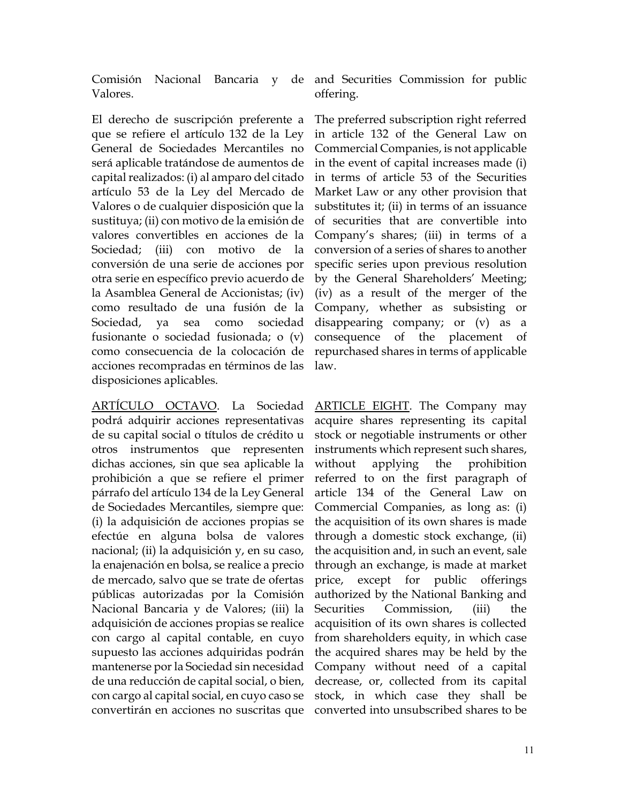Valores.

El derecho de suscripción preferente a que se refiere el artículo 132 de la Ley General de Sociedades Mercantiles no será aplicable tratándose de aumentos de capital realizados: (i) al amparo del citado artículo 53 de la Ley del Mercado de Valores o de cualquier disposición que la sustituya; (ii) con motivo de la emisión de valores convertibles en acciones de la Sociedad; (iii) con motivo de la conversión de una serie de acciones por otra serie en específico previo acuerdo de la Asamblea General de Accionistas; (iv) como resultado de una fusión de la Sociedad, ya sea como sociedad fusionante o sociedad fusionada; o (v) como consecuencia de la colocación de acciones recompradas en términos de las disposiciones aplicables.

ARTÍCULO OCTAVO. La Sociedad podrá adquirir acciones representativas de su capital social o títulos de crédito u otros instrumentos que representen dichas acciones, sin que sea aplicable la prohibición a que se refiere el primer párrafo del artículo 134 de la Ley General de Sociedades Mercantiles, siempre que: (i) la adquisición de acciones propias se efectúe en alguna bolsa de valores nacional; (ii) la adquisición y, en su caso, la enajenación en bolsa, se realice a precio de mercado, salvo que se trate de ofertas públicas autorizadas por la Comisión Nacional Bancaria y de Valores; (iii) la adquisición de acciones propias se realice con cargo al capital contable, en cuyo supuesto las acciones adquiridas podrán mantenerse por la Sociedad sin necesidad de una reducción de capital social, o bien, con cargo al capital social, en cuyo caso se convertirán en acciones no suscritas que

Comisión Nacional Bancaria y de and Securities Commission for public offering.

> The preferred subscription right referred in article 132 of the General Law on Commercial Companies, is not applicable in the event of capital increases made (i) in terms of article 53 of the Securities Market Law or any other provision that substitutes it; (ii) in terms of an issuance of securities that are convertible into Company's shares; (iii) in terms of a conversion of a series of shares to another specific series upon previous resolution by the General Shareholders' Meeting; (iv) as a result of the merger of the Company, whether as subsisting or disappearing company; or (v) as a consequence of the placement of repurchased shares in terms of applicable law.

> ARTICLE EIGHT. The Company may acquire shares representing its capital stock or negotiable instruments or other instruments which represent such shares, without applying the prohibition referred to on the first paragraph of article 134 of the General Law on Commercial Companies, as long as: (i) the acquisition of its own shares is made through a domestic stock exchange, (ii) the acquisition and, in such an event, sale through an exchange, is made at market price, except for public offerings authorized by the National Banking and Securities Commission, (iii) the acquisition of its own shares is collected from shareholders equity, in which case the acquired shares may be held by the Company without need of a capital decrease, or, collected from its capital stock, in which case they shall be converted into unsubscribed shares to be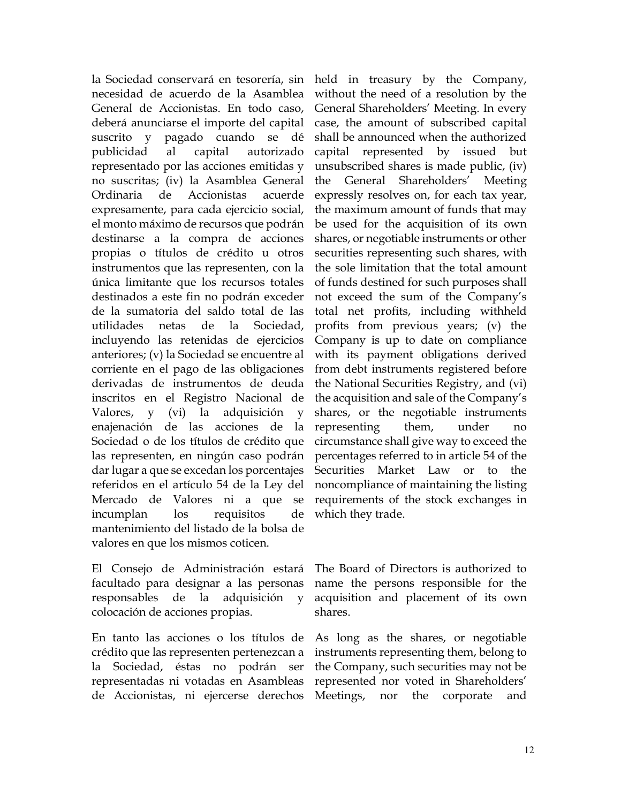la Sociedad conservará en tesorería, sin held in treasury by the Company, necesidad de acuerdo de la Asamblea General de Accionistas. En todo caso, deberá anunciarse el importe del capital suscrito y pagado cuando se dé publicidad al capital autorizado representado por las acciones emitidas y no suscritas; (iv) la Asamblea General Ordinaria de Accionistas acuerde expresamente, para cada ejercicio social, el monto máximo de recursos que podrán destinarse a la compra de acciones propias o títulos de crédito u otros instrumentos que las representen, con la única limitante que los recursos totales destinados a este fin no podrán exceder de la sumatoria del saldo total de las utilidades netas de la Sociedad, incluyendo las retenidas de ejercicios anteriores; (v) la Sociedad se encuentre al corriente en el pago de las obligaciones derivadas de instrumentos de deuda inscritos en el Registro Nacional de Valores, y (vi) la adquisición y enajenación de las acciones de la Sociedad o de los títulos de crédito que las representen, en ningún caso podrán dar lugar a que se excedan los porcentajes referidos en el artículo 54 de la Ley del Mercado de Valores ni a que se incumplan los requisitos de mantenimiento del listado de la bolsa de valores en que los mismos coticen.

El Consejo de Administración estará facultado para designar a las personas responsables de la adquisición y colocación de acciones propias.

En tanto las acciones o los títulos de crédito que las representen pertenezcan a la Sociedad, éstas no podrán ser representadas ni votadas en Asambleas de Accionistas, ni ejercerse derechos

without the need of a resolution by the General Shareholders' Meeting. In every case, the amount of subscribed capital shall be announced when the authorized capital represented by issued but unsubscribed shares is made public, (iv) the General Shareholders' Meeting expressly resolves on, for each tax year, the maximum amount of funds that may be used for the acquisition of its own shares, or negotiable instruments or other securities representing such shares, with the sole limitation that the total amount of funds destined for such purposes shall not exceed the sum of the Company's total net profits, including withheld profits from previous years; (v) the Company is up to date on compliance with its payment obligations derived from debt instruments registered before the National Securities Registry, and (vi) the acquisition and sale of the Company's shares, or the negotiable instruments representing them, under no circumstance shall give way to exceed the percentages referred to in article 54 of the Securities Market Law or to the noncompliance of maintaining the listing requirements of the stock exchanges in which they trade.

The Board of Directors is authorized to name the persons responsible for the acquisition and placement of its own shares.

As long as the shares, or negotiable instruments representing them, belong to the Company, such securities may not be represented nor voted in Shareholders' Meetings, nor the corporate and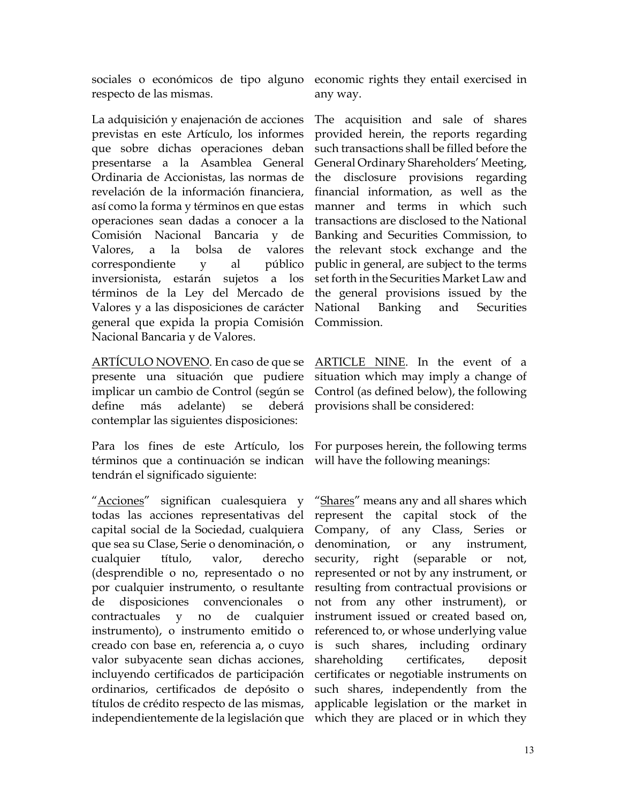sociales o económicos de tipo alguno economic rights they entail exercised in respecto de las mismas.

La adquisición y enajenación de acciones previstas en este Artículo, los informes que sobre dichas operaciones deban presentarse a la Asamblea General Ordinaria de Accionistas, las normas de revelación de la información financiera, así como la forma y términos en que estas operaciones sean dadas a conocer a la Comisión Nacional Bancaria y de Valores, a la bolsa de valores correspondiente y al público inversionista, estarán sujetos a los términos de la Ley del Mercado de Valores y a las disposiciones de carácter general que expida la propia Comisión Nacional Bancaria y de Valores.

ARTÍCULO NOVENO. En caso de que se ARTICLE NINE. In the event of a presente una situación que pudiere implicar un cambio de Control (según se define más adelante) se deberá contemplar las siguientes disposiciones:

Para los fines de este Artículo, los For purposes herein, the following terms términos que a continuación se indican will have the following meanings: tendrán el significado siguiente:

"Acciones" significan cualesquiera y todas las acciones representativas del represent the capital stock of the capital social de la Sociedad, cualquiera que sea su Clase, Serie o denominación, o cualquier título, valor, derecho (desprendible o no, representado o no por cualquier instrumento, o resultante de disposiciones convencionales o contractuales y no de cualquier instrumento), o instrumento emitido o creado con base en, referencia a, o cuyo valor subyacente sean dichas acciones, incluyendo certificados de participación ordinarios, certificados de depósito o títulos de crédito respecto de las mismas, independientemente de la legislación que which they are placed or in which they

any way.

The acquisition and sale of shares provided herein, the reports regarding such transactions shall be filled before the General Ordinary Shareholders' Meeting, the disclosure provisions regarding financial information, as well as the manner and terms in which such transactions are disclosed to the National Banking and Securities Commission, to the relevant stock exchange and the public in general, are subject to the terms set forth in the Securities Market Law and the general provisions issued by the National Banking and Securities Commission.

situation which may imply a change of Control (as defined below), the following provisions shall be considered:

"Shares" means any and all shares which Company, of any Class, Series or denomination, or any instrument, security, right (separable or not, represented or not by any instrument, or resulting from contractual provisions or not from any other instrument), or instrument issued or created based on, referenced to, or whose underlying value is such shares, including ordinary shareholding certificates, deposit certificates or negotiable instruments on such shares, independently from the applicable legislation or the market in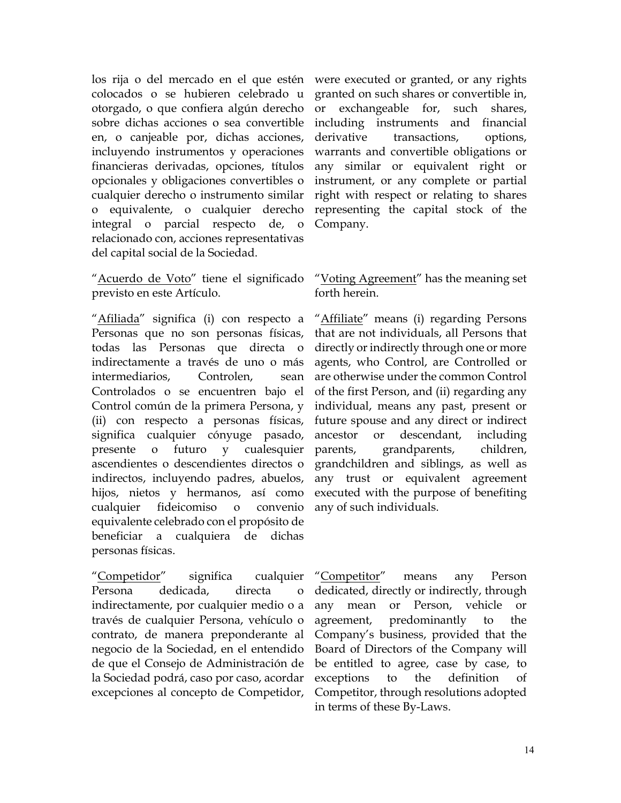los rija o del mercado en el que estén were executed or granted, or any rights colocados o se hubieren celebrado u otorgado, o que confiera algún derecho sobre dichas acciones o sea convertible en, o canjeable por, dichas acciones, incluyendo instrumentos y operaciones financieras derivadas, opciones, títulos opcionales y obligaciones convertibles o cualquier derecho o instrumento similar o equivalente, o cualquier derecho integral o parcial respecto de, o relacionado con, acciones representativas del capital social de la Sociedad.

"Acuerdo de Voto" tiene el significado previsto en este Artículo.

"Afiliada" significa (i) con respecto a Personas que no son personas físicas, todas las Personas que directa o indirectamente a través de uno o más intermediarios, Controlen, sean Controlados o se encuentren bajo el Control común de la primera Persona, y (ii) con respecto a personas físicas, significa cualquier cónyuge pasado, presente o futuro y cualesquier ascendientes o descendientes directos o indirectos, incluyendo padres, abuelos, hijos, nietos y hermanos, así como cualquier fideicomiso o convenio equivalente celebrado con el propósito de beneficiar a cualquiera de dichas personas físicas.

"Competidor" significa cualquier Persona dedicada, directa o indirectamente, por cualquier medio o a través de cualquier Persona, vehículo o contrato, de manera preponderante al negocio de la Sociedad, en el entendido de que el Consejo de Administración de la Sociedad podrá, caso por caso, acordar excepciones al concepto de Competidor,

granted on such shares or convertible in, or exchangeable for, such shares, including instruments and financial derivative transactions, options, warrants and convertible obligations or any similar or equivalent right or instrument, or any complete or partial right with respect or relating to shares representing the capital stock of the Company.

## "Voting Agreement" has the meaning set forth herein.

"Affiliate" means (i) regarding Persons that are not individuals, all Persons that directly or indirectly through one or more agents, who Control, are Controlled or are otherwise under the common Control of the first Person, and (ii) regarding any individual, means any past, present or future spouse and any direct or indirect ancestor or descendant, including parents, grandparents, children, grandchildren and siblings, as well as any trust or equivalent agreement executed with the purpose of benefiting any of such individuals.

"Competitor" means any Person dedicated, directly or indirectly, through any mean or Person, vehicle or agreement, predominantly to the Company's business, provided that the Board of Directors of the Company will be entitled to agree, case by case, to exceptions to the definition of Competitor, through resolutions adopted in terms of these By-Laws.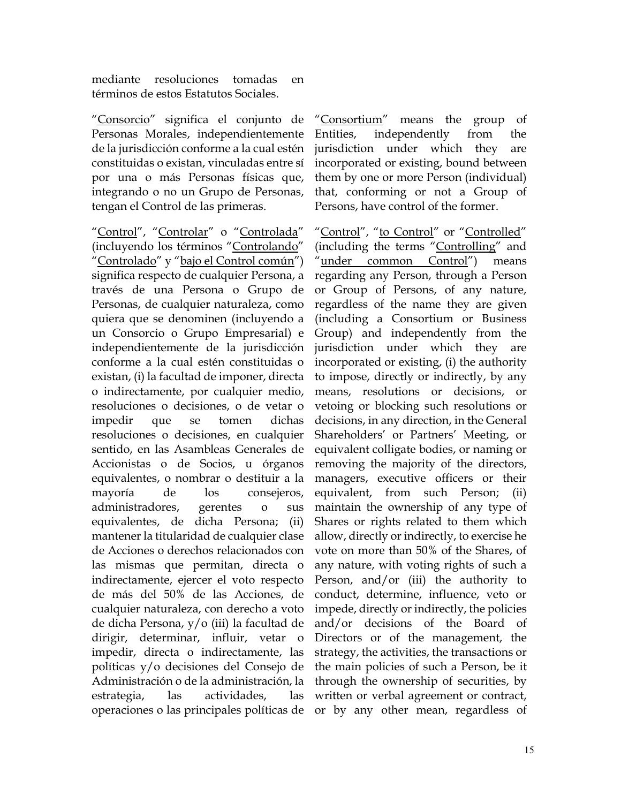mediante resoluciones tomadas en términos de estos Estatutos Sociales.

"Consorcio" significa el conjunto de Personas Morales, independientemente de la jurisdicción conforme a la cual estén constituidas o existan, vinculadas entre sí por una o más Personas físicas que, integrando o no un Grupo de Personas, tengan el Control de las primeras.

"Control", "Controlar" o "Controlada" (incluyendo los términos "Controlando" "Controlado" y "bajo el Control común") significa respecto de cualquier Persona, a través de una Persona o Grupo de Personas, de cualquier naturaleza, como quiera que se denominen (incluyendo a un Consorcio o Grupo Empresarial) e independientemente de la jurisdicción conforme a la cual estén constituidas o existan, (i) la facultad de imponer, directa o indirectamente, por cualquier medio, resoluciones o decisiones, o de vetar o impedir que se tomen dichas resoluciones o decisiones, en cualquier sentido, en las Asambleas Generales de Accionistas o de Socios, u órganos equivalentes, o nombrar o destituir a la mayoría de los consejeros, administradores, gerentes o sus equivalentes, de dicha Persona; (ii) mantener la titularidad de cualquier clase de Acciones o derechos relacionados con las mismas que permitan, directa o indirectamente, ejercer el voto respecto de más del 50% de las Acciones, de cualquier naturaleza, con derecho a voto de dicha Persona, y/o (iii) la facultad de dirigir, determinar, influir, vetar o impedir, directa o indirectamente, las políticas y/o decisiones del Consejo de Administración o de la administración, la estrategia, las actividades, las operaciones o las principales políticas de or by any other mean, regardless of

"Consortium" means the group of Entities, independently from the jurisdiction under which they are incorporated or existing, bound between them by one or more Person (individual) that, conforming or not a Group of Persons, have control of the former.

"Control", "to Control" or "Controlled" (including the terms "Controlling" and "under common Control") means regarding any Person, through a Person or Group of Persons, of any nature, regardless of the name they are given (including a Consortium or Business Group) and independently from the jurisdiction under which they are incorporated or existing, (i) the authority to impose, directly or indirectly, by any means, resolutions or decisions, or vetoing or blocking such resolutions or decisions, in any direction, in the General Shareholders' or Partners' Meeting, or equivalent colligate bodies, or naming or removing the majority of the directors, managers, executive officers or their equivalent, from such Person; (ii) maintain the ownership of any type of Shares or rights related to them which allow, directly or indirectly, to exercise he vote on more than 50% of the Shares, of any nature, with voting rights of such a Person, and/or (iii) the authority to conduct, determine, influence, veto or impede, directly or indirectly, the policies and/or decisions of the Board of Directors or of the management, the strategy, the activities, the transactions or the main policies of such a Person, be it through the ownership of securities, by written or verbal agreement or contract,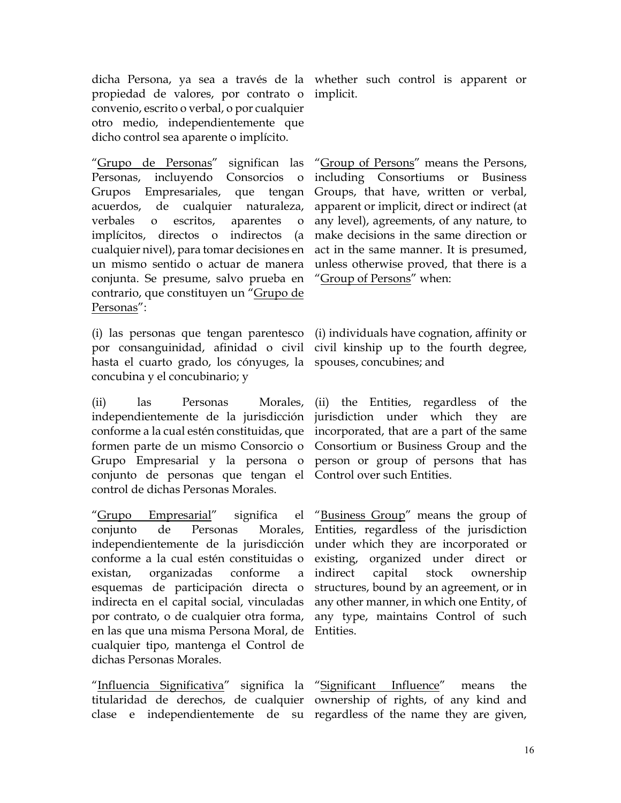dicha Persona, ya sea a través de la whether such control is apparent or propiedad de valores, por contrato o convenio, escrito o verbal, o por cualquier otro medio, independientemente que dicho control sea aparente o implícito.

"Grupo de Personas" significan las Personas, incluyendo Consorcios o Grupos Empresariales, que tengan acuerdos, de cualquier naturaleza, verbales o escritos, aparentes o implícitos, directos o indirectos (a cualquier nivel), para tomar decisiones en un mismo sentido o actuar de manera conjunta. Se presume, salvo prueba en "Group of Persons" when: contrario, que constituyen un "Grupo de Personas":

(i) las personas que tengan parentesco por consanguinidad, afinidad o civil hasta el cuarto grado, los cónyuges, la spouses, concubines; and concubina y el concubinario; y

(ii) las Personas Morales, independientemente de la jurisdicción conforme a la cual estén constituidas, que incorporated, that are a part of the same formen parte de un mismo Consorcio o Grupo Empresarial y la persona o person or group of persons that has conjunto de personas que tengan el Control over such Entities. control de dichas Personas Morales.

"Grupo Empresarial" significa el conjunto de Personas Morales, independientemente de la jurisdicción conforme a la cual estén constituidas o existan, organizadas conforme a esquemas de participación directa o indirecta en el capital social, vinculadas por contrato, o de cualquier otra forma, en las que una misma Persona Moral, de cualquier tipo, mantenga el Control de dichas Personas Morales.

"Influencia Significativa" significa la "Significant Influence" means the titularidad de derechos, de cualquier ownership of rights, of any kind and

implicit.

"Group of Persons" means the Persons, including Consortiums or Business Groups, that have, written or verbal, apparent or implicit, direct or indirect (at any level), agreements, of any nature, to make decisions in the same direction or act in the same manner. It is presumed, unless otherwise proved, that there is a

(i) individuals have cognation, affinity or civil kinship up to the fourth degree,

(ii) the Entities, regardless of the jurisdiction under which they are Consortium or Business Group and the

"Business Group" means the group of Entities, regardless of the jurisdiction under which they are incorporated or existing, organized under direct or indirect capital stock ownership structures, bound by an agreement, or in any other manner, in which one Entity, of any type, maintains Control of such Entities.

clase e independientemente de su regardless of the name they are given,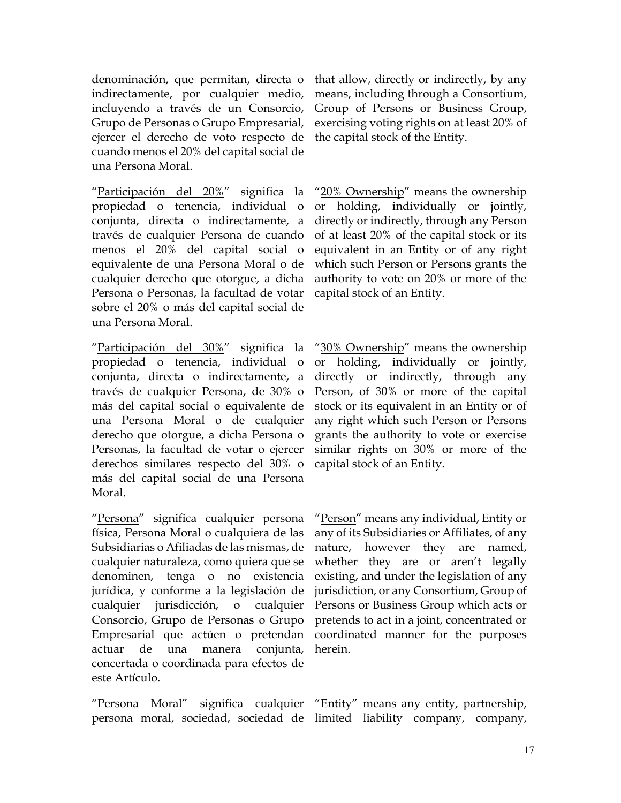denominación, que permitan, directa o indirectamente, por cualquier medio, incluyendo a través de un Consorcio, Grupo de Personas o Grupo Empresarial, ejercer el derecho de voto respecto de cuando menos el 20% del capital social de una Persona Moral.

"Participación del 20%" significa la propiedad o tenencia, individual o conjunta, directa o indirectamente, a través de cualquier Persona de cuando menos el 20% del capital social o equivalente de una Persona Moral o de cualquier derecho que otorgue, a dicha Persona o Personas, la facultad de votar sobre el 20% o más del capital social de una Persona Moral.

"Participación del 30%" significa la propiedad o tenencia, individual o conjunta, directa o indirectamente, a través de cualquier Persona, de 30% o más del capital social o equivalente de una Persona Moral o de cualquier derecho que otorgue, a dicha Persona o Personas, la facultad de votar o ejercer derechos similares respecto del 30% o más del capital social de una Persona Moral.

"Persona" significa cualquier persona física, Persona Moral o cualquiera de las Subsidiarias o Afiliadas de las mismas, de cualquier naturaleza, como quiera que se denominen, tenga o no existencia jurídica, y conforme a la legislación de cualquier jurisdicción, o cualquier Consorcio, Grupo de Personas o Grupo Empresarial que actúen o pretendan actuar de una manera conjunta, concertada o coordinada para efectos de este Artículo.

"Persona Moral" significa cualquier "Entity" means any entity, partnership,

that allow, directly or indirectly, by any means, including through a Consortium, Group of Persons or Business Group, exercising voting rights on at least 20% of the capital stock of the Entity.

"20% Ownership" means the ownership or holding, individually or jointly, directly or indirectly, through any Person of at least 20% of the capital stock or its equivalent in an Entity or of any right which such Person or Persons grants the authority to vote on 20% or more of the capital stock of an Entity.

"30% Ownership" means the ownership or holding, individually or jointly, directly or indirectly, through any Person, of 30% or more of the capital stock or its equivalent in an Entity or of any right which such Person or Persons grants the authority to vote or exercise similar rights on 30% or more of the capital stock of an Entity.

"Person" means any individual, Entity or any of its Subsidiaries or Affiliates, of any nature, however they are named, whether they are or aren't legally existing, and under the legislation of any jurisdiction, or any Consortium, Group of Persons or Business Group which acts or pretends to act in a joint, concentrated or coordinated manner for the purposes herein.

persona moral, sociedad, sociedad de limited liability company, company,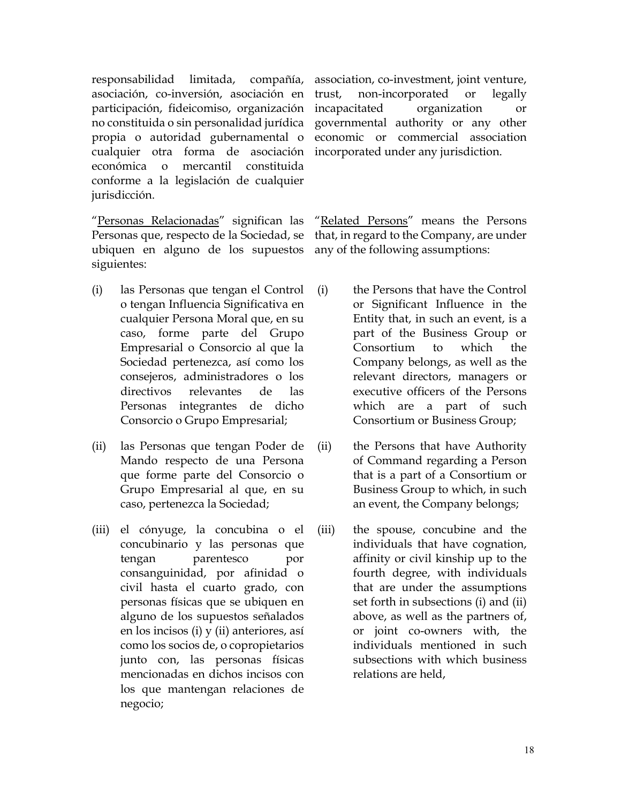responsabilidad limitada, compañía, asociación, co-inversión, asociación en participación, fideicomiso, organización no constituida o sin personalidad jurídica propia o autoridad gubernamental o cualquier otra forma de asociación económica o mercantil constituida conforme a la legislación de cualquier jurisdicción.

"Personas Relacionadas" significan las Personas que, respecto de la Sociedad, se ubiquen en alguno de los supuestos siguientes:

- (i) las Personas que tengan el Control o tengan Influencia Significativa en cualquier Persona Moral que, en su caso, forme parte del Grupo Empresarial o Consorcio al que la Sociedad pertenezca, así como los consejeros, administradores o los directivos relevantes de las Personas integrantes de dicho Consorcio o Grupo Empresarial;
- (ii) las Personas que tengan Poder de Mando respecto de una Persona que forme parte del Consorcio o Grupo Empresarial al que, en su caso, pertenezca la Sociedad;
- (iii) el cónyuge, la concubina o el concubinario y las personas que tengan parentesco por consanguinidad, por afinidad o civil hasta el cuarto grado, con personas físicas que se ubiquen en alguno de los supuestos señalados en los incisos (i) y (ii) anteriores, así como los socios de, o copropietarios junto con, las personas físicas mencionadas en dichos incisos con los que mantengan relaciones de negocio;

association, co-investment, joint venture, trust, non-incorporated or legally incapacitated organization or governmental authority or any other economic or commercial association incorporated under any jurisdiction.

"Related Persons" means the Persons that, in regard to the Company, are under any of the following assumptions:

- (i) the Persons that have the Control or Significant Influence in the Entity that, in such an event, is a part of the Business Group or Consortium to which the Company belongs, as well as the relevant directors, managers or executive officers of the Persons which are a part of such Consortium or Business Group;
- (ii) the Persons that have Authority of Command regarding a Person that is a part of a Consortium or Business Group to which, in such an event, the Company belongs;
- (iii) the spouse, concubine and the individuals that have cognation, affinity or civil kinship up to the fourth degree, with individuals that are under the assumptions set forth in subsections (i) and (ii) above, as well as the partners of, or joint co-owners with, the individuals mentioned in such subsections with which business relations are held,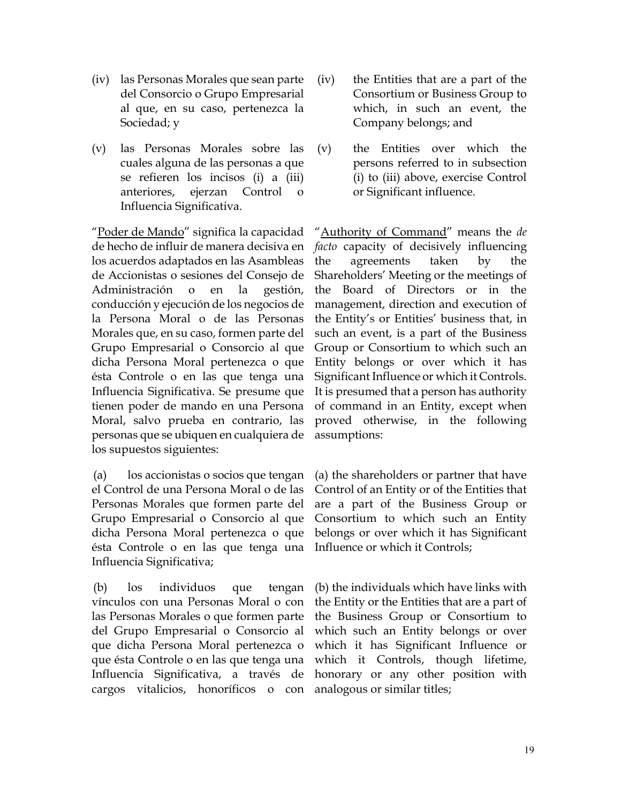- (iv) las Personas Morales que sean parte del Consorcio o Grupo Empresarial al que, en su caso, pertenezca la Sociedad; y
- (v) las Personas Morales sobre las cuales alguna de las personas a que se refieren los incisos (i) a (iii) anteriores, ejerzan Control o Influencia Significativa.

"Poder de Mando" significa la capacidad de hecho de influir de manera decisiva en los acuerdos adaptados en las Asambleas de Accionistas o sesiones del Consejo de Administración o en la gestión, conducción y ejecución de los negocios de la Persona Moral o de las Personas Morales que, en su caso, formen parte del Grupo Empresarial o Consorcio al que dicha Persona Moral pertenezca o que ésta Controle o en las que tenga una Influencia Significativa. Se presume que tienen poder de mando en una Persona Moral, salvo prueba en contrario, las personas que se ubiquen en cualquiera de los supuestos siguientes:

(a) los accionistas o socios que tengan el Control de una Persona Moral o de las Personas Morales que formen parte del Grupo Empresarial o Consorcio al que dicha Persona Moral pertenezca o que ésta Controle o en las que tenga una Influencia Significativa;

(b) los individuos que tengan vínculos con una Personas Moral o con las Personas Morales o que formen parte del Grupo Empresarial o Consorcio al que dicha Persona Moral pertenezca o que ésta Controle o en las que tenga una Influencia Significativa, a través de cargos vitalicios, honoríficos o con

- (iv) the Entities that are a part of the Consortium or Business Group to which, in such an event, the Company belongs; and
- (v) the Entities over which the persons referred to in subsection (i) to (iii) above, exercise Control or Significant influence.

"Authority of Command" means the *de facto* capacity of decisively influencing the agreements taken by the Shareholders' Meeting or the meetings of the Board of Directors or in the management, direction and execution of the Entity's or Entities' business that, in such an event, is a part of the Business Group or Consortium to which such an Entity belongs or over which it has Significant Influence or which it Controls. It is presumed that a person has authority of command in an Entity, except when proved otherwise, in the following assumptions:

(a) the shareholders or partner that have Control of an Entity or of the Entities that are a part of the Business Group or Consortium to which such an Entity belongs or over which it has Significant Influence or which it Controls;

(b) the individuals which have links with the Entity or the Entities that are a part of the Business Group or Consortium to which such an Entity belongs or over which it has Significant Influence or which it Controls, though lifetime, honorary or any other position with analogous or similar titles;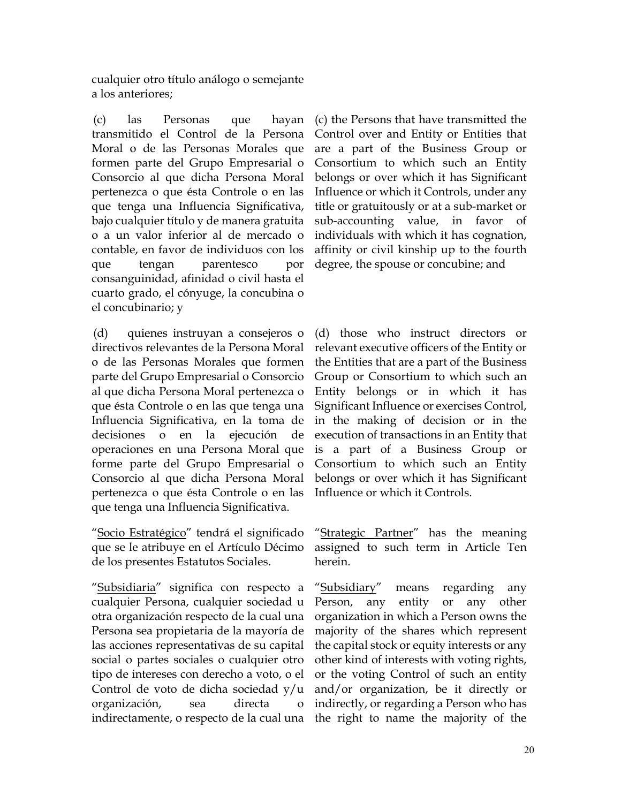cualquier otro título análogo o semejante a los anteriores;

(c) las Personas que hayan transmitido el Control de la Persona Moral o de las Personas Morales que formen parte del Grupo Empresarial o Consorcio al que dicha Persona Moral pertenezca o que ésta Controle o en las que tenga una Influencia Significativa, bajo cualquier título y de manera gratuita o a un valor inferior al de mercado o contable, en favor de individuos con los que tengan parentesco por consanguinidad, afinidad o civil hasta el cuarto grado, el cónyuge, la concubina o el concubinario; y

(d) quienes instruyan a consejeros o directivos relevantes de la Persona Moral o de las Personas Morales que formen parte del Grupo Empresarial o Consorcio al que dicha Persona Moral pertenezca o que ésta Controle o en las que tenga una Influencia Significativa, en la toma de decisiones o en la ejecución de operaciones en una Persona Moral que forme parte del Grupo Empresarial o Consorcio al que dicha Persona Moral pertenezca o que ésta Controle o en las que tenga una Influencia Significativa.

"Socio Estratégico" tendrá el significado que se le atribuye en el Artículo Décimo de los presentes Estatutos Sociales.

"Subsidiaria" significa con respecto a cualquier Persona, cualquier sociedad u otra organización respecto de la cual una Persona sea propietaria de la mayoría de las acciones representativas de su capital social o partes sociales o cualquier otro tipo de intereses con derecho a voto, o el Control de voto de dicha sociedad y/u organización, sea directa o indirectamente, o respecto de la cual una the right to name the majority of the

(c) the Persons that have transmitted the Control over and Entity or Entities that are a part of the Business Group or Consortium to which such an Entity belongs or over which it has Significant Influence or which it Controls, under any title or gratuitously or at a sub-market or sub-accounting value, in favor of individuals with which it has cognation, affinity or civil kinship up to the fourth degree, the spouse or concubine; and

(d) those who instruct directors or relevant executive officers of the Entity or the Entities that are a part of the Business Group or Consortium to which such an Entity belongs or in which it has Significant Influence or exercises Control, in the making of decision or in the execution of transactions in an Entity that is a part of a Business Group or Consortium to which such an Entity belongs or over which it has Significant Influence or which it Controls.

"Strategic Partner" has the meaning assigned to such term in Article Ten herein.

"Subsidiary" means regarding any Person, any entity or any other organization in which a Person owns the majority of the shares which represent the capital stock or equity interests or any other kind of interests with voting rights, or the voting Control of such an entity and/or organization, be it directly or indirectly, or regarding a Person who has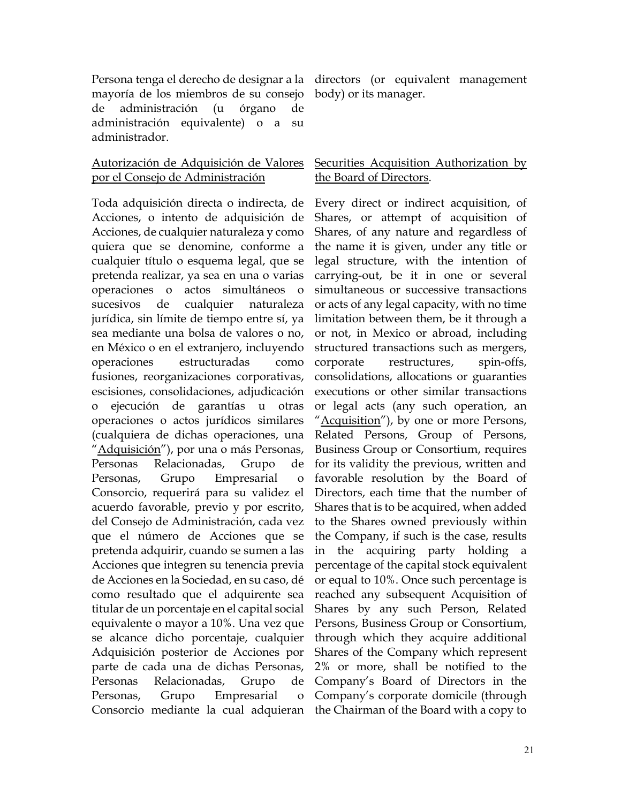Persona tenga el derecho de designar a la directors (or equivalent management mayoría de los miembros de su consejo de administración (u órgano de administración equivalente) o a su administrador.

## Autorización de Adquisición de Valores por el Consejo de Administración

Toda adquisición directa o indirecta, de Acciones, o intento de adquisición de Acciones, de cualquier naturaleza y como quiera que se denomine, conforme a cualquier título o esquema legal, que se pretenda realizar, ya sea en una o varias operaciones o actos simultáneos o sucesivos de cualquier naturaleza jurídica, sin límite de tiempo entre sí, ya sea mediante una bolsa de valores o no, en México o en el extranjero, incluyendo operaciones estructuradas como fusiones, reorganizaciones corporativas, escisiones, consolidaciones, adjudicación o ejecución de garantías u otras operaciones o actos jurídicos similares (cualquiera de dichas operaciones, una "Adquisición"), por una o más Personas, Personas Relacionadas, Grupo de Personas, Grupo Empresarial o Consorcio, requerirá para su validez el acuerdo favorable, previo y por escrito, del Consejo de Administración, cada vez que el número de Acciones que se pretenda adquirir, cuando se sumen a las Acciones que integren su tenencia previa de Acciones en la Sociedad, en su caso, dé como resultado que el adquirente sea titular de un porcentaje en el capital social equivalente o mayor a 10%. Una vez que se alcance dicho porcentaje, cualquier Adquisición posterior de Acciones por parte de cada una de dichas Personas, Personas Relacionadas, Grupo de Personas, Grupo Empresarial o Consorcio mediante la cual adquieran the Chairman of the Board with a copy to

body) or its manager.

## Securities Acquisition Authorization by the Board of Directors.

Every direct or indirect acquisition, of Shares, or attempt of acquisition of Shares, of any nature and regardless of the name it is given, under any title or legal structure, with the intention of carrying-out, be it in one or several simultaneous or successive transactions or acts of any legal capacity, with no time limitation between them, be it through a or not, in Mexico or abroad, including structured transactions such as mergers, corporate restructures, spin-offs, consolidations, allocations or guaranties executions or other similar transactions or legal acts (any such operation, an "Acquisition"), by one or more Persons, Related Persons, Group of Persons, Business Group or Consortium, requires for its validity the previous, written and favorable resolution by the Board of Directors, each time that the number of Shares that is to be acquired, when added to the Shares owned previously within the Company, if such is the case, results in the acquiring party holding a percentage of the capital stock equivalent or equal to 10%. Once such percentage is reached any subsequent Acquisition of Shares by any such Person, Related Persons, Business Group or Consortium, through which they acquire additional Shares of the Company which represent 2% or more, shall be notified to the Company's Board of Directors in the Company's corporate domicile (through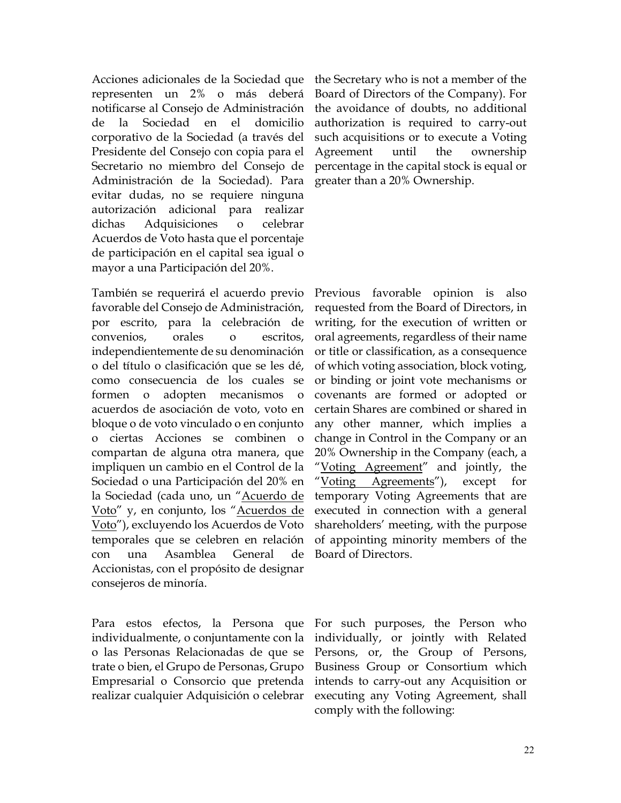Acciones adicionales de la Sociedad que representen un 2% o más deberá notificarse al Consejo de Administración de la Sociedad en el domicilio corporativo de la Sociedad (a través del Presidente del Consejo con copia para el Secretario no miembro del Consejo de Administración de la Sociedad). Para evitar dudas, no se requiere ninguna autorización adicional para realizar dichas Adquisiciones o celebrar Acuerdos de Voto hasta que el porcentaje de participación en el capital sea igual o mayor a una Participación del 20%.

También se requerirá el acuerdo previo favorable del Consejo de Administración, por escrito, para la celebración de convenios, orales o escritos, independientemente de su denominación o del título o clasificación que se les dé, como consecuencia de los cuales se formen o adopten mecanismos o acuerdos de asociación de voto, voto en bloque o de voto vinculado o en conjunto o ciertas Acciones se combinen compartan de alguna otra manera, que impliquen un cambio en el Control de la Sociedad o una Participación del 20% en la Sociedad (cada uno, un "Acuerdo de Voto" y, en conjunto, los "Acuerdos de Voto"), excluyendo los Acuerdos de Voto temporales que se celebren en relación con una Asamblea General de Accionistas, con el propósito de designar consejeros de minoría.

Para estos efectos, la Persona que individualmente, o conjuntamente con la o las Personas Relacionadas de que se trate o bien, el Grupo de Personas, Grupo Empresarial o Consorcio que pretenda realizar cualquier Adquisición o celebrar

the Secretary who is not a member of the Board of Directors of the Company). For the avoidance of doubts, no additional authorization is required to carry-out such acquisitions or to execute a Voting Agreement until the ownership percentage in the capital stock is equal or greater than a 20% Ownership.

Previous favorable opinion is also requested from the Board of Directors, in writing, for the execution of written or oral agreements, regardless of their name or title or classification, as a consequence of which voting association, block voting, or binding or joint vote mechanisms or covenants are formed or adopted or certain Shares are combined or shared in any other manner, which implies a change in Control in the Company or an 20% Ownership in the Company (each, a "Voting Agreement" and jointly, the "Voting Agreements"), except for temporary Voting Agreements that are executed in connection with a general shareholders' meeting, with the purpose of appointing minority members of the Board of Directors.

For such purposes, the Person who individually, or jointly with Related Persons, or, the Group of Persons, Business Group or Consortium which intends to carry-out any Acquisition or executing any Voting Agreement, shall comply with the following: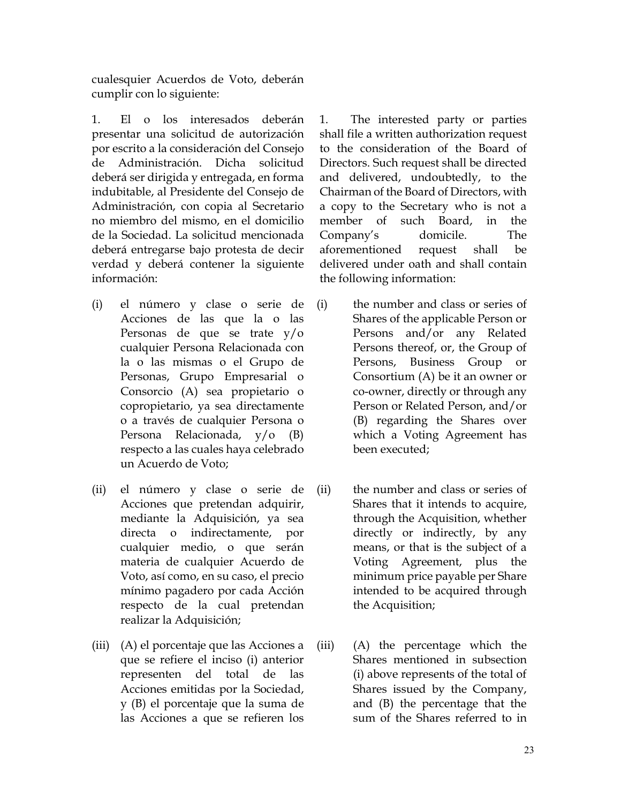cualesquier Acuerdos de Voto, deberán cumplir con lo siguiente:

1. El o los interesados deberán presentar una solicitud de autorización por escrito a la consideración del Consejo de Administración. Dicha solicitud deberá ser dirigida y entregada, en forma indubitable, al Presidente del Consejo de Administración, con copia al Secretario no miembro del mismo, en el domicilio de la Sociedad. La solicitud mencionada deberá entregarse bajo protesta de decir verdad y deberá contener la siguiente información:

- (i) el número y clase o serie de Acciones de las que la o las Personas de que se trate y/o cualquier Persona Relacionada con la o las mismas o el Grupo de Personas, Grupo Empresarial o Consorcio (A) sea propietario o copropietario, ya sea directamente o a través de cualquier Persona o Persona Relacionada, y/o (B) respecto a las cuales haya celebrado un Acuerdo de Voto;
- (ii) el número y clase o serie de Acciones que pretendan adquirir, mediante la Adquisición, ya sea directa o indirectamente, por cualquier medio, o que serán materia de cualquier Acuerdo de Voto, así como, en su caso, el precio mínimo pagadero por cada Acción respecto de la cual pretendan realizar la Adquisición;
- (iii) (A) el porcentaje que las Acciones a que se refiere el inciso (i) anterior representen del total de las Acciones emitidas por la Sociedad, y (B) el porcentaje que la suma de las Acciones a que se refieren los

1. The interested party or parties shall file a written authorization request to the consideration of the Board of Directors. Such request shall be directed and delivered, undoubtedly, to the Chairman of the Board of Directors, with a copy to the Secretary who is not a member of such Board, in the Company's domicile. The aforementioned request shall be delivered under oath and shall contain the following information:

- (i) the number and class or series of Shares of the applicable Person or Persons and/or any Related Persons thereof, or, the Group of Persons, Business Group or Consortium (A) be it an owner or co-owner, directly or through any Person or Related Person, and/or (B) regarding the Shares over which a Voting Agreement has been executed;
- (ii) the number and class or series of Shares that it intends to acquire, through the Acquisition, whether directly or indirectly, by any means, or that is the subject of a Voting Agreement, plus the minimum price payable per Share intended to be acquired through the Acquisition;
- (iii) (A) the percentage which the Shares mentioned in subsection (i) above represents of the total of Shares issued by the Company, and (B) the percentage that the sum of the Shares referred to in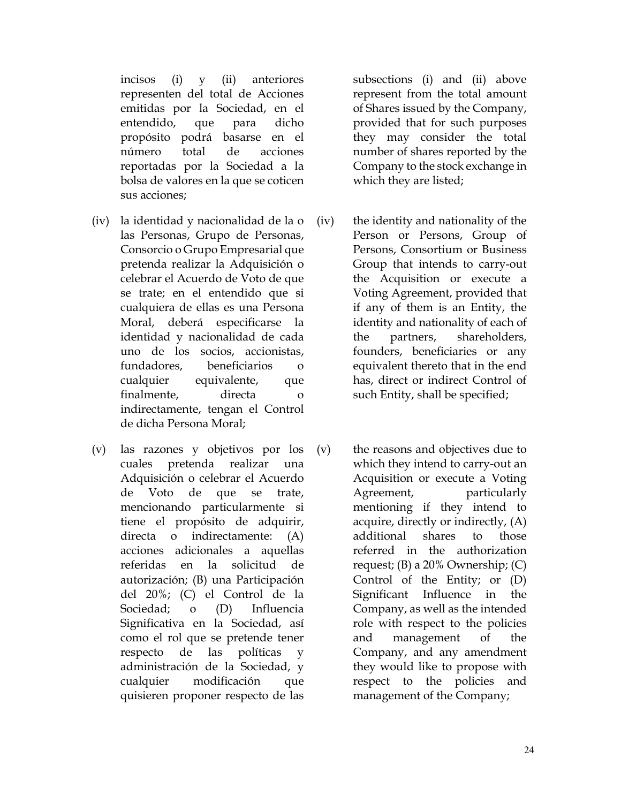incisos (i) y (ii) anteriores representen del total de Acciones emitidas por la Sociedad, en el entendido, que para dicho propósito podrá basarse en el número total de acciones reportadas por la Sociedad a la bolsa de valores en la que se coticen sus acciones;

- (iv) la identidad y nacionalidad de la o las Personas, Grupo de Personas, Consorcio o Grupo Empresarial que pretenda realizar la Adquisición o celebrar el Acuerdo de Voto de que se trate; en el entendido que si cualquiera de ellas es una Persona Moral, deberá especificarse la identidad y nacionalidad de cada uno de los socios, accionistas, fundadores, beneficiarios o cualquier equivalente, que finalmente, directa o indirectamente, tengan el Control de dicha Persona Moral;
- (v) las razones y objetivos por los cuales pretenda realizar una Adquisición o celebrar el Acuerdo de Voto de que se trate, mencionando particularmente si tiene el propósito de adquirir, directa o indirectamente: (A) acciones adicionales a aquellas referidas en la solicitud de autorización; (B) una Participación del 20%; (C) el Control de la Sociedad; o (D) Influencia Significativa en la Sociedad, así como el rol que se pretende tener respecto de las políticas y administración de la Sociedad, y cualquier modificación que quisieren proponer respecto de las

subsections (i) and (ii) above represent from the total amount of Shares issued by the Company, provided that for such purposes they may consider the total number of shares reported by the Company to the stock exchange in which they are listed;

- (iv) the identity and nationality of the Person or Persons, Group of Persons, Consortium or Business Group that intends to carry-out the Acquisition or execute a Voting Agreement, provided that if any of them is an Entity, the identity and nationality of each of the partners, shareholders, founders, beneficiaries or any equivalent thereto that in the end has, direct or indirect Control of such Entity, shall be specified;
- (v) the reasons and objectives due to which they intend to carry-out an Acquisition or execute a Voting Agreement, particularly mentioning if they intend to acquire, directly or indirectly, (A) additional shares to those referred in the authorization request; (B) a 20% Ownership; (C) Control of the Entity; or (D) Significant Influence in the Company, as well as the intended role with respect to the policies and management of the Company, and any amendment they would like to propose with respect to the policies and management of the Company;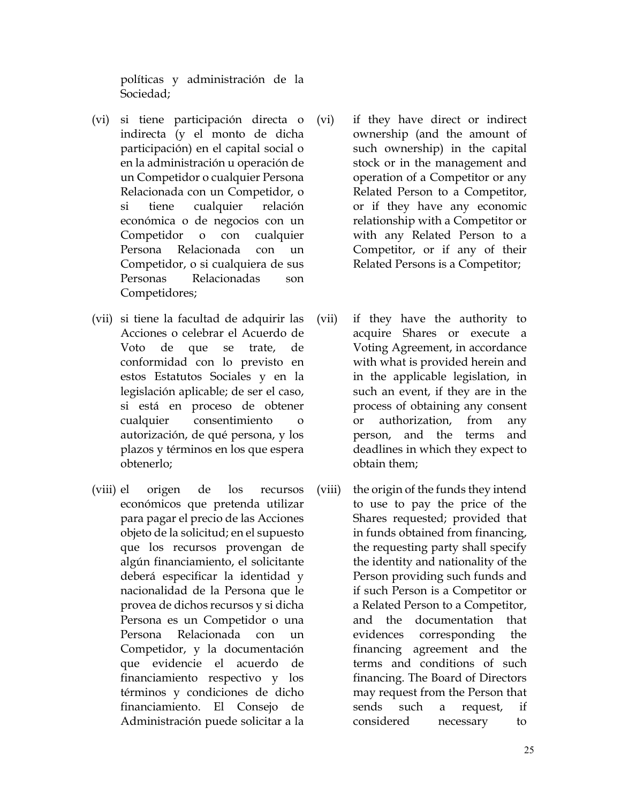políticas y administración de la Sociedad;

- (vi) si tiene participación directa o indirecta (y el monto de dicha participación) en el capital social o en la administración u operación de un Competidor o cualquier Persona Relacionada con un Competidor, o si tiene cualquier relación económica o de negocios con un Competidor o con cualquier Persona Relacionada con un Competidor, o si cualquiera de sus Personas Relacionadas son Competidores;
- (vii) si tiene la facultad de adquirir las Acciones o celebrar el Acuerdo de Voto de que se trate, de conformidad con lo previsto en estos Estatutos Sociales y en la legislación aplicable; de ser el caso, si está en proceso de obtener cualquier consentimiento o autorización, de qué persona, y los plazos y términos en los que espera obtenerlo;
- (viii) el origen de los recursos económicos que pretenda utilizar para pagar el precio de las Acciones objeto de la solicitud; en el supuesto que los recursos provengan de algún financiamiento, el solicitante deberá especificar la identidad y nacionalidad de la Persona que le provea de dichos recursos y si dicha Persona es un Competidor o una Persona Relacionada con Competidor, y la documentación que evidencie el acuerdo de financiamiento respectivo y los términos y condiciones de dicho financiamiento. El Consejo de Administración puede solicitar a la
- (vi) if they have direct or indirect ownership (and the amount of such ownership) in the capital stock or in the management and operation of a Competitor or any Related Person to a Competitor, or if they have any economic relationship with a Competitor or with any Related Person to a Competitor, or if any of their Related Persons is a Competitor;
- (vii) if they have the authority to acquire Shares or execute a Voting Agreement, in accordance with what is provided herein and in the applicable legislation, in such an event, if they are in the process of obtaining any consent or authorization, from any person, and the terms and deadlines in which they expect to obtain them;
- (viii) the origin of the funds they intend to use to pay the price of the Shares requested; provided that in funds obtained from financing, the requesting party shall specify the identity and nationality of the Person providing such funds and if such Person is a Competitor or a Related Person to a Competitor, and the documentation that evidences corresponding the financing agreement and the terms and conditions of such financing. The Board of Directors may request from the Person that sends such a request, if considered necessary to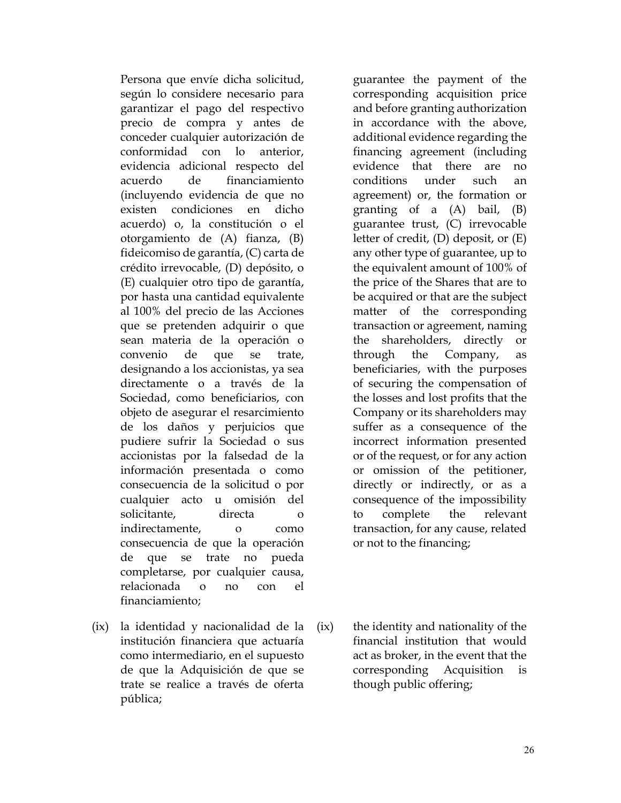Persona que envíe dicha solicitud, según lo considere necesario para garantizar el pago del respectivo precio de compra y antes de conceder cualquier autorización de conformidad con lo anterior, evidencia adicional respecto del acuerdo de financiamiento (incluyendo evidencia de que no existen condiciones en dicho acuerdo) o, la constitución o el otorgamiento de (A) fianza, (B) fideicomiso de garantía, (C) carta de crédito irrevocable, (D) depósito, o (E) cualquier otro tipo de garantía, por hasta una cantidad equivalente al 100% del precio de las Acciones que se pretenden adquirir o que sean materia de la operación o convenio de que se trate, designando a los accionistas, ya sea directamente o a través de la Sociedad, como beneficiarios, con objeto de asegurar el resarcimiento de los daños y perjuicios que pudiere sufrir la Sociedad o sus accionistas por la falsedad de la información presentada o como consecuencia de la solicitud o por cualquier acto u omisión del solicitante, directa o indirectamente, o como consecuencia de que la operación de que se trate no pueda completarse, por cualquier causa, relacionada o no con el financiamiento;

(ix) la identidad y nacionalidad de la institución financiera que actuaría como intermediario, en el supuesto de que la Adquisición de que se trate se realice a través de oferta pública;

guarantee the payment of the corresponding acquisition price and before granting authorization in accordance with the above, additional evidence regarding the financing agreement (including evidence that there are no conditions under such an agreement) or, the formation or granting of a (A) bail, (B) guarantee trust, (C) irrevocable letter of credit, (D) deposit, or (E) any other type of guarantee, up to the equivalent amount of 100% of the price of the Shares that are to be acquired or that are the subject matter of the corresponding transaction or agreement, naming the shareholders, directly or through the Company, as beneficiaries, with the purposes of securing the compensation of the losses and lost profits that the Company or its shareholders may suffer as a consequence of the incorrect information presented or of the request, or for any action or omission of the petitioner, directly or indirectly, or as a consequence of the impossibility to complete the relevant transaction, for any cause, related or not to the financing;

(ix) the identity and nationality of the financial institution that would act as broker, in the event that the corresponding Acquisition is though public offering;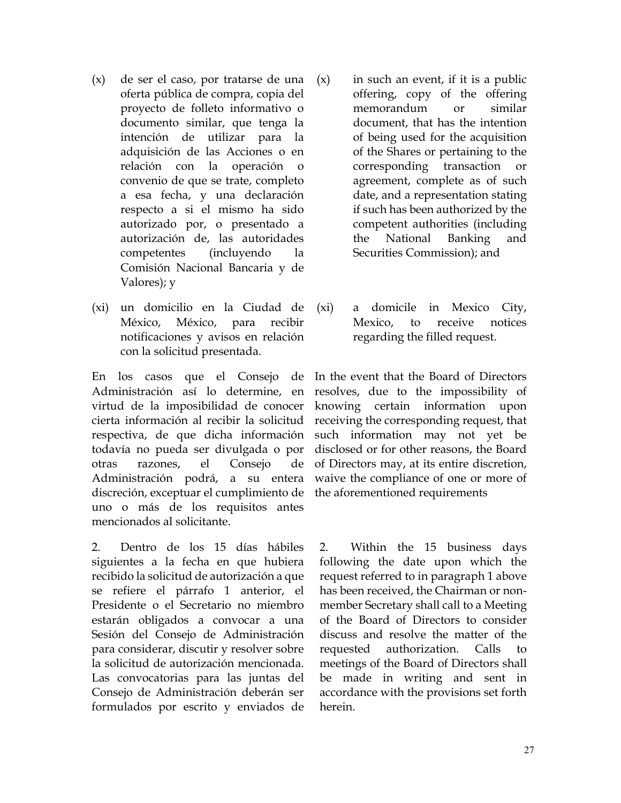- (x) de ser el caso, por tratarse de una oferta pública de compra, copia del proyecto de folleto informativo o documento similar, que tenga la intención de utilizar para la adquisición de las Acciones o en relación con la operación o convenio de que se trate, completo a esa fecha, y una declaración respecto a si el mismo ha sido autorizado por, o presentado a autorización de, las autoridades competentes (incluyendo la Comisión Nacional Bancaria y de Valores); y
- (xi) un domicilio en la Ciudad de México, México, para recibir notificaciones y avisos en relación con la solicitud presentada.

En los casos que el Consejo de Administración así lo determine, en virtud de la imposibilidad de conocer cierta información al recibir la solicitud respectiva, de que dicha información todavía no pueda ser divulgada o por otras razones, el Consejo de Administración podrá, a su entera discreción, exceptuar el cumplimiento de uno o más de los requisitos antes mencionados al solicitante.

2. Dentro de los 15 días hábiles siguientes a la fecha en que hubiera recibido la solicitud de autorización a que se refiere el párrafo 1 anterior, el Presidente o el Secretario no miembro estarán obligados a convocar a una Sesión del Consejo de Administración para considerar, discutir y resolver sobre la solicitud de autorización mencionada. Las convocatorias para las juntas del Consejo de Administración deberán ser formulados por escrito y enviados de

- $(x)$  in such an event, if it is a public offering, copy of the offering memorandum or similar document, that has the intention of being used for the acquisition of the Shares or pertaining to the corresponding transaction or agreement, complete as of such date, and a representation stating if such has been authorized by the competent authorities (including the National Banking and Securities Commission); and
- (xi) a domicile in Mexico City, Mexico, to receive notices regarding the filled request.

In the event that the Board of Directors resolves, due to the impossibility of knowing certain information upon receiving the corresponding request, that such information may not yet be disclosed or for other reasons, the Board of Directors may, at its entire discretion, waive the compliance of one or more of the aforementioned requirements

2. Within the 15 business days following the date upon which the request referred to in paragraph 1 above has been received, the Chairman or nonmember Secretary shall call to a Meeting of the Board of Directors to consider discuss and resolve the matter of the requested authorization. Calls to meetings of the Board of Directors shall be made in writing and sent in accordance with the provisions set forth herein.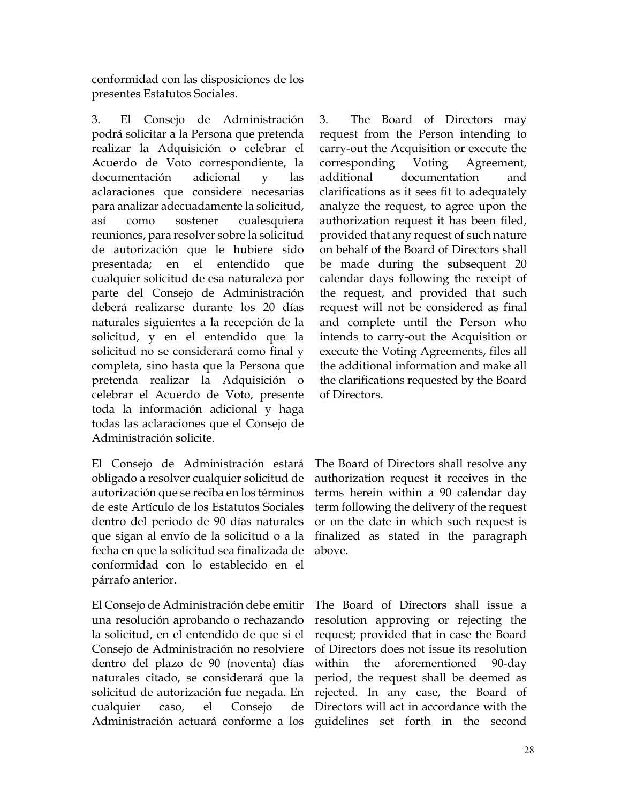conformidad con las disposiciones de los presentes Estatutos Sociales.

3. El Consejo de Administración podrá solicitar a la Persona que pretenda realizar la Adquisición o celebrar el Acuerdo de Voto correspondiente, la documentación adicional y las aclaraciones que considere necesarias para analizar adecuadamente la solicitud, así como sostener cualesquiera reuniones, para resolver sobre la solicitud de autorización que le hubiere sido presentada; en el entendido que cualquier solicitud de esa naturaleza por parte del Consejo de Administración deberá realizarse durante los 20 días naturales siguientes a la recepción de la solicitud, y en el entendido que la solicitud no se considerará como final y completa, sino hasta que la Persona que pretenda realizar la Adquisición o celebrar el Acuerdo de Voto, presente toda la información adicional y haga todas las aclaraciones que el Consejo de Administración solicite.

El Consejo de Administración estará obligado a resolver cualquier solicitud de autorización que se reciba en los términos de este Artículo de los Estatutos Sociales dentro del periodo de 90 días naturales que sigan al envío de la solicitud o a la fecha en que la solicitud sea finalizada de conformidad con lo establecido en el párrafo anterior.

El Consejo de Administración debe emitir una resolución aprobando o rechazando la solicitud, en el entendido de que si el Consejo de Administración no resolviere dentro del plazo de 90 (noventa) días naturales citado, se considerará que la solicitud de autorización fue negada. En cualquier caso, el Consejo de 3. The Board of Directors may request from the Person intending to carry-out the Acquisition or execute the corresponding Voting Agreement, additional documentation and clarifications as it sees fit to adequately analyze the request, to agree upon the authorization request it has been filed, provided that any request of such nature on behalf of the Board of Directors shall be made during the subsequent 20 calendar days following the receipt of the request, and provided that such request will not be considered as final and complete until the Person who intends to carry-out the Acquisition or execute the Voting Agreements, files all the additional information and make all the clarifications requested by the Board of Directors.

The Board of Directors shall resolve any authorization request it receives in the terms herein within a 90 calendar day term following the delivery of the request or on the date in which such request is finalized as stated in the paragraph above.

Administración actuará conforme a los guidelines set forth in the second The Board of Directors shall issue a resolution approving or rejecting the request; provided that in case the Board of Directors does not issue its resolution within the aforementioned 90-day period, the request shall be deemed as rejected. In any case, the Board of Directors will act in accordance with the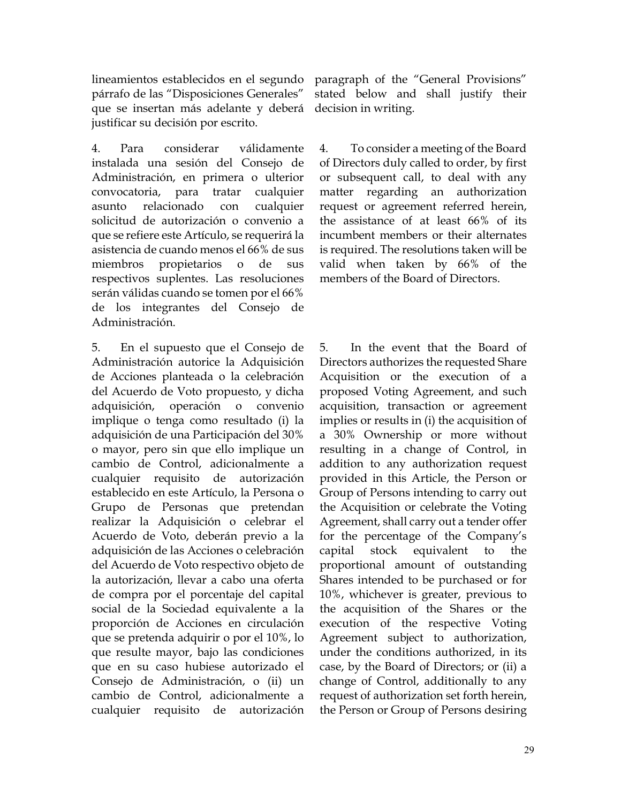lineamientos establecidos en el segundo párrafo de las "Disposiciones Generales" que se insertan más adelante y deberá justificar su decisión por escrito.

4. Para considerar válidamente instalada una sesión del Consejo de Administración, en primera o ulterior convocatoria, para tratar cualquier asunto relacionado con cualquier solicitud de autorización o convenio a que se refiere este Artículo, se requerirá la asistencia de cuando menos el 66% de sus miembros propietarios o de sus respectivos suplentes. Las resoluciones serán válidas cuando se tomen por el 66% de los integrantes del Consejo de Administración.

5. En el supuesto que el Consejo de Administración autorice la Adquisición de Acciones planteada o la celebración del Acuerdo de Voto propuesto, y dicha adquisición, operación o convenio implique o tenga como resultado (i) la adquisición de una Participación del 30% o mayor, pero sin que ello implique un cambio de Control, adicionalmente a cualquier requisito de autorización establecido en este Artículo, la Persona o Grupo de Personas que pretendan realizar la Adquisición o celebrar el Acuerdo de Voto, deberán previo a la adquisición de las Acciones o celebración del Acuerdo de Voto respectivo objeto de la autorización, llevar a cabo una oferta de compra por el porcentaje del capital social de la Sociedad equivalente a la proporción de Acciones en circulación que se pretenda adquirir o por el 10%, lo que resulte mayor, bajo las condiciones que en su caso hubiese autorizado el Consejo de Administración, o (ii) un cambio de Control, adicionalmente a cualquier requisito de autorización

paragraph of the "General Provisions" stated below and shall justify their decision in writing.

4. To consider a meeting of the Board of Directors duly called to order, by first or subsequent call, to deal with any matter regarding an authorization request or agreement referred herein, the assistance of at least 66% of its incumbent members or their alternates is required. The resolutions taken will be valid when taken by 66% of the members of the Board of Directors.

5. In the event that the Board of Directors authorizes the requested Share Acquisition or the execution of a proposed Voting Agreement, and such acquisition, transaction or agreement implies or results in (i) the acquisition of a 30% Ownership or more without resulting in a change of Control, in addition to any authorization request provided in this Article, the Person or Group of Persons intending to carry out the Acquisition or celebrate the Voting Agreement, shall carry out a tender offer for the percentage of the Company's capital stock equivalent to the proportional amount of outstanding Shares intended to be purchased or for 10%, whichever is greater, previous to the acquisition of the Shares or the execution of the respective Voting Agreement subject to authorization, under the conditions authorized, in its case, by the Board of Directors; or (ii) a change of Control, additionally to any request of authorization set forth herein, the Person or Group of Persons desiring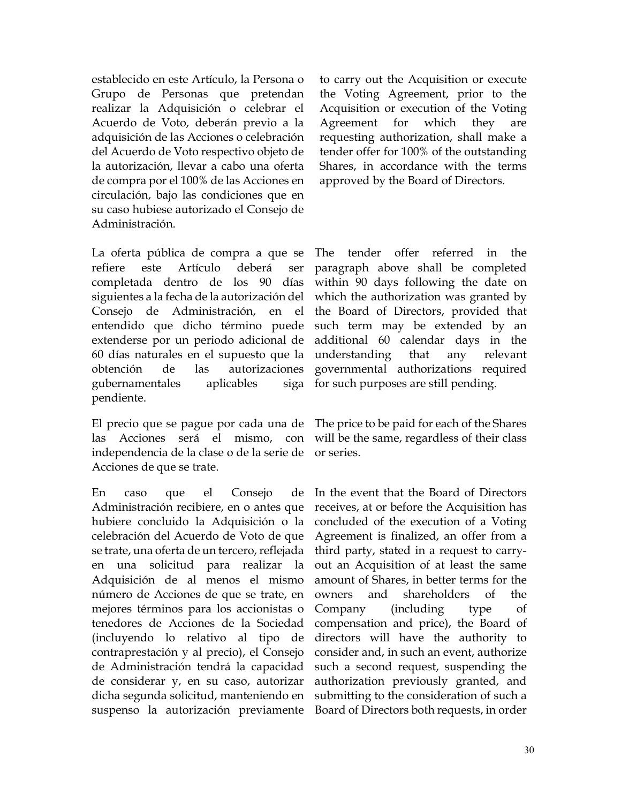establecido en este Artículo, la Persona o Grupo de Personas que pretendan realizar la Adquisición o celebrar el Acuerdo de Voto, deberán previo a la adquisición de las Acciones o celebración del Acuerdo de Voto respectivo objeto de la autorización, llevar a cabo una oferta de compra por el 100% de las Acciones en circulación, bajo las condiciones que en su caso hubiese autorizado el Consejo de Administración.

La oferta pública de compra a que se refiere este Artículo deberá ser completada dentro de los 90 días siguientes a la fecha de la autorización del Consejo de Administración, en el entendido que dicho término puede extenderse por un periodo adicional de 60 días naturales en el supuesto que la obtención de las autorizaciones gubernamentales aplicables siga pendiente.

El precio que se pague por cada una de The price to be paid for each of the Shares las Acciones será el mismo, con will be the same, regardless of their class independencia de la clase o de la serie de or series. Acciones de que se trate.

En caso que el Consejo de Administración recibiere, en o antes que hubiere concluido la Adquisición o la celebración del Acuerdo de Voto de que se trate, una oferta de un tercero, reflejada en una solicitud para realizar la Adquisición de al menos el mismo número de Acciones de que se trate, en mejores términos para los accionistas o tenedores de Acciones de la Sociedad (incluyendo lo relativo al tipo de contraprestación y al precio), el Consejo de Administración tendrá la capacidad de considerar y, en su caso, autorizar dicha segunda solicitud, manteniendo en suspenso la autorización previamente to carry out the Acquisition or execute the Voting Agreement, prior to the Acquisition or execution of the Voting Agreement for which they are requesting authorization, shall make a tender offer for 100% of the outstanding Shares, in accordance with the terms approved by the Board of Directors.

The tender offer referred in the paragraph above shall be completed within 90 days following the date on which the authorization was granted by the Board of Directors, provided that such term may be extended by an additional 60 calendar days in the understanding that any relevant governmental authorizations required for such purposes are still pending.

In the event that the Board of Directors receives, at or before the Acquisition has concluded of the execution of a Voting Agreement is finalized, an offer from a third party, stated in a request to carryout an Acquisition of at least the same amount of Shares, in better terms for the owners and shareholders of the Company (including type of compensation and price), the Board of directors will have the authority to consider and, in such an event, authorize such a second request, suspending the authorization previously granted, and submitting to the consideration of such a Board of Directors both requests, in order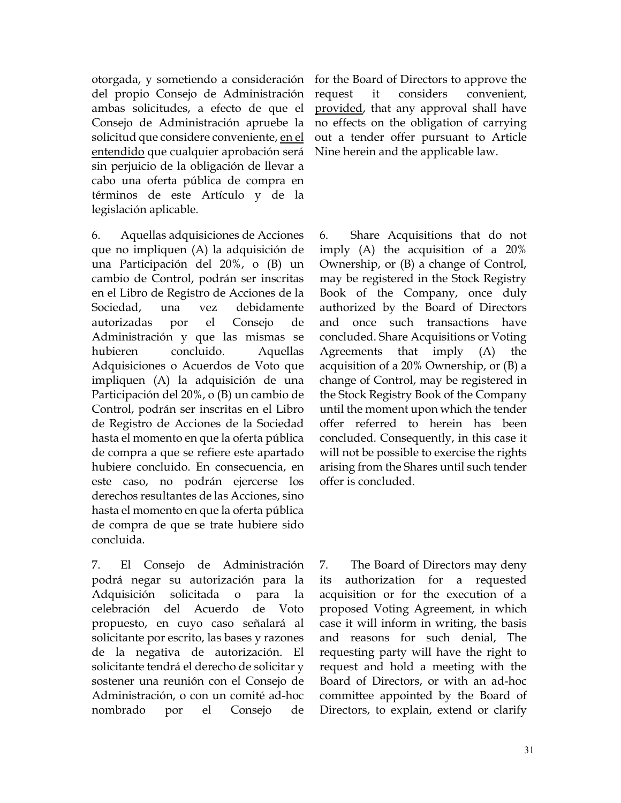otorgada, y sometiendo a consideración for the Board of Directors to approve the del propio Consejo de Administración ambas solicitudes, a efecto de que el Consejo de Administración apruebe la solicitud que considere conveniente, en el entendido que cualquier aprobación será sin perjuicio de la obligación de llevar a cabo una oferta pública de compra en términos de este Artículo y de la legislación aplicable.

6. Aquellas adquisiciones de Acciones que no impliquen (A) la adquisición de una Participación del 20%, o (B) un cambio de Control, podrán ser inscritas en el Libro de Registro de Acciones de la Sociedad, una vez debidamente autorizadas por el Consejo de Administración y que las mismas se hubieren concluido. Aquellas Adquisiciones o Acuerdos de Voto que impliquen (A) la adquisición de una Participación del 20%, o (B) un cambio de Control, podrán ser inscritas en el Libro de Registro de Acciones de la Sociedad hasta el momento en que la oferta pública de compra a que se refiere este apartado hubiere concluido. En consecuencia, en este caso, no podrán ejercerse los derechos resultantes de las Acciones, sino hasta el momento en que la oferta pública de compra de que se trate hubiere sido concluida.

7. El Consejo de Administración podrá negar su autorización para la Adquisición solicitada o para la celebración del Acuerdo de Voto propuesto, en cuyo caso señalará al solicitante por escrito, las bases y razones de la negativa de autorización. El solicitante tendrá el derecho de solicitar y sostener una reunión con el Consejo de Administración, o con un comité ad-hoc nombrado por el Consejo de

request it considers convenient, provided, that any approval shall have no effects on the obligation of carrying out a tender offer pursuant to Article Nine herein and the applicable law.

6. Share Acquisitions that do not imply (A) the acquisition of a 20% Ownership, or (B) a change of Control, may be registered in the Stock Registry Book of the Company, once duly authorized by the Board of Directors and once such transactions have concluded. Share Acquisitions or Voting Agreements that imply (A) the acquisition of a 20% Ownership, or (B) a change of Control, may be registered in the Stock Registry Book of the Company until the moment upon which the tender offer referred to herein has been concluded. Consequently, in this case it will not be possible to exercise the rights arising from the Shares until such tender offer is concluded.

7. The Board of Directors may deny its authorization for a requested acquisition or for the execution of a proposed Voting Agreement, in which case it will inform in writing, the basis and reasons for such denial, The requesting party will have the right to request and hold a meeting with the Board of Directors, or with an ad-hoc committee appointed by the Board of Directors, to explain, extend or clarify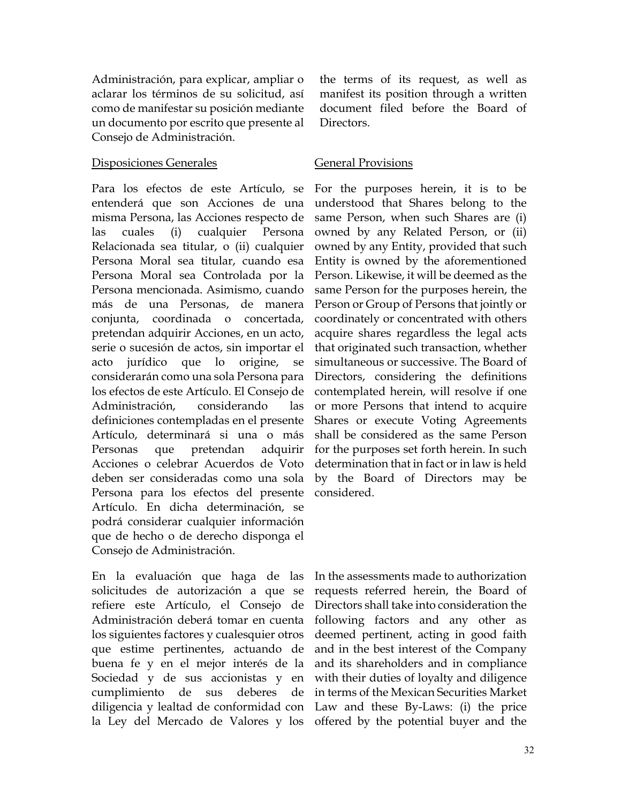Administración, para explicar, ampliar o aclarar los términos de su solicitud, así como de manifestar su posición mediante un documento por escrito que presente al Consejo de Administración.

## Disposiciones Generales General Provisions

Para los efectos de este Artículo, se entenderá que son Acciones de una misma Persona, las Acciones respecto de las cuales (i) cualquier Persona Relacionada sea titular, o (ii) cualquier Persona Moral sea titular, cuando esa Persona Moral sea Controlada por la Persona mencionada. Asimismo, cuando más de una Personas, de manera conjunta, coordinada o concertada, pretendan adquirir Acciones, en un acto, serie o sucesión de actos, sin importar el acto jurídico que lo origine, se considerarán como una sola Persona para los efectos de este Artículo. El Consejo de Administración, considerando las definiciones contempladas en el presente Artículo, determinará si una o más Personas que pretendan adquirir Acciones o celebrar Acuerdos de Voto deben ser consideradas como una sola Persona para los efectos del presente Artículo. En dicha determinación, se podrá considerar cualquier información que de hecho o de derecho disponga el Consejo de Administración.

En la evaluación que haga de las solicitudes de autorización a que se refiere este Artículo, el Consejo de Administración deberá tomar en cuenta los siguientes factores y cualesquier otros que estime pertinentes, actuando de buena fe y en el mejor interés de la Sociedad y de sus accionistas y en cumplimiento de sus deberes de diligencia y lealtad de conformidad con the terms of its request, as well as manifest its position through a written document filed before the Board of Directors.

For the purposes herein, it is to be understood that Shares belong to the same Person, when such Shares are (i) owned by any Related Person, or (ii) owned by any Entity, provided that such Entity is owned by the aforementioned Person. Likewise, it will be deemed as the same Person for the purposes herein, the Person or Group of Persons that jointly or coordinately or concentrated with others acquire shares regardless the legal acts that originated such transaction, whether simultaneous or successive. The Board of Directors, considering the definitions contemplated herein, will resolve if one or more Persons that intend to acquire Shares or execute Voting Agreements shall be considered as the same Person for the purposes set forth herein. In such determination that in fact or in law is held by the Board of Directors may be considered.

la Ley del Mercado de Valores y los offered by the potential buyer and the In the assessments made to authorization requests referred herein, the Board of Directors shall take into consideration the following factors and any other as deemed pertinent, acting in good faith and in the best interest of the Company and its shareholders and in compliance with their duties of loyalty and diligence in terms of the Mexican Securities Market Law and these By-Laws: (i) the price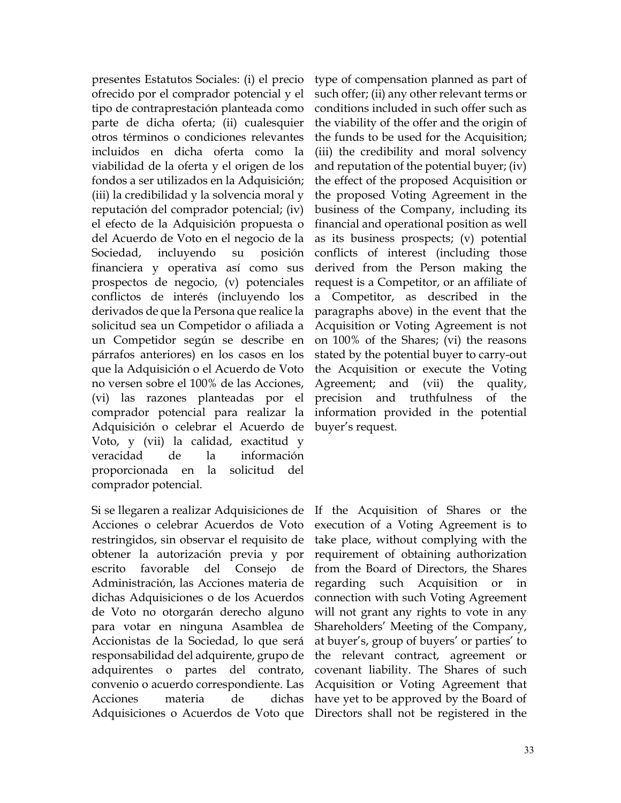presentes Estatutos Sociales: (i) el precio ofrecido por el comprador potencial y el tipo de contraprestación planteada como parte de dicha oferta; (ii) cualesquier otros términos o condiciones relevantes incluidos en dicha oferta como la viabilidad de la oferta y el origen de los fondos a ser utilizados en la Adquisición; (iii) la credibilidad y la solvencia moral y reputación del comprador potencial; (iv) el efecto de la Adquisición propuesta o del Acuerdo de Voto en el negocio de la Sociedad, incluyendo su posición financiera y operativa así como sus prospectos de negocio, (v) potenciales conflictos de interés (incluyendo los derivados de que la Persona que realice la solicitud sea un Competidor o afiliada a un Competidor según se describe en párrafos anteriores) en los casos en los que la Adquisición o el Acuerdo de Voto no versen sobre el 100% de las Acciones, (vi) las razones planteadas por el comprador potencial para realizar la Adquisición o celebrar el Acuerdo de Voto, y (vii) la calidad, exactitud y veracidad de la información proporcionada en la solicitud del comprador potencial.

Si se llegaren a realizar Adquisiciones de If the Acquisition of Shares or the Acciones o celebrar Acuerdos de Voto restringidos, sin observar el requisito de obtener la autorización previa y por escrito favorable del Consejo de Administración, las Acciones materia de dichas Adquisiciones o de los Acuerdos de Voto no otorgarán derecho alguno para votar en ninguna Asamblea de Accionistas de la Sociedad, lo que será responsabilidad del adquirente, grupo de adquirentes o partes del contrato, convenio o acuerdo correspondiente. Las Acciones materia de dichas Adquisiciones o Acuerdos de Voto que

type of compensation planned as part of such offer; (ii) any other relevant terms or conditions included in such offer such as the viability of the offer and the origin of the funds to be used for the Acquisition; (iii) the credibility and moral solvency and reputation of the potential buyer; (iv) the effect of the proposed Acquisition or the proposed Voting Agreement in the business of the Company, including its financial and operational position as well as its business prospects; (v) potential conflicts of interest (including those derived from the Person making the request is a Competitor, or an affiliate of a Competitor, as described in the paragraphs above) in the event that the Acquisition or Voting Agreement is not on 100% of the Shares; (vi) the reasons stated by the potential buyer to carry-out the Acquisition or execute the Voting Agreement; and (vii) the quality, precision and truthfulness of the information provided in the potential buyer's request.

execution of a Voting Agreement is to take place, without complying with the requirement of obtaining authorization from the Board of Directors, the Shares regarding such Acquisition or in connection with such Voting Agreement will not grant any rights to vote in any Shareholders' Meeting of the Company, at buyer's, group of buyers' or parties' to the relevant contract, agreement or covenant liability. The Shares of such Acquisition or Voting Agreement that have yet to be approved by the Board of Directors shall not be registered in the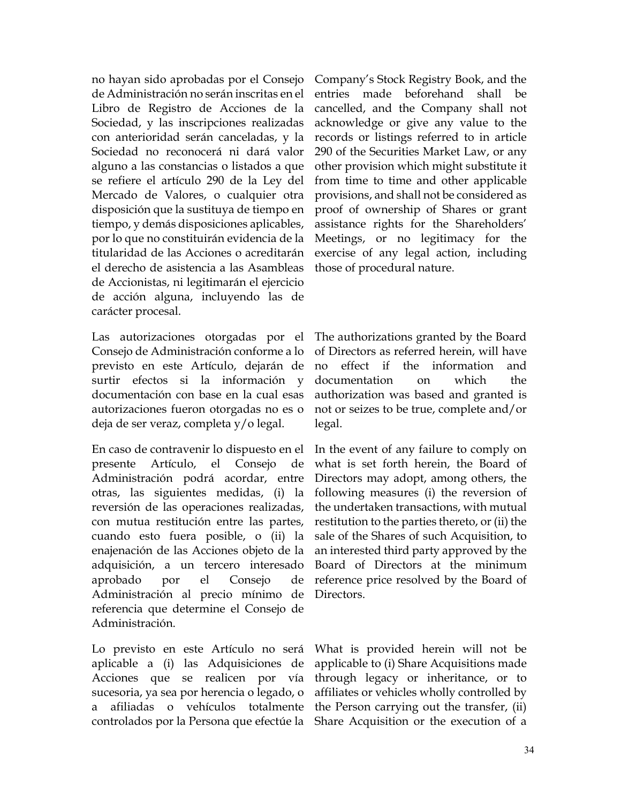no hayan sido aprobadas por el Consejo de Administración no serán inscritas en el Libro de Registro de Acciones de la Sociedad, y las inscripciones realizadas con anterioridad serán canceladas, y la Sociedad no reconocerá ni dará valor alguno a las constancias o listados a que se refiere el artículo 290 de la Ley del Mercado de Valores, o cualquier otra disposición que la sustituya de tiempo en tiempo, y demás disposiciones aplicables, por lo que no constituirán evidencia de la titularidad de las Acciones o acreditarán el derecho de asistencia a las Asambleas de Accionistas, ni legitimarán el ejercicio de acción alguna, incluyendo las de carácter procesal.

Las autorizaciones otorgadas por el Consejo de Administración conforme a lo previsto en este Artículo, dejarán de surtir efectos si la información y documentación con base en la cual esas autorizaciones fueron otorgadas no es o deja de ser veraz, completa y/o legal.

En caso de contravenir lo dispuesto en el presente Artículo, el Consejo de Administración podrá acordar, entre otras, las siguientes medidas, (i) la reversión de las operaciones realizadas, con mutua restitución entre las partes, cuando esto fuera posible, o (ii) la enajenación de las Acciones objeto de la adquisición, a un tercero interesado aprobado por el Consejo de Administración al precio mínimo de referencia que determine el Consejo de Administración.

Lo previsto en este Artículo no será aplicable a (i) las Adquisiciones de Acciones que se realicen por vía sucesoria, ya sea por herencia o legado, o a afiliadas o vehículos totalmente

Company's Stock Registry Book, and the entries made beforehand shall be cancelled, and the Company shall not acknowledge or give any value to the records or listings referred to in article 290 of the Securities Market Law, or any other provision which might substitute it from time to time and other applicable provisions, and shall not be considered as proof of ownership of Shares or grant assistance rights for the Shareholders' Meetings, or no legitimacy for the exercise of any legal action, including those of procedural nature.

The authorizations granted by the Board of Directors as referred herein, will have no effect if the information and documentation on which the authorization was based and granted is not or seizes to be true, complete and/or legal.

In the event of any failure to comply on what is set forth herein, the Board of Directors may adopt, among others, the following measures (i) the reversion of the undertaken transactions, with mutual restitution to the parties thereto, or (ii) the sale of the Shares of such Acquisition, to an interested third party approved by the Board of Directors at the minimum reference price resolved by the Board of Directors.

controlados por la Persona que efectúe la Share Acquisition or the execution of a What is provided herein will not be applicable to (i) Share Acquisitions made through legacy or inheritance, or to affiliates or vehicles wholly controlled by the Person carrying out the transfer, (ii)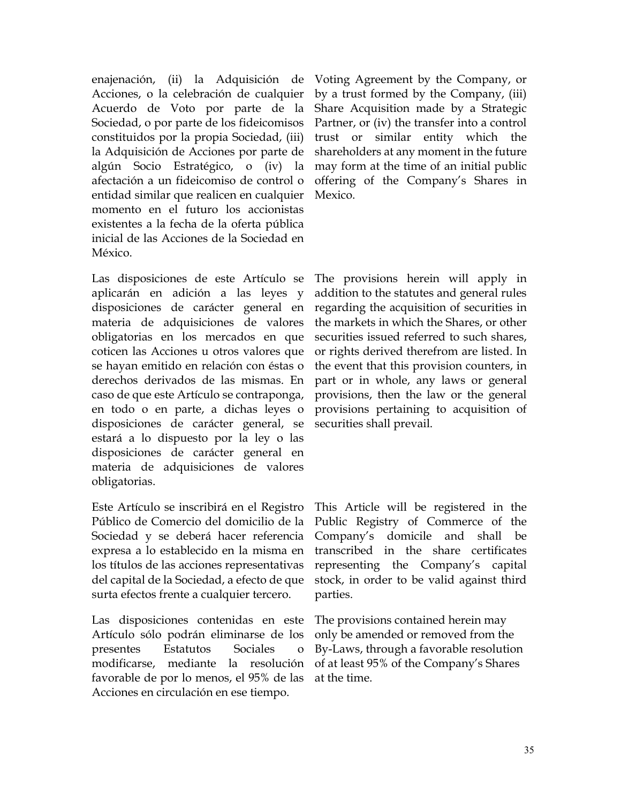enajenación, (ii) la Adquisición de Acciones, o la celebración de cualquier Acuerdo de Voto por parte de la Sociedad, o por parte de los fideicomisos constituidos por la propia Sociedad, (iii) la Adquisición de Acciones por parte de algún Socio Estratégico, o (iv) la afectación a un fideicomiso de control o entidad similar que realicen en cualquier momento en el futuro los accionistas existentes a la fecha de la oferta pública inicial de las Acciones de la Sociedad en México.

Las disposiciones de este Artículo se aplicarán en adición a las leyes y disposiciones de carácter general en materia de adquisiciones de valores obligatorias en los mercados en que coticen las Acciones u otros valores que se hayan emitido en relación con éstas o derechos derivados de las mismas. En caso de que este Artículo se contraponga, en todo o en parte, a dichas leyes o disposiciones de carácter general, se estará a lo dispuesto por la ley o las disposiciones de carácter general en materia de adquisiciones de valores obligatorias.

Este Artículo se inscribirá en el Registro Público de Comercio del domicilio de la Sociedad y se deberá hacer referencia expresa a lo establecido en la misma en los títulos de las acciones representativas del capital de la Sociedad, a efecto de que surta efectos frente a cualquier tercero.

Las disposiciones contenidas en este Artículo sólo podrán eliminarse de los presentes Estatutos Sociales o modificarse, mediante la resolución favorable de por lo menos, el 95% de las Acciones en circulación en ese tiempo.

Voting Agreement by the Company, or by a trust formed by the Company, (iii) Share Acquisition made by a Strategic Partner, or (iv) the transfer into a control trust or similar entity which the shareholders at any moment in the future may form at the time of an initial public offering of the Company's Shares in Mexico.

The provisions herein will apply in addition to the statutes and general rules regarding the acquisition of securities in the markets in which the Shares, or other securities issued referred to such shares, or rights derived therefrom are listed. In the event that this provision counters, in part or in whole, any laws or general provisions, then the law or the general provisions pertaining to acquisition of securities shall prevail.

This Article will be registered in the Public Registry of Commerce of the Company's domicile and shall be transcribed in the share certificates representing the Company's capital stock, in order to be valid against third parties.

The provisions contained herein may only be amended or removed from the By-Laws, through a favorable resolution of at least 95% of the Company's Shares at the time.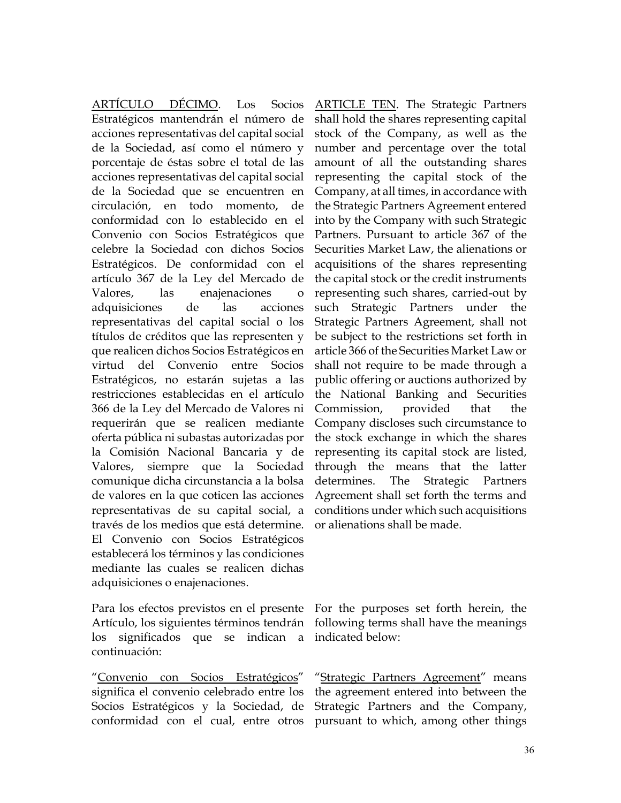ARTÍCULO DÉCIMO. Los Socios Estratégicos mantendrán el número de acciones representativas del capital social de la Sociedad, así como el número y porcentaje de éstas sobre el total de las acciones representativas del capital social de la Sociedad que se encuentren en circulación, en todo momento, de conformidad con lo establecido en el Convenio con Socios Estratégicos que celebre la Sociedad con dichos Socios Estratégicos. De conformidad con el artículo 367 de la Ley del Mercado de Valores, las enajenaciones o adquisiciones de las acciones representativas del capital social o los títulos de créditos que las representen y que realicen dichos Socios Estratégicos en virtud del Convenio entre Socios Estratégicos, no estarán sujetas a las restricciones establecidas en el artículo 366 de la Ley del Mercado de Valores ni requerirán que se realicen mediante oferta pública ni subastas autorizadas por la Comisión Nacional Bancaria y de Valores, siempre que la Sociedad comunique dicha circunstancia a la bolsa de valores en la que coticen las acciones representativas de su capital social, a través de los medios que está determine. El Convenio con Socios Estratégicos establecerá los términos y las condiciones mediante las cuales se realicen dichas adquisiciones o enajenaciones.

Para los efectos previstos en el presente For the purposes set forth herein, the Artículo, los siguientes términos tendrán following terms shall have the meanings los significados que se indican a indicated below: continuación:

"Convenio con Socios Estratégicos" significa el convenio celebrado entre los Socios Estratégicos y la Sociedad, de Strategic Partners and the Company,

ARTICLE TEN. The Strategic Partners shall hold the shares representing capital stock of the Company, as well as the number and percentage over the total amount of all the outstanding shares representing the capital stock of the Company, at all times, in accordance with the Strategic Partners Agreement entered into by the Company with such Strategic Partners. Pursuant to article 367 of the Securities Market Law, the alienations or acquisitions of the shares representing the capital stock or the credit instruments representing such shares, carried-out by such Strategic Partners under the Strategic Partners Agreement, shall not be subject to the restrictions set forth in article 366 of the Securities Market Law or shall not require to be made through a public offering or auctions authorized by the National Banking and Securities Commission, provided that the Company discloses such circumstance to the stock exchange in which the shares representing its capital stock are listed, through the means that the latter determines. The Strategic Partners Agreement shall set forth the terms and conditions under which such acquisitions or alienations shall be made.

conformidad con el cual, entre otros pursuant to which, among other things "Strategic Partners Agreement" means the agreement entered into between the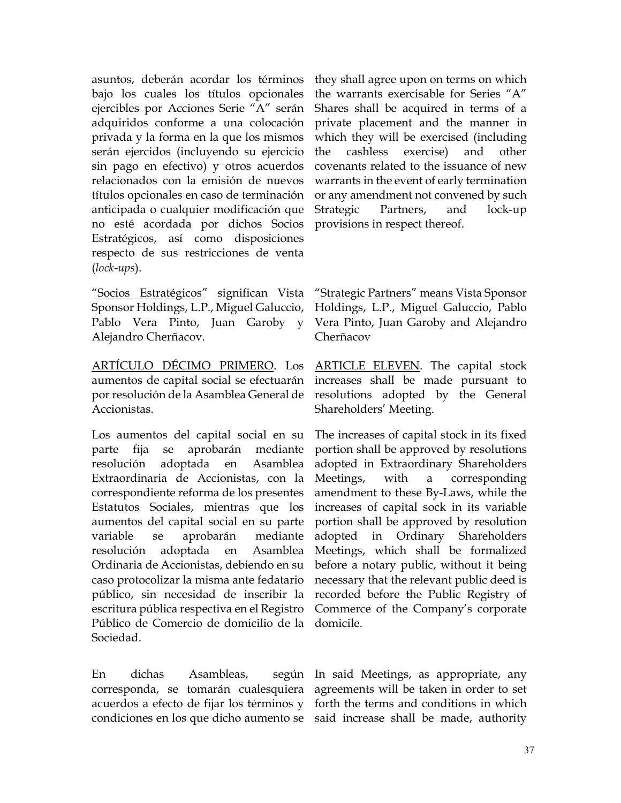asuntos, deberán acordar los términos bajo los cuales los títulos opcionales ejercibles por Acciones Serie "A" serán adquiridos conforme a una colocación privada y la forma en la que los mismos serán ejercidos (incluyendo su ejercicio sin pago en efectivo) y otros acuerdos relacionados con la emisión de nuevos títulos opcionales en caso de terminación anticipada o cualquier modificación que no esté acordada por dichos Socios Estratégicos, así como disposiciones respecto de sus restricciones de venta (*lock-ups*).

"Socios Estratégicos" significan Vista Sponsor Holdings, L.P., Miguel Galuccio, Pablo Vera Pinto, Juan Garoby y Alejandro Cherñacov.

ARTÍCULO DÉCIMO PRIMERO. Los ARTICLE ELEVEN. The capital stock aumentos de capital social se efectuarán por resolución de la Asamblea General de Accionistas.

Los aumentos del capital social en su parte fija se aprobarán mediante resolución adoptada en Asamblea Extraordinaria de Accionistas, con la correspondiente reforma de los presentes Estatutos Sociales, mientras que los aumentos del capital social en su parte variable se aprobarán mediante resolución adoptada en Asamblea Ordinaria de Accionistas, debiendo en su caso protocolizar la misma ante fedatario público, sin necesidad de inscribir la escritura pública respectiva en el Registro Público de Comercio de domicilio de la Sociedad.

En dichas Asambleas, corresponda, se tomarán cualesquiera agreements will be taken in order to set acuerdos a efecto de fijar los términos y condiciones en los que dicho aumento se said increase shall be made, authority

they shall agree upon on terms on which the warrants exercisable for Series "A" Shares shall be acquired in terms of a private placement and the manner in which they will be exercised (including the cashless exercise) and other covenants related to the issuance of new warrants in the event of early termination or any amendment not convened by such Strategic Partners, and lock-up provisions in respect thereof.

"Strategic Partners" means Vista Sponsor Holdings, L.P., Miguel Galuccio, Pablo Vera Pinto, Juan Garoby and Alejandro Cherñacov

increases shall be made pursuant to resolutions adopted by the General Shareholders' Meeting.

The increases of capital stock in its fixed portion shall be approved by resolutions adopted in Extraordinary Shareholders Meetings, with a corresponding amendment to these By-Laws, while the increases of capital sock in its variable portion shall be approved by resolution adopted in Ordinary Shareholders Meetings, which shall be formalized before a notary public, without it being necessary that the relevant public deed is recorded before the Public Registry of Commerce of the Company's corporate domicile.

según In said Meetings, as appropriate, any forth the terms and conditions in which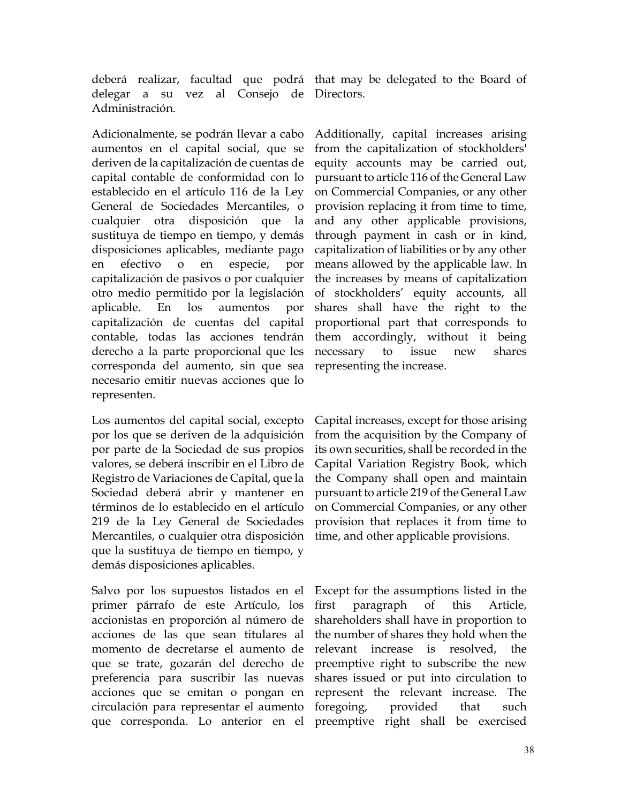deberá realizar, facultad que podrá that may be delegated to the Board of delegar a su vez al Consejo de Directors. Administración.

Adicionalmente, se podrán llevar a cabo aumentos en el capital social, que se deriven de la capitalización de cuentas de capital contable de conformidad con lo establecido en el artículo 116 de la Ley General de Sociedades Mercantiles, o cualquier otra disposición que la sustituya de tiempo en tiempo, y demás disposiciones aplicables, mediante pago en efectivo o en especie, por capitalización de pasivos o por cualquier otro medio permitido por la legislación aplicable. En los aumentos por capitalización de cuentas del capital contable, todas las acciones tendrán derecho a la parte proporcional que les corresponda del aumento, sin que sea necesario emitir nuevas acciones que lo representen.

Los aumentos del capital social, excepto por los que se deriven de la adquisición por parte de la Sociedad de sus propios valores, se deberá inscribir en el Libro de Registro de Variaciones de Capital, que la Sociedad deberá abrir y mantener en términos de lo establecido en el artículo 219 de la Ley General de Sociedades Mercantiles, o cualquier otra disposición que la sustituya de tiempo en tiempo, y demás disposiciones aplicables.

Salvo por los supuestos listados en el primer párrafo de este Artículo, los accionistas en proporción al número de acciones de las que sean titulares al momento de decretarse el aumento de que se trate, gozarán del derecho de preferencia para suscribir las nuevas acciones que se emitan o pongan en circulación para representar el aumento

Additionally, capital increases arising from the capitalization of stockholders' equity accounts may be carried out, pursuant to article 116 of the General Law on Commercial Companies, or any other provision replacing it from time to time, and any other applicable provisions, through payment in cash or in kind, capitalization of liabilities or by any other means allowed by the applicable law. In the increases by means of capitalization of stockholders' equity accounts, all shares shall have the right to the proportional part that corresponds to them accordingly, without it being necessary to issue new shares representing the increase.

Capital increases, except for those arising from the acquisition by the Company of its own securities, shall be recorded in the Capital Variation Registry Book, which the Company shall open and maintain pursuant to article 219 of the General Law on Commercial Companies, or any other provision that replaces it from time to time, and other applicable provisions.

que corresponda. Lo anterior en el preemptive right shall be exercised Except for the assumptions listed in the first paragraph of this Article, shareholders shall have in proportion to the number of shares they hold when the relevant increase is resolved, the preemptive right to subscribe the new shares issued or put into circulation to represent the relevant increase. The foregoing, provided that such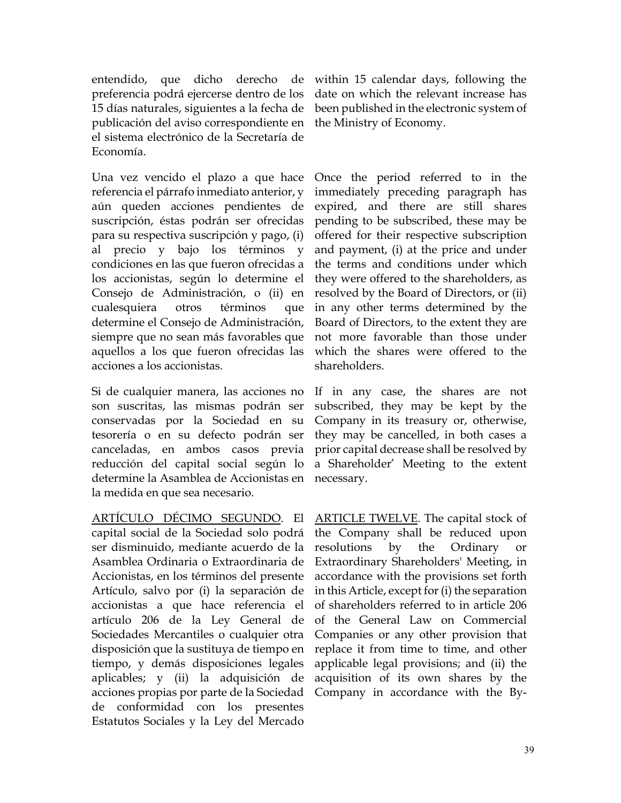entendido, que dicho derecho de within 15 calendar days, following the preferencia podrá ejercerse dentro de los 15 días naturales, siguientes a la fecha de publicación del aviso correspondiente en el sistema electrónico de la Secretaría de Economía.

Una vez vencido el plazo a que hace referencia el párrafo inmediato anterior, y aún queden acciones pendientes de suscripción, éstas podrán ser ofrecidas para su respectiva suscripción y pago, (i) al precio y bajo los términos y condiciones en las que fueron ofrecidas a los accionistas, según lo determine el Consejo de Administración, o (ii) en cualesquiera otros términos que determine el Consejo de Administración, siempre que no sean más favorables que aquellos a los que fueron ofrecidas las acciones a los accionistas.

Si de cualquier manera, las acciones no son suscritas, las mismas podrán ser conservadas por la Sociedad en su tesorería o en su defecto podrán ser canceladas, en ambos casos previa reducción del capital social según lo determine la Asamblea de Accionistas en la medida en que sea necesario.

ARTÍCULO DÉCIMO SEGUNDO. El capital social de la Sociedad solo podrá ser disminuido, mediante acuerdo de la Asamblea Ordinaria o Extraordinaria de Accionistas, en los términos del presente Artículo, salvo por (i) la separación de accionistas a que hace referencia el artículo 206 de la Ley General de Sociedades Mercantiles o cualquier otra disposición que la sustituya de tiempo en tiempo, y demás disposiciones legales aplicables; y (ii) la adquisición de acciones propias por parte de la Sociedad de conformidad con los presentes Estatutos Sociales y la Ley del Mercado

date on which the relevant increase has been published in the electronic system of the Ministry of Economy.

Once the period referred to in the immediately preceding paragraph has expired, and there are still shares pending to be subscribed, these may be offered for their respective subscription and payment, (i) at the price and under the terms and conditions under which they were offered to the shareholders, as resolved by the Board of Directors, or (ii) in any other terms determined by the Board of Directors, to the extent they are not more favorable than those under which the shares were offered to the shareholders.

If in any case, the shares are not subscribed, they may be kept by the Company in its treasury or, otherwise, they may be cancelled, in both cases a prior capital decrease shall be resolved by a Shareholder' Meeting to the extent necessary.

ARTICLE TWELVE. The capital stock of the Company shall be reduced upon resolutions by the Ordinary or Extraordinary Shareholders' Meeting, in accordance with the provisions set forth in this Article, except for (i) the separation of shareholders referred to in article 206 of the General Law on Commercial Companies or any other provision that replace it from time to time, and other applicable legal provisions; and (ii) the acquisition of its own shares by the Company in accordance with the By-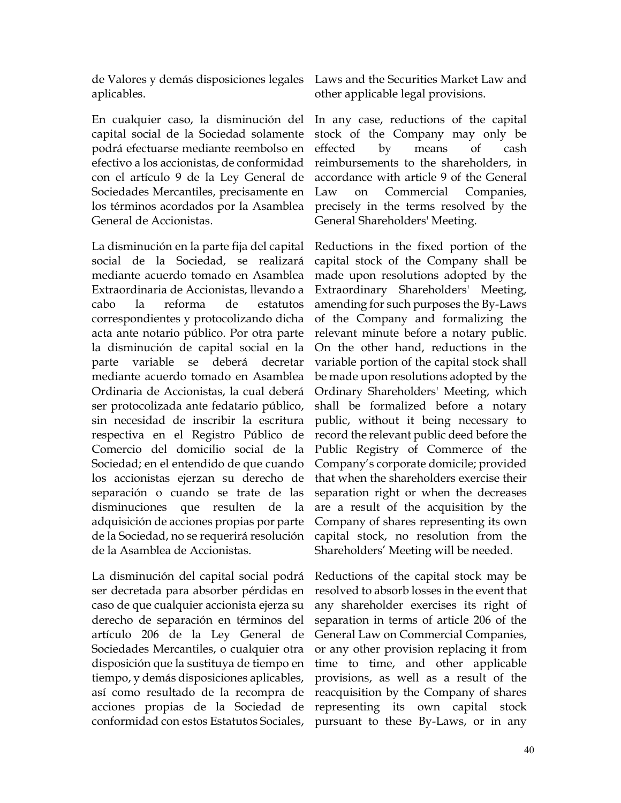de Valores y demás disposiciones legales Laws and the Securities Market Law and aplicables.

En cualquier caso, la disminución del capital social de la Sociedad solamente podrá efectuarse mediante reembolso en efectivo a los accionistas, de conformidad con el artículo 9 de la Ley General de Sociedades Mercantiles, precisamente en los términos acordados por la Asamblea General de Accionistas.

La disminución en la parte fija del capital social de la Sociedad, se realizará mediante acuerdo tomado en Asamblea Extraordinaria de Accionistas, llevando a cabo la reforma de estatutos correspondientes y protocolizando dicha acta ante notario público. Por otra parte la disminución de capital social en la parte variable se deberá decretar mediante acuerdo tomado en Asamblea Ordinaria de Accionistas, la cual deberá ser protocolizada ante fedatario público, sin necesidad de inscribir la escritura respectiva en el Registro Público de Comercio del domicilio social de la Sociedad; en el entendido de que cuando los accionistas ejerzan su derecho de separación o cuando se trate de las disminuciones que resulten de la adquisición de acciones propias por parte de la Sociedad, no se requerirá resolución de la Asamblea de Accionistas.

La disminución del capital social podrá ser decretada para absorber pérdidas en caso de que cualquier accionista ejerza su derecho de separación en términos del artículo 206 de la Ley General de Sociedades Mercantiles, o cualquier otra disposición que la sustituya de tiempo en tiempo, y demás disposiciones aplicables, así como resultado de la recompra de acciones propias de la Sociedad de conformidad con estos Estatutos Sociales,

other applicable legal provisions.

In any case, reductions of the capital stock of the Company may only be effected by means of cash reimbursements to the shareholders, in accordance with article 9 of the General Law on Commercial Companies, precisely in the terms resolved by the General Shareholders' Meeting.

Reductions in the fixed portion of the capital stock of the Company shall be made upon resolutions adopted by the Extraordinary Shareholders' Meeting, amending for such purposes the By-Laws of the Company and formalizing the relevant minute before a notary public. On the other hand, reductions in the variable portion of the capital stock shall be made upon resolutions adopted by the Ordinary Shareholders' Meeting, which shall be formalized before a notary public, without it being necessary to record the relevant public deed before the Public Registry of Commerce of the Company's corporate domicile; provided that when the shareholders exercise their separation right or when the decreases are a result of the acquisition by the Company of shares representing its own capital stock, no resolution from the Shareholders' Meeting will be needed.

Reductions of the capital stock may be resolved to absorb losses in the event that any shareholder exercises its right of separation in terms of article 206 of the General Law on Commercial Companies, or any other provision replacing it from time to time, and other applicable provisions, as well as a result of the reacquisition by the Company of shares representing its own capital stock pursuant to these By-Laws, or in any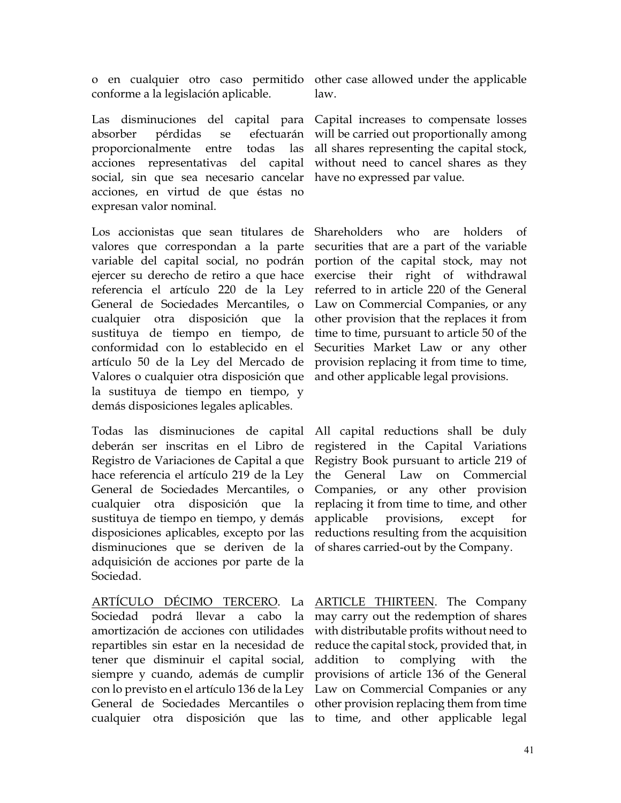o en cualquier otro caso permitido other case allowed under the applicable conforme a la legislación aplicable.

Las disminuciones del capital para Capital increases to compensate losses absorber pérdidas se efectuarán proporcionalmente entre todas las acciones representativas del capital social, sin que sea necesario cancelar have no expressed par value. acciones, en virtud de que éstas no expresan valor nominal.

Los accionistas que sean titulares de Shareholders who are holders of valores que correspondan a la parte variable del capital social, no podrán portion of the capital stock, may not ejercer su derecho de retiro a que hace referencia el artículo 220 de la Ley General de Sociedades Mercantiles, o cualquier otra disposición que la other provision that the replaces it from sustituya de tiempo en tiempo, de conformidad con lo establecido en el artículo 50 de la Ley del Mercado de provision replacing it from time to time, Valores o cualquier otra disposición que la sustituya de tiempo en tiempo, y demás disposiciones legales aplicables.

Todas las disminuciones de capital deberán ser inscritas en el Libro de Registro de Variaciones de Capital a que hace referencia el artículo 219 de la Ley General de Sociedades Mercantiles, o cualquier otra disposición que la sustituya de tiempo en tiempo, y demás disposiciones aplicables, excepto por las disminuciones que se deriven de la adquisición de acciones por parte de la Sociedad.

ARTÍCULO DÉCIMO TERCERO. La ARTICLE THIRTEEN. The Company Sociedad podrá llevar a cabo la may carry out the redemption of shares amortización de acciones con utilidades repartibles sin estar en la necesidad de tener que disminuir el capital social, siempre y cuando, además de cumplir con lo previsto en el artículo 136 de la Ley Law on Commercial Companies or any General de Sociedades Mercantiles o other provision replacing them from time

law.

will be carried out proportionally among all shares representing the capital stock, without need to cancel shares as they

securities that are a part of the variable exercise their right of withdrawal referred to in article 220 of the General Law on Commercial Companies, or any time to time, pursuant to article 50 of the Securities Market Law or any other and other applicable legal provisions.

All capital reductions shall be duly registered in the Capital Variations Registry Book pursuant to article 219 of the General Law on Commercial Companies, or any other provision replacing it from time to time, and other applicable provisions, except for reductions resulting from the acquisition of shares carried-out by the Company.

cualquier otra disposición que las to time, and other applicable legal with distributable profits without need to reduce the capital stock, provided that, in addition to complying with the provisions of article 136 of the General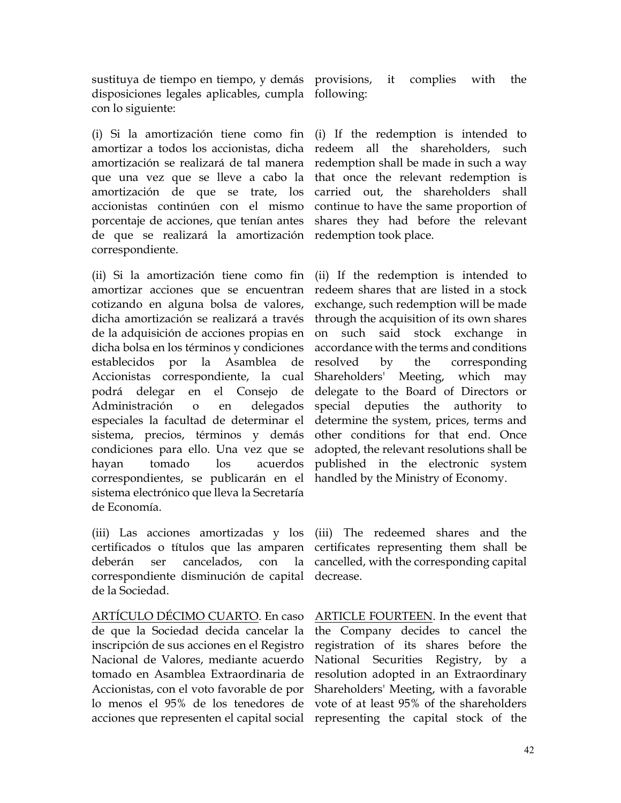sustituya de tiempo en tiempo, y demás provisions, it complies with the disposiciones legales aplicables, cumpla following: con lo siguiente:

(i) Si la amortización tiene como fin amortizar a todos los accionistas, dicha amortización se realizará de tal manera que una vez que se lleve a cabo la amortización de que se trate, los accionistas continúen con el mismo porcentaje de acciones, que tenían antes de que se realizará la amortización correspondiente.

(ii) Si la amortización tiene como fin amortizar acciones que se encuentran cotizando en alguna bolsa de valores, dicha amortización se realizará a través de la adquisición de acciones propias en dicha bolsa en los términos y condiciones establecidos por la Asamblea de Accionistas correspondiente, la cual podrá delegar en el Consejo de Administración o en delegados especiales la facultad de determinar el sistema, precios, términos y demás condiciones para ello. Una vez que se hayan tomado los acuerdos correspondientes, se publicarán en el sistema electrónico que lleva la Secretaría de Economía.

(iii) Las acciones amortizadas y los (iii) The redeemed shares and the certificados o títulos que las amparen deberán ser cancelados, con la correspondiente disminución de capital de la Sociedad.

ARTÍCULO DÉCIMO CUARTO. En caso de que la Sociedad decida cancelar la inscripción de sus acciones en el Registro Nacional de Valores, mediante acuerdo tomado en Asamblea Extraordinaria de Accionistas, con el voto favorable de por lo menos el 95% de los tenedores de acciones que representen el capital social representing the capital stock of the

(i) If the redemption is intended to redeem all the shareholders, such redemption shall be made in such a way that once the relevant redemption is carried out, the shareholders shall continue to have the same proportion of shares they had before the relevant redemption took place.

(ii) If the redemption is intended to redeem shares that are listed in a stock exchange, such redemption will be made through the acquisition of its own shares on such said stock exchange in accordance with the terms and conditions resolved by the corresponding Shareholders' Meeting, which may delegate to the Board of Directors or special deputies the authority to determine the system, prices, terms and other conditions for that end. Once adopted, the relevant resolutions shall be published in the electronic system handled by the Ministry of Economy.

certificates representing them shall be cancelled, with the corresponding capital decrease.

ARTICLE FOURTEEN. In the event that the Company decides to cancel the registration of its shares before the National Securities Registry, by a resolution adopted in an Extraordinary Shareholders' Meeting, with a favorable vote of at least 95% of the shareholders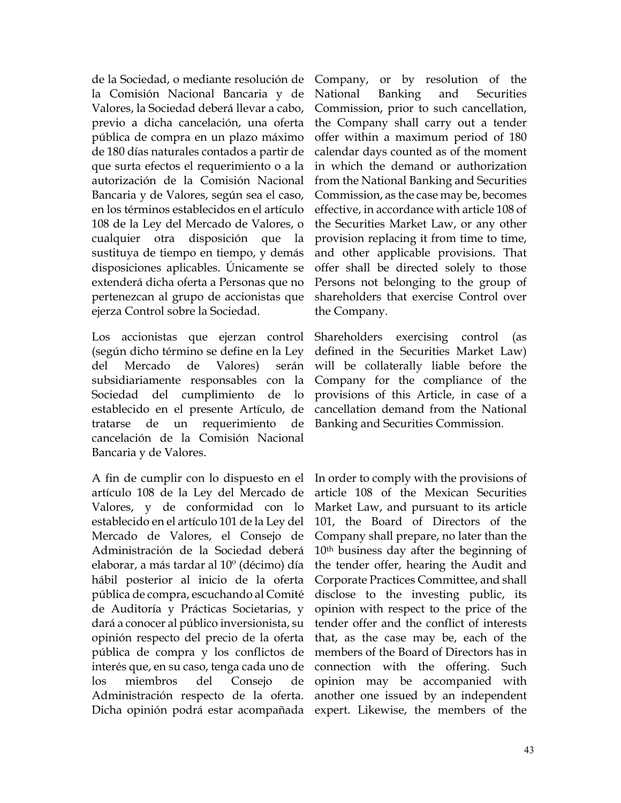de la Sociedad, o mediante resolución de la Comisión Nacional Bancaria y de Valores, la Sociedad deberá llevar a cabo, previo a dicha cancelación, una oferta pública de compra en un plazo máximo de 180 días naturales contados a partir de que surta efectos el requerimiento o a la autorización de la Comisión Nacional Bancaria y de Valores, según sea el caso, en los términos establecidos en el artículo 108 de la Ley del Mercado de Valores, o cualquier otra disposición que la sustituya de tiempo en tiempo, y demás disposiciones aplicables. Únicamente se extenderá dicha oferta a Personas que no pertenezcan al grupo de accionistas que ejerza Control sobre la Sociedad.

Los accionistas que ejerzan control (según dicho término se define en la Ley del Mercado de Valores) serán subsidiariamente responsables con la Sociedad del cumplimiento de lo establecido en el presente Artículo, de tratarse de un requerimiento de cancelación de la Comisión Nacional Bancaria y de Valores.

A fin de cumplir con lo dispuesto en el artículo 108 de la Ley del Mercado de Valores, y de conformidad con lo establecido en el artículo 101 de la Ley del Mercado de Valores, el Consejo de Administración de la Sociedad deberá elaborar, a más tardar al 10º (décimo) día hábil posterior al inicio de la oferta pública de compra, escuchando al Comité de Auditoría y Prácticas Societarias, y dará a conocer al público inversionista, su opinión respecto del precio de la oferta pública de compra y los conflictos de interés que, en su caso, tenga cada uno de los miembros del Consejo de Administración respecto de la oferta. Dicha opinión podrá estar acompañada expert. Likewise, the members of the

Company, or by resolution of the National Banking and Securities Commission, prior to such cancellation, the Company shall carry out a tender offer within a maximum period of 180 calendar days counted as of the moment in which the demand or authorization from the National Banking and Securities Commission, as the case may be, becomes effective, in accordance with article 108 of the Securities Market Law, or any other provision replacing it from time to time, and other applicable provisions. That offer shall be directed solely to those Persons not belonging to the group of shareholders that exercise Control over the Company.

Shareholders exercising control (as defined in the Securities Market Law) will be collaterally liable before the Company for the compliance of the provisions of this Article, in case of a cancellation demand from the National Banking and Securities Commission.

In order to comply with the provisions of article 108 of the Mexican Securities Market Law, and pursuant to its article 101, the Board of Directors of the Company shall prepare, no later than the 10th business day after the beginning of the tender offer, hearing the Audit and Corporate Practices Committee, and shall disclose to the investing public, its opinion with respect to the price of the tender offer and the conflict of interests that, as the case may be, each of the members of the Board of Directors has in connection with the offering. Such opinion may be accompanied with another one issued by an independent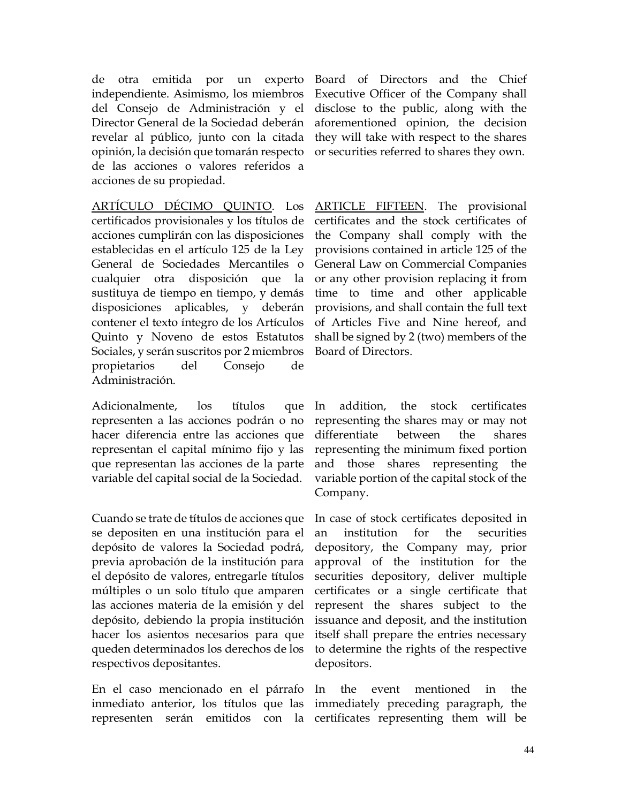de otra emitida por un experto independiente. Asimismo, los miembros del Consejo de Administración y el Director General de la Sociedad deberán revelar al público, junto con la citada opinión, la decisión que tomarán respecto de las acciones o valores referidos a acciones de su propiedad.

ARTÍCULO DÉCIMO QUINTO. Los certificados provisionales y los títulos de acciones cumplirán con las disposiciones establecidas en el artículo 125 de la Ley General de Sociedades Mercantiles o cualquier otra disposición que la sustituya de tiempo en tiempo, y demás disposiciones aplicables, y deberán contener el texto íntegro de los Artículos Quinto y Noveno de estos Estatutos Sociales, y serán suscritos por 2 miembros propietarios del Consejo de Administración.

Adicionalmente, los títulos que representen a las acciones podrán o no hacer diferencia entre las acciones que representan el capital mínimo fijo y las que representan las acciones de la parte variable del capital social de la Sociedad.

Cuando se trate de títulos de acciones que se depositen en una institución para el depósito de valores la Sociedad podrá, previa aprobación de la institución para el depósito de valores, entregarle títulos múltiples o un solo título que amparen las acciones materia de la emisión y del depósito, debiendo la propia institución hacer los asientos necesarios para que queden determinados los derechos de los respectivos depositantes.

En el caso mencionado en el párrafo inmediato anterior, los títulos que las immediately preceding paragraph, the representen serán emitidos con la certificates representing them will be

Board of Directors and the Chief Executive Officer of the Company shall disclose to the public, along with the aforementioned opinion, the decision they will take with respect to the shares or securities referred to shares they own.

ARTICLE FIFTEEN. The provisional certificates and the stock certificates of the Company shall comply with the provisions contained in article 125 of the General Law on Commercial Companies or any other provision replacing it from time to time and other applicable provisions, and shall contain the full text of Articles Five and Nine hereof, and shall be signed by 2 (two) members of the Board of Directors.

In addition, the stock certificates representing the shares may or may not differentiate between the shares representing the minimum fixed portion and those shares representing the variable portion of the capital stock of the Company.

In case of stock certificates deposited in an institution for the securities depository, the Company may, prior approval of the institution for the securities depository, deliver multiple certificates or a single certificate that represent the shares subject to the issuance and deposit, and the institution itself shall prepare the entries necessary to determine the rights of the respective depositors.

the event mentioned in the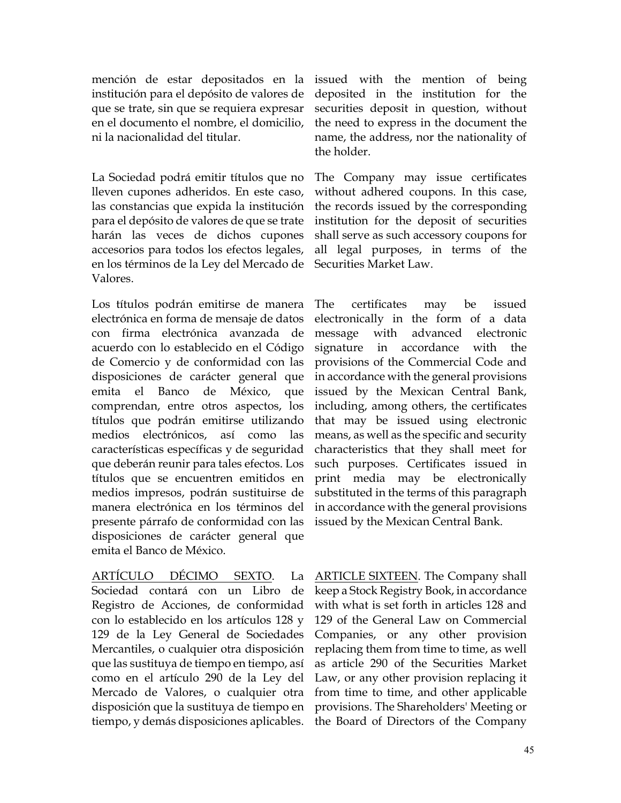mención de estar depositados en la institución para el depósito de valores de que se trate, sin que se requiera expresar en el documento el nombre, el domicilio, ni la nacionalidad del titular.

La Sociedad podrá emitir títulos que no lleven cupones adheridos. En este caso, las constancias que expida la institución para el depósito de valores de que se trate harán las veces de dichos cupones accesorios para todos los efectos legales, en los términos de la Ley del Mercado de Valores.

Los títulos podrán emitirse de manera electrónica en forma de mensaje de datos con firma electrónica avanzada de acuerdo con lo establecido en el Código de Comercio y de conformidad con las disposiciones de carácter general que emita el Banco de México, que comprendan, entre otros aspectos, los títulos que podrán emitirse utilizando medios electrónicos, así como las características específicas y de seguridad que deberán reunir para tales efectos. Los títulos que se encuentren emitidos en medios impresos, podrán sustituirse de manera electrónica en los términos del presente párrafo de conformidad con las disposiciones de carácter general que emita el Banco de México.

ARTÍCULO DÉCIMO SEXTO. La Sociedad contará con un Libro de Registro de Acciones, de conformidad con lo establecido en los artículos 128 y 129 de la Ley General de Sociedades Mercantiles, o cualquier otra disposición que las sustituya de tiempo en tiempo, así como en el artículo 290 de la Ley del Mercado de Valores, o cualquier otra disposición que la sustituya de tiempo en tiempo, y demás disposiciones aplicables.

issued with the mention of being deposited in the institution for the securities deposit in question, without the need to express in the document the name, the address, nor the nationality of the holder.

The Company may issue certificates without adhered coupons. In this case, the records issued by the corresponding institution for the deposit of securities shall serve as such accessory coupons for all legal purposes, in terms of the Securities Market Law.

The certificates may be issued electronically in the form of a data message with advanced electronic signature in accordance with the provisions of the Commercial Code and in accordance with the general provisions issued by the Mexican Central Bank, including, among others, the certificates that may be issued using electronic means, as well as the specific and security characteristics that they shall meet for such purposes. Certificates issued in print media may be electronically substituted in the terms of this paragraph in accordance with the general provisions issued by the Mexican Central Bank.

ARTICLE SIXTEEN. The Company shall keep a Stock Registry Book, in accordance with what is set forth in articles 128 and 129 of the General Law on Commercial Companies, or any other provision replacing them from time to time, as well as article 290 of the Securities Market Law, or any other provision replacing it from time to time, and other applicable provisions. The Shareholders' Meeting or the Board of Directors of the Company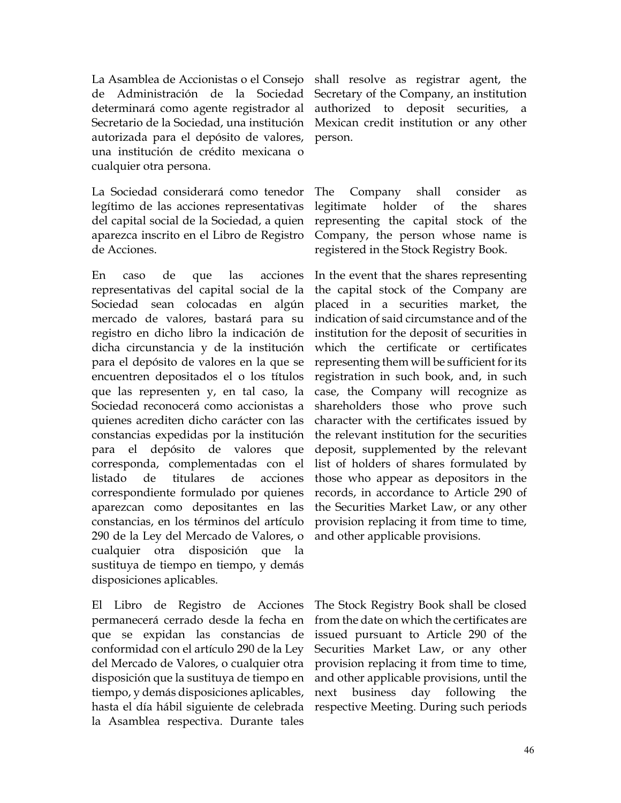La Asamblea de Accionistas o el Consejo de Administración de la Sociedad determinará como agente registrador al Secretario de la Sociedad, una institución autorizada para el depósito de valores, una institución de crédito mexicana o cualquier otra persona.

La Sociedad considerará como tenedor legítimo de las acciones representativas del capital social de la Sociedad, a quien aparezca inscrito en el Libro de Registro de Acciones.

En caso de que las acciones representativas del capital social de la Sociedad sean colocadas en algún mercado de valores, bastará para su registro en dicho libro la indicación de dicha circunstancia y de la institución para el depósito de valores en la que se encuentren depositados el o los títulos que las representen y, en tal caso, la Sociedad reconocerá como accionistas a quienes acrediten dicho carácter con las constancias expedidas por la institución para el depósito de valores que corresponda, complementadas con el listado de titulares de acciones correspondiente formulado por quienes aparezcan como depositantes en las constancias, en los términos del artículo 290 de la Ley del Mercado de Valores, o cualquier otra disposición que la sustituya de tiempo en tiempo, y demás disposiciones aplicables.

El Libro de Registro de Acciones permanecerá cerrado desde la fecha en que se expidan las constancias de conformidad con el artículo 290 de la Ley del Mercado de Valores, o cualquier otra disposición que la sustituya de tiempo en tiempo, y demás disposiciones aplicables, hasta el día hábil siguiente de celebrada la Asamblea respectiva. Durante tales

shall resolve as registrar agent, the Secretary of the Company, an institution authorized to deposit securities, a Mexican credit institution or any other person.

The Company shall consider as legitimate holder of the shares representing the capital stock of the Company, the person whose name is registered in the Stock Registry Book.

In the event that the shares representing the capital stock of the Company are placed in a securities market, the indication of said circumstance and of the institution for the deposit of securities in which the certificate or certificates representing them will be sufficient for its registration in such book, and, in such case, the Company will recognize as shareholders those who prove such character with the certificates issued by the relevant institution for the securities deposit, supplemented by the relevant list of holders of shares formulated by those who appear as depositors in the records, in accordance to Article 290 of the Securities Market Law, or any other provision replacing it from time to time, and other applicable provisions.

The Stock Registry Book shall be closed from the date on which the certificates are issued pursuant to Article 290 of the Securities Market Law, or any other provision replacing it from time to time, and other applicable provisions, until the next business day following the respective Meeting. During such periods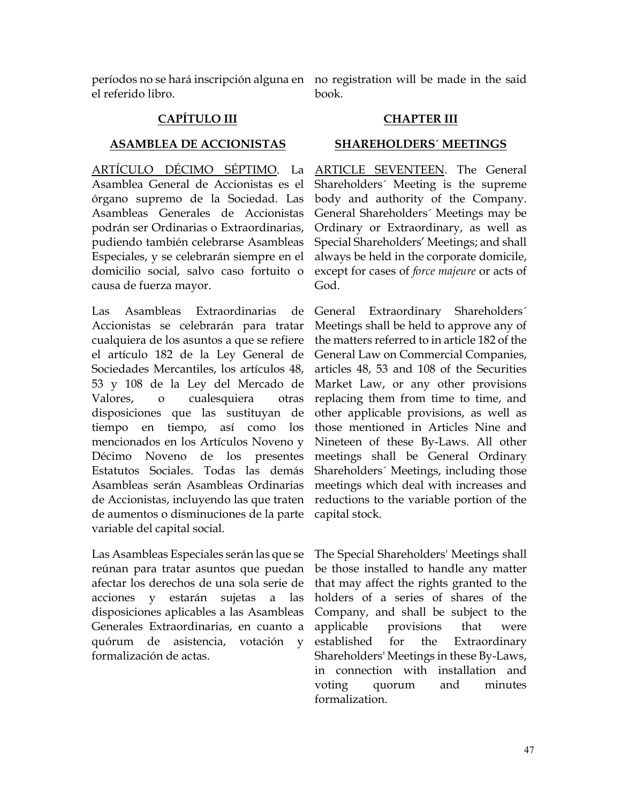el referido libro.

períodos no se hará inscripción alguna en no registration will be made in the said book.

# **CAPÍTULO III CHAPTER III**

### **ASAMBLEA DE ACCIONISTAS SHAREHOLDERS´ MEETINGS**

ARTÍCULO DÉCIMO SÉPTIMO. La Asamblea General de Accionistas es el órgano supremo de la Sociedad. Las Asambleas Generales de Accionistas podrán ser Ordinarias o Extraordinarias, pudiendo también celebrarse Asambleas Especiales, y se celebrarán siempre en el domicilio social, salvo caso fortuito o causa de fuerza mayor.

Las Asambleas Extraordinarias de Accionistas se celebrarán para tratar cualquiera de los asuntos a que se refiere el artículo 182 de la Ley General de Sociedades Mercantiles, los artículos 48, 53 y 108 de la Ley del Mercado de Valores, o cualesquiera otras disposiciones que las sustituyan de tiempo en tiempo, así como los mencionados en los Artículos Noveno y Décimo Noveno de los presentes Estatutos Sociales. Todas las demás Asambleas serán Asambleas Ordinarias de Accionistas, incluyendo las que traten de aumentos o disminuciones de la parte variable del capital social.

Las Asambleas Especiales serán las que se reúnan para tratar asuntos que puedan afectar los derechos de una sola serie de acciones y estarán sujetas a las disposiciones aplicables a las Asambleas Generales Extraordinarias, en cuanto a quórum de asistencia, votación y formalización de actas.

ARTICLE SEVENTEEN. The General Shareholders´ Meeting is the supreme body and authority of the Company. General Shareholders´ Meetings may be Ordinary or Extraordinary, as well as Special Shareholders' Meetings; and shall always be held in the corporate domicile, except for cases of *force majeure* or acts of God.

General Extraordinary Shareholders´ Meetings shall be held to approve any of the matters referred to in article 182 of the General Law on Commercial Companies, articles 48, 53 and 108 of the Securities Market Law, or any other provisions replacing them from time to time, and other applicable provisions, as well as those mentioned in Articles Nine and Nineteen of these By-Laws. All other meetings shall be General Ordinary Shareholders´ Meetings, including those meetings which deal with increases and reductions to the variable portion of the capital stock.

The Special Shareholders' Meetings shall be those installed to handle any matter that may affect the rights granted to the holders of a series of shares of the Company, and shall be subject to the applicable provisions that were established for the Extraordinary Shareholders' Meetings in these By-Laws, in connection with installation and voting quorum and minutes formalization.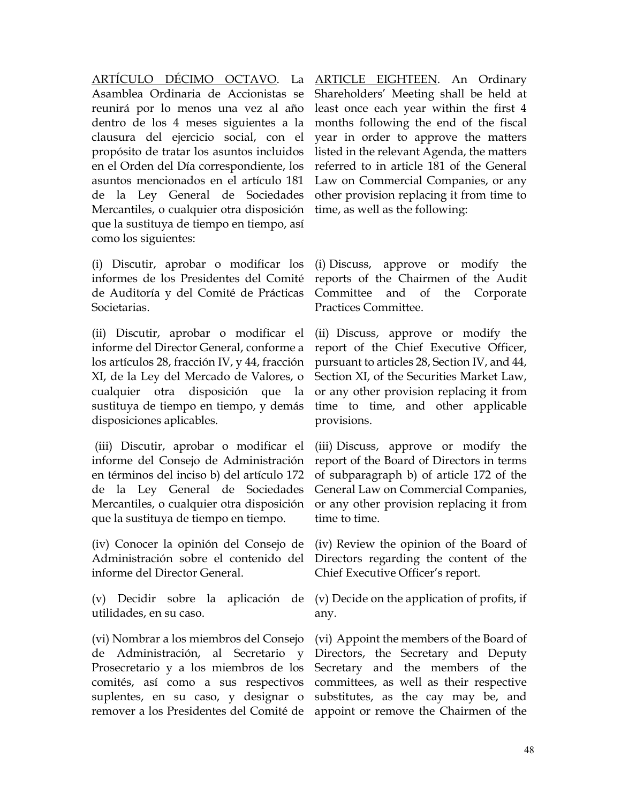ARTÍCULO DÉCIMO OCTAVO. La Asamblea Ordinaria de Accionistas se reunirá por lo menos una vez al año dentro de los 4 meses siguientes a la clausura del ejercicio social, con el propósito de tratar los asuntos incluidos en el Orden del Día correspondiente, los asuntos mencionados en el artículo 181 de la Ley General de Sociedades Mercantiles, o cualquier otra disposición que la sustituya de tiempo en tiempo, así como los siguientes:

(i) Discutir, aprobar o modificar los informes de los Presidentes del Comité de Auditoría y del Comité de Prácticas Societarias.

(ii) Discutir, aprobar o modificar el informe del Director General, conforme a los artículos 28, fracción IV, y 44, fracción XI, de la Ley del Mercado de Valores, o cualquier otra disposición que la sustituya de tiempo en tiempo, y demás disposiciones aplicables.

(iii) Discutir, aprobar o modificar el informe del Consejo de Administración en términos del inciso b) del artículo 172 de la Ley General de Sociedades Mercantiles, o cualquier otra disposición que la sustituya de tiempo en tiempo.

(iv) Conocer la opinión del Consejo de Administración sobre el contenido del informe del Director General.

(v) Decidir sobre la aplicación de utilidades, en su caso.

(vi) Nombrar a los miembros del Consejo de Administración, al Secretario y Prosecretario y a los miembros de los comités, así como a sus respectivos suplentes, en su caso, y designar o remover a los Presidentes del Comité de

ARTICLE EIGHTEEN. An Ordinary Shareholders' Meeting shall be held at least once each year within the first 4 months following the end of the fiscal year in order to approve the matters listed in the relevant Agenda, the matters referred to in article 181 of the General Law on Commercial Companies, or any other provision replacing it from time to time, as well as the following:

(i) Discuss, approve or modify the reports of the Chairmen of the Audit Committee and of the Corporate Practices Committee.

(ii) Discuss, approve or modify the report of the Chief Executive Officer, pursuant to articles 28, Section IV, and 44, Section XI, of the Securities Market Law, or any other provision replacing it from time to time, and other applicable provisions.

(iii) Discuss, approve or modify the report of the Board of Directors in terms of subparagraph b) of article 172 of the General Law on Commercial Companies, or any other provision replacing it from time to time.

(iv) Review the opinion of the Board of Directors regarding the content of the Chief Executive Officer's report.

(v) Decide on the application of profits, if any.

(vi) Appoint the members of the Board of Directors, the Secretary and Deputy Secretary and the members of the committees, as well as their respective substitutes, as the cay may be, and appoint or remove the Chairmen of the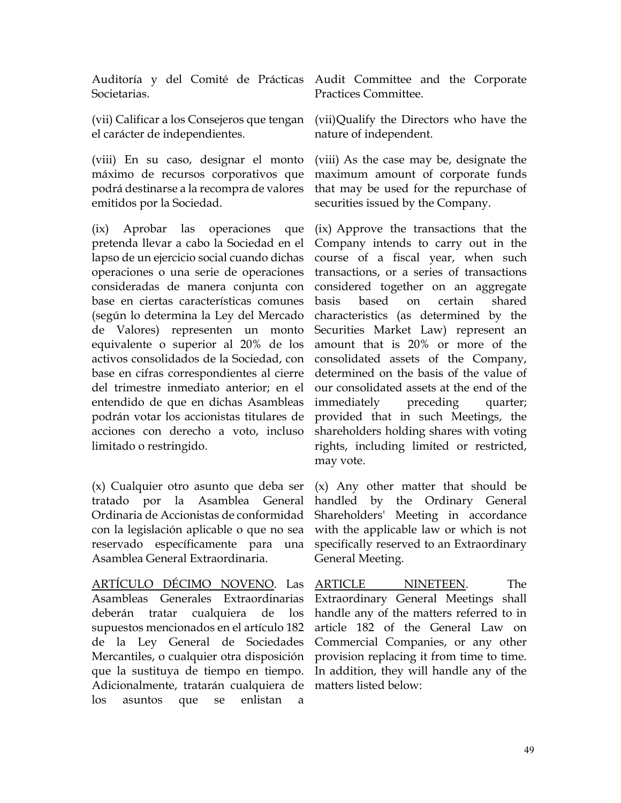Societarias.

(vii) Calificar a los Consejeros que tengan el carácter de independientes.

(viii) En su caso, designar el monto máximo de recursos corporativos que podrá destinarse a la recompra de valores emitidos por la Sociedad.

(ix) Aprobar las operaciones que pretenda llevar a cabo la Sociedad en el lapso de un ejercicio social cuando dichas operaciones o una serie de operaciones consideradas de manera conjunta con base en ciertas características comunes (según lo determina la Ley del Mercado de Valores) representen un monto equivalente o superior al 20% de los activos consolidados de la Sociedad, con base en cifras correspondientes al cierre del trimestre inmediato anterior; en el entendido de que en dichas Asambleas podrán votar los accionistas titulares de acciones con derecho a voto, incluso limitado o restringido.

(x) Cualquier otro asunto que deba ser tratado por la Asamblea General Ordinaria de Accionistas de conformidad con la legislación aplicable o que no sea reservado específicamente para una Asamblea General Extraordinaria.

ARTÍCULO DÉCIMO NOVENO. Las Asambleas Generales Extraordinarias deberán tratar cualquiera de los supuestos mencionados en el artículo 182 de la Ley General de Sociedades Mercantiles, o cualquier otra disposición que la sustituya de tiempo en tiempo. Adicionalmente, tratarán cualquiera de los asuntos que se enlistan a

Auditoría y del Comité de Prácticas Audit Committee and the Corporate Practices Committee.

> (vii)Qualify the Directors who have the nature of independent.

> (viii) As the case may be, designate the maximum amount of corporate funds that may be used for the repurchase of securities issued by the Company.

(ix) Approve the transactions that the Company intends to carry out in the course of a fiscal year, when such transactions, or a series of transactions considered together on an aggregate basis based on certain shared characteristics (as determined by the Securities Market Law) represent an amount that is 20% or more of the consolidated assets of the Company, determined on the basis of the value of our consolidated assets at the end of the immediately preceding quarter; provided that in such Meetings, the shareholders holding shares with voting rights, including limited or restricted, may vote.

(x) Any other matter that should be handled by the Ordinary General Shareholders' Meeting in accordance with the applicable law or which is not specifically reserved to an Extraordinary General Meeting.

ARTICLE NINETEEN. The Extraordinary General Meetings shall handle any of the matters referred to in article 182 of the General Law on Commercial Companies, or any other provision replacing it from time to time. In addition, they will handle any of the matters listed below: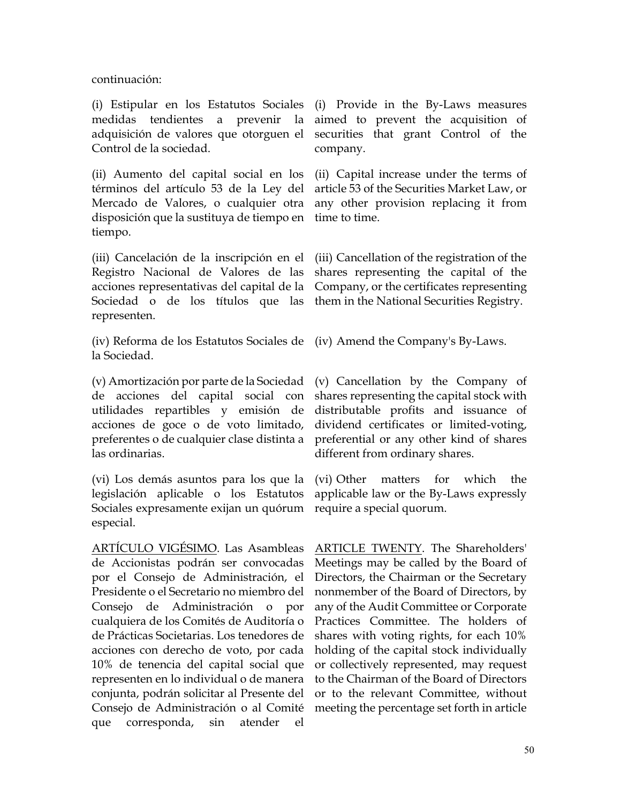continuación:

(i) Estipular en los Estatutos Sociales medidas tendientes a prevenir la adquisición de valores que otorguen el Control de la sociedad.

(ii) Aumento del capital social en los términos del artículo 53 de la Ley del Mercado de Valores, o cualquier otra disposición que la sustituya de tiempo en tiempo.

(iii) Cancelación de la inscripción en el Registro Nacional de Valores de las acciones representativas del capital de la Sociedad o de los títulos que las representen.

(iv) Reforma de los Estatutos Sociales de (iv) Amend the Company's By-Laws. la Sociedad.

(v) Amortización por parte de la Sociedad de acciones del capital social con utilidades repartibles y emisión de acciones de goce o de voto limitado, preferentes o de cualquier clase distinta a las ordinarias.

(vi) Los demás asuntos para los que la legislación aplicable o los Estatutos Sociales expresamente exijan un quórum especial.

ARTÍCULO VIGÉSIMO. Las Asambleas de Accionistas podrán ser convocadas por el Consejo de Administración, el Presidente o el Secretario no miembro del Consejo de Administración o por cualquiera de los Comités de Auditoría o de Prácticas Societarias. Los tenedores de acciones con derecho de voto, por cada 10% de tenencia del capital social que representen en lo individual o de manera conjunta, podrán solicitar al Presente del Consejo de Administración o al Comité que corresponda, sin atender el

(i) Provide in the By-Laws measures aimed to prevent the acquisition of securities that grant Control of the company.

(ii) Capital increase under the terms of article 53 of the Securities Market Law, or any other provision replacing it from time to time.

(iii) Cancellation of the registration of the shares representing the capital of the Company, or the certificates representing them in the National Securities Registry.

(v) Cancellation by the Company of shares representing the capital stock with distributable profits and issuance of dividend certificates or limited-voting, preferential or any other kind of shares different from ordinary shares.

(vi) Other matters for which the applicable law or the By-Laws expressly require a special quorum.

ARTICLE TWENTY. The Shareholders' Meetings may be called by the Board of Directors, the Chairman or the Secretary nonmember of the Board of Directors, by any of the Audit Committee or Corporate Practices Committee. The holders of shares with voting rights, for each 10% holding of the capital stock individually or collectively represented, may request to the Chairman of the Board of Directors or to the relevant Committee, without meeting the percentage set forth in article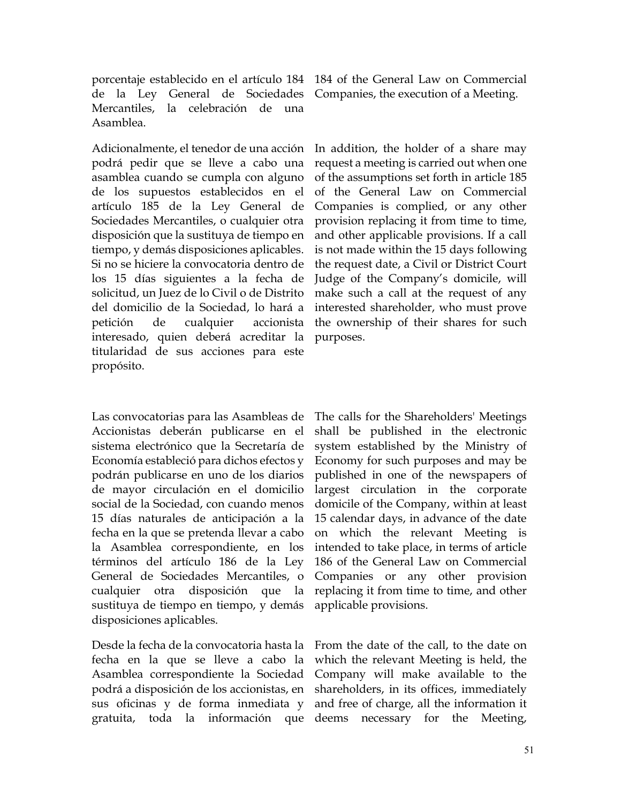porcentaje establecido en el artículo 184 184 of the General Law on Commercial de la Ley General de Sociedades Companies, the execution of a Meeting. Mercantiles, la celebración de una Asamblea.

Adicionalmente, el tenedor de una acción podrá pedir que se lleve a cabo una asamblea cuando se cumpla con alguno de los supuestos establecidos en el artículo 185 de la Ley General de Sociedades Mercantiles, o cualquier otra disposición que la sustituya de tiempo en tiempo, y demás disposiciones aplicables. Si no se hiciere la convocatoria dentro de los 15 días siguientes a la fecha de solicitud, un Juez de lo Civil o de Distrito del domicilio de la Sociedad, lo hará a petición de cualquier accionista interesado, quien deberá acreditar la titularidad de sus acciones para este propósito.

Las convocatorias para las Asambleas de Accionistas deberán publicarse en el sistema electrónico que la Secretaría de Economía estableció para dichos efectos y podrán publicarse en uno de los diarios de mayor circulación en el domicilio social de la Sociedad, con cuando menos 15 días naturales de anticipación a la fecha en la que se pretenda llevar a cabo la Asamblea correspondiente, en los términos del artículo 186 de la Ley General de Sociedades Mercantiles, o cualquier otra disposición que la sustituya de tiempo en tiempo, y demás disposiciones aplicables.

Desde la fecha de la convocatoria hasta la fecha en la que se lleve a cabo la Asamblea correspondiente la Sociedad podrá a disposición de los accionistas, en sus oficinas y de forma inmediata y

In addition, the holder of a share may request a meeting is carried out when one of the assumptions set forth in article 185 of the General Law on Commercial Companies is complied, or any other provision replacing it from time to time, and other applicable provisions. If a call is not made within the 15 days following the request date, a Civil or District Court Judge of the Company's domicile, will make such a call at the request of any interested shareholder, who must prove the ownership of their shares for such purposes.

The calls for the Shareholders' Meetings shall be published in the electronic system established by the Ministry of Economy for such purposes and may be published in one of the newspapers of largest circulation in the corporate domicile of the Company, within at least 15 calendar days, in advance of the date on which the relevant Meeting is intended to take place, in terms of article 186 of the General Law on Commercial Companies or any other provision replacing it from time to time, and other applicable provisions.

gratuita, toda la información que deems necessary for the Meeting, From the date of the call, to the date on which the relevant Meeting is held, the Company will make available to the shareholders, in its offices, immediately and free of charge, all the information it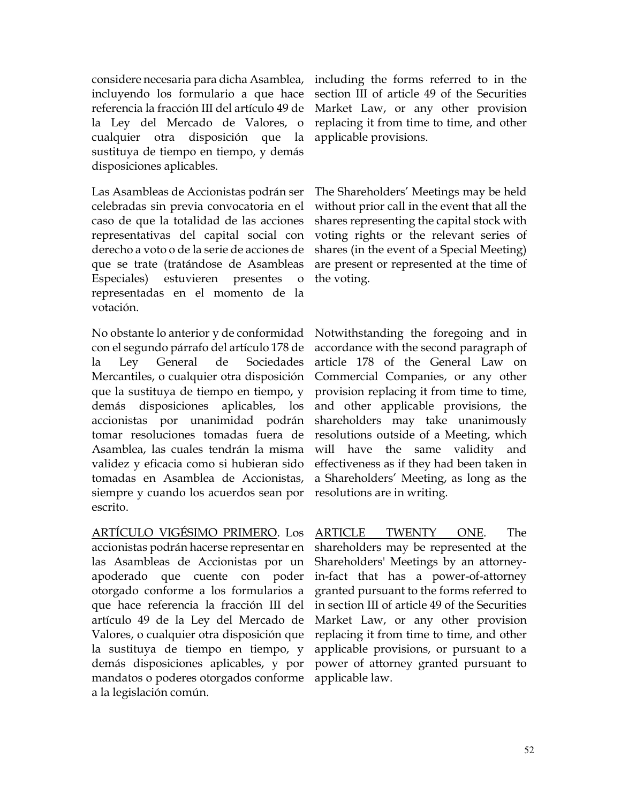considere necesaria para dicha Asamblea, incluyendo los formulario a que hace referencia la fracción III del artículo 49 de la Ley del Mercado de Valores, o cualquier otra disposición que la sustituya de tiempo en tiempo, y demás disposiciones aplicables.

Las Asambleas de Accionistas podrán ser celebradas sin previa convocatoria en el caso de que la totalidad de las acciones representativas del capital social con derecho a voto o de la serie de acciones de que se trate (tratándose de Asambleas Especiales) estuvieren presentes o representadas en el momento de la votación.

No obstante lo anterior y de conformidad con el segundo párrafo del artículo 178 de la Ley General de Sociedades Mercantiles, o cualquier otra disposición que la sustituya de tiempo en tiempo, y demás disposiciones aplicables, los accionistas por unanimidad podrán tomar resoluciones tomadas fuera de Asamblea, las cuales tendrán la misma validez y eficacia como si hubieran sido tomadas en Asamblea de Accionistas, siempre y cuando los acuerdos sean por escrito.

ARTÍCULO VIGÉSIMO PRIMERO. Los accionistas podrán hacerse representar en las Asambleas de Accionistas por un apoderado que cuente con poder otorgado conforme a los formularios a que hace referencia la fracción III del artículo 49 de la Ley del Mercado de Valores, o cualquier otra disposición que la sustituya de tiempo en tiempo, y demás disposiciones aplicables, y por mandatos o poderes otorgados conforme applicable law. a la legislación común.

including the forms referred to in the section III of article 49 of the Securities Market Law, or any other provision replacing it from time to time, and other applicable provisions.

The Shareholders' Meetings may be held without prior call in the event that all the shares representing the capital stock with voting rights or the relevant series of shares (in the event of a Special Meeting) are present or represented at the time of the voting.

Notwithstanding the foregoing and in accordance with the second paragraph of article 178 of the General Law on Commercial Companies, or any other provision replacing it from time to time, and other applicable provisions, the shareholders may take unanimously resolutions outside of a Meeting, which will have the same validity and effectiveness as if they had been taken in a Shareholders' Meeting, as long as the resolutions are in writing.

ARTICLE TWENTY ONE. The shareholders may be represented at the Shareholders' Meetings by an attorneyin-fact that has a power-of-attorney granted pursuant to the forms referred to in section III of article 49 of the Securities Market Law, or any other provision replacing it from time to time, and other applicable provisions, or pursuant to a power of attorney granted pursuant to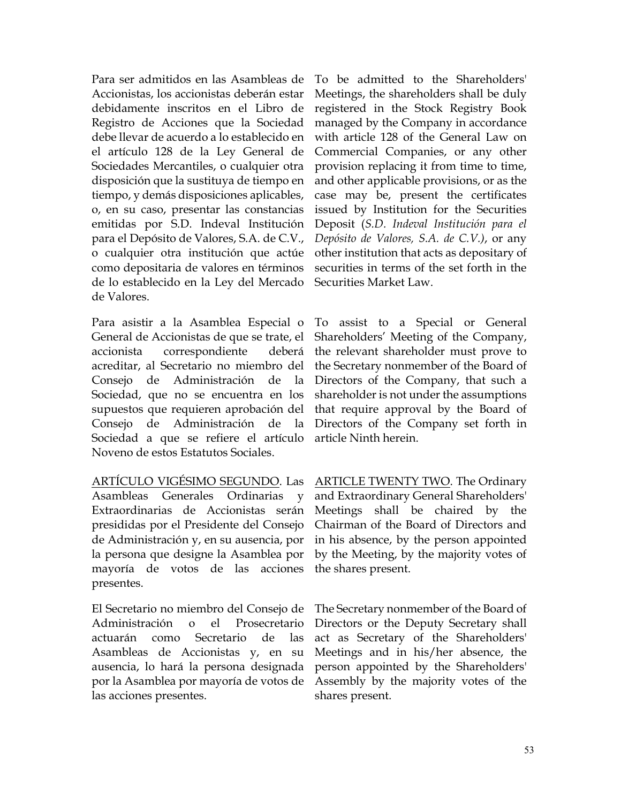Para ser admitidos en las Asambleas de Accionistas, los accionistas deberán estar debidamente inscritos en el Libro de Registro de Acciones que la Sociedad debe llevar de acuerdo a lo establecido en el artículo 128 de la Ley General de Sociedades Mercantiles, o cualquier otra disposición que la sustituya de tiempo en tiempo, y demás disposiciones aplicables, o, en su caso, presentar las constancias emitidas por S.D. Indeval Institución para el Depósito de Valores, S.A. de C.V., o cualquier otra institución que actúe como depositaria de valores en términos de lo establecido en la Ley del Mercado de Valores.

Para asistir a la Asamblea Especial o General de Accionistas de que se trate, el accionista correspondiente deberá acreditar, al Secretario no miembro del Consejo de Administración de la Sociedad, que no se encuentra en los supuestos que requieren aprobación del Consejo de Administración de la Sociedad a que se refiere el artículo Noveno de estos Estatutos Sociales.

ARTÍCULO VIGÉSIMO SEGUNDO. Las Asambleas Generales Ordinarias y Extraordinarias de Accionistas serán presididas por el Presidente del Consejo de Administración y, en su ausencia, por la persona que designe la Asamblea por mayoría de votos de las acciones presentes.

El Secretario no miembro del Consejo de Administración o el Prosecretario actuarán como Secretario de las Asambleas de Accionistas y, en su ausencia, lo hará la persona designada por la Asamblea por mayoría de votos de las acciones presentes.

To be admitted to the Shareholders' Meetings, the shareholders shall be duly registered in the Stock Registry Book managed by the Company in accordance with article 128 of the General Law on Commercial Companies, or any other provision replacing it from time to time, and other applicable provisions, or as the case may be, present the certificates issued by Institution for the Securities Deposit (*S.D. Indeval Institución para el Depósito de Valores, S.A. de C.V.)*, or any other institution that acts as depositary of securities in terms of the set forth in the Securities Market Law.

To assist to a Special or General Shareholders' Meeting of the Company, the relevant shareholder must prove to the Secretary nonmember of the Board of Directors of the Company, that such a shareholder is not under the assumptions that require approval by the Board of Directors of the Company set forth in article Ninth herein.

ARTICLE TWENTY TWO. The Ordinary and Extraordinary General Shareholders' Meetings shall be chaired by the Chairman of the Board of Directors and in his absence, by the person appointed by the Meeting, by the majority votes of the shares present.

The Secretary nonmember of the Board of Directors or the Deputy Secretary shall act as Secretary of the Shareholders' Meetings and in his/her absence, the person appointed by the Shareholders' Assembly by the majority votes of the shares present.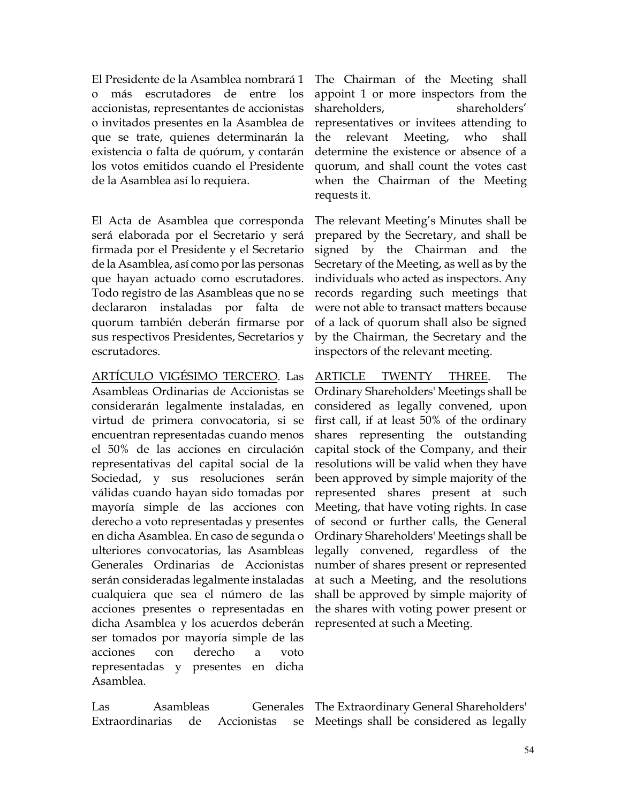El Presidente de la Asamblea nombrará 1 o más escrutadores de entre los accionistas, representantes de accionistas o invitados presentes en la Asamblea de que se trate, quienes determinarán la existencia o falta de quórum, y contarán los votos emitidos cuando el Presidente de la Asamblea así lo requiera.

El Acta de Asamblea que corresponda será elaborada por el Secretario y será firmada por el Presidente y el Secretario de la Asamblea, así como por las personas que hayan actuado como escrutadores. Todo registro de las Asambleas que no se declararon instaladas por falta de quorum también deberán firmarse por sus respectivos Presidentes, Secretarios y escrutadores.

ARTÍCULO VIGÉSIMO TERCERO. Las Asambleas Ordinarias de Accionistas se considerarán legalmente instaladas, en virtud de primera convocatoria, si se encuentran representadas cuando menos el 50% de las acciones en circulación representativas del capital social de la Sociedad, y sus resoluciones serán válidas cuando hayan sido tomadas por mayoría simple de las acciones con derecho a voto representadas y presentes en dicha Asamblea. En caso de segunda o ulteriores convocatorias, las Asambleas Generales Ordinarias de Accionistas serán consideradas legalmente instaladas cualquiera que sea el número de las acciones presentes o representadas en dicha Asamblea y los acuerdos deberán ser tomados por mayoría simple de las acciones con derecho a voto representadas y presentes en dicha Asamblea.

Las Asambleas Generales Extraordinarias de Accionistas se The Chairman of the Meeting shall appoint 1 or more inspectors from the shareholders, shareholders' representatives or invitees attending to the relevant Meeting, who shall determine the existence or absence of a quorum, and shall count the votes cast when the Chairman of the Meeting requests it.

The relevant Meeting's Minutes shall be prepared by the Secretary, and shall be signed by the Chairman and the Secretary of the Meeting, as well as by the individuals who acted as inspectors. Any records regarding such meetings that were not able to transact matters because of a lack of quorum shall also be signed by the Chairman, the Secretary and the inspectors of the relevant meeting.

ARTICLE TWENTY THREE. The Ordinary Shareholders' Meetings shall be considered as legally convened, upon first call, if at least 50% of the ordinary shares representing the outstanding capital stock of the Company, and their resolutions will be valid when they have been approved by simple majority of the represented shares present at such Meeting, that have voting rights. In case of second or further calls, the General Ordinary Shareholders' Meetings shall be legally convened, regardless of the number of shares present or represented at such a Meeting, and the resolutions shall be approved by simple majority of the shares with voting power present or represented at such a Meeting.

The Extraordinary General Shareholders' Meetings shall be considered as legally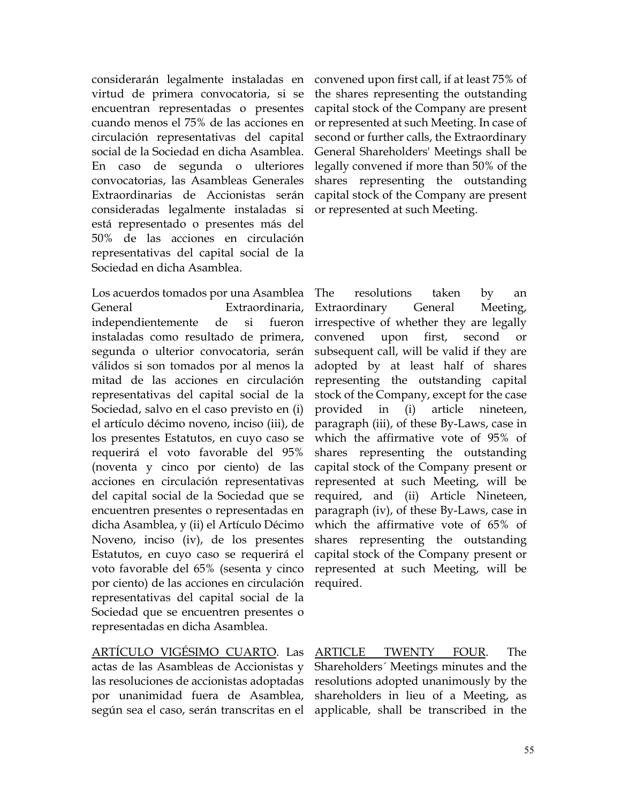considerarán legalmente instaladas en virtud de primera convocatoria, si se encuentran representadas o presentes cuando menos el 75% de las acciones en circulación representativas del capital social de la Sociedad en dicha Asamblea. En caso de segunda o ulteriores convocatorias, las Asambleas Generales Extraordinarias de Accionistas serán consideradas legalmente instaladas si está representado o presentes más del 50% de las acciones en circulación representativas del capital social de la Sociedad en dicha Asamblea.

Los acuerdos tomados por una Asamblea General Extraordinaria, independientemente de si fueron instaladas como resultado de primera, segunda o ulterior convocatoria, serán válidos si son tomados por al menos la mitad de las acciones en circulación representativas del capital social de la Sociedad, salvo en el caso previsto en (i) el artículo décimo noveno, inciso (iii), de los presentes Estatutos, en cuyo caso se requerirá el voto favorable del 95% (noventa y cinco por ciento) de las acciones en circulación representativas del capital social de la Sociedad que se encuentren presentes o representadas en dicha Asamblea, y (ii) el Artículo Décimo Noveno, inciso (iv), de los presentes Estatutos, en cuyo caso se requerirá el voto favorable del 65% (sesenta y cinco por ciento) de las acciones en circulación representativas del capital social de la Sociedad que se encuentren presentes o representadas en dicha Asamblea.

ARTÍCULO VIGÉSIMO CUARTO. Las actas de las Asambleas de Accionistas y las resoluciones de accionistas adoptadas por unanimidad fuera de Asamblea, según sea el caso, serán transcritas en el applicable, shall be transcribed in the

convened upon first call, if at least 75% of the shares representing the outstanding capital stock of the Company are present or represented at such Meeting. In case of second or further calls, the Extraordinary General Shareholders' Meetings shall be legally convened if more than 50% of the shares representing the outstanding capital stock of the Company are present or represented at such Meeting.

The resolutions taken by an Extraordinary General Meeting, irrespective of whether they are legally convened upon first, second subsequent call, will be valid if they are adopted by at least half of shares representing the outstanding capital stock of the Company, except for the case provided in (i) article nineteen, paragraph (iii), of these By-Laws, case in which the affirmative vote of 95% of shares representing the outstanding capital stock of the Company present or represented at such Meeting, will be required, and (ii) Article Nineteen, paragraph (iv), of these By-Laws, case in which the affirmative vote of 65% of shares representing the outstanding capital stock of the Company present or represented at such Meeting, will be required.

ARTICLE TWENTY FOUR. The Shareholders´ Meetings minutes and the resolutions adopted unanimously by the shareholders in lieu of a Meeting, as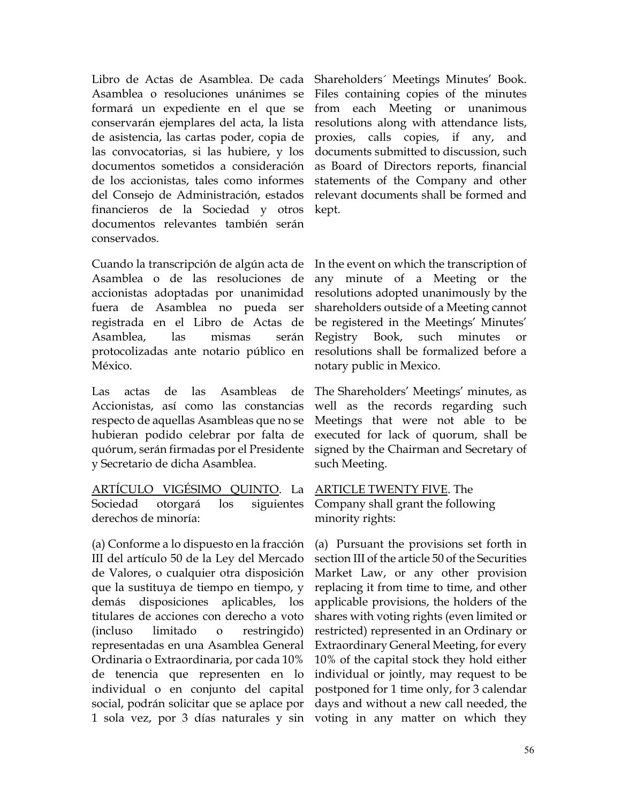Libro de Actas de Asamblea. De cada Asamblea o resoluciones unánimes se formará un expediente en el que se conservarán ejemplares del acta, la lista de asistencia, las cartas poder, copia de las convocatorias, si las hubiere, y los documentos sometidos a consideración de los accionistas, tales como informes del Consejo de Administración, estados financieros de la Sociedad y otros documentos relevantes también serán conservados.

Cuando la transcripción de algún acta de Asamblea o de las resoluciones de accionistas adoptadas por unanimidad fuera de Asamblea no pueda ser registrada en el Libro de Actas de Asamblea, las mismas serán protocolizadas ante notario público en México.

Las actas de las Asambleas de Accionistas, así como las constancias respecto de aquellas Asambleas que no se hubieran podido celebrar por falta de quórum, serán firmadas por el Presidente y Secretario de dicha Asamblea.

ARTÍCULO VIGÉSIMO QUINTO. La Sociedad otorgará los siguientes derechos de minoría:

(a) Conforme a lo dispuesto en la fracción III del artículo 50 de la Ley del Mercado de Valores, o cualquier otra disposición que la sustituya de tiempo en tiempo, y demás disposiciones aplicables, los titulares de acciones con derecho a voto (incluso limitado o restringido) representadas en una Asamblea General Ordinaria o Extraordinaria, por cada 10% de tenencia que representen en lo individual o en conjunto del capital social, podrán solicitar que se aplace por 1 sola vez, por 3 días naturales y sin voting in any matter on which they

Shareholders´ Meetings Minutes' Book. Files containing copies of the minutes from each Meeting or unanimous resolutions along with attendance lists, proxies, calls copies, if any, and documents submitted to discussion, such as Board of Directors reports, financial statements of the Company and other relevant documents shall be formed and kept.

In the event on which the transcription of any minute of a Meeting or the resolutions adopted unanimously by the shareholders outside of a Meeting cannot be registered in the Meetings' Minutes' Registry Book, such minutes or resolutions shall be formalized before a notary public in Mexico.

The Shareholders' Meetings' minutes, as well as the records regarding such Meetings that were not able to be executed for lack of quorum, shall be signed by the Chairman and Secretary of such Meeting.

ARTICLE TWENTY FIVE. The Company shall grant the following minority rights:

(a) Pursuant the provisions set forth in section III of the article 50 of the Securities Market Law, or any other provision replacing it from time to time, and other applicable provisions, the holders of the shares with voting rights (even limited or restricted) represented in an Ordinary or Extraordinary General Meeting, for every 10% of the capital stock they hold either individual or jointly, may request to be postponed for 1 time only, for 3 calendar days and without a new call needed, the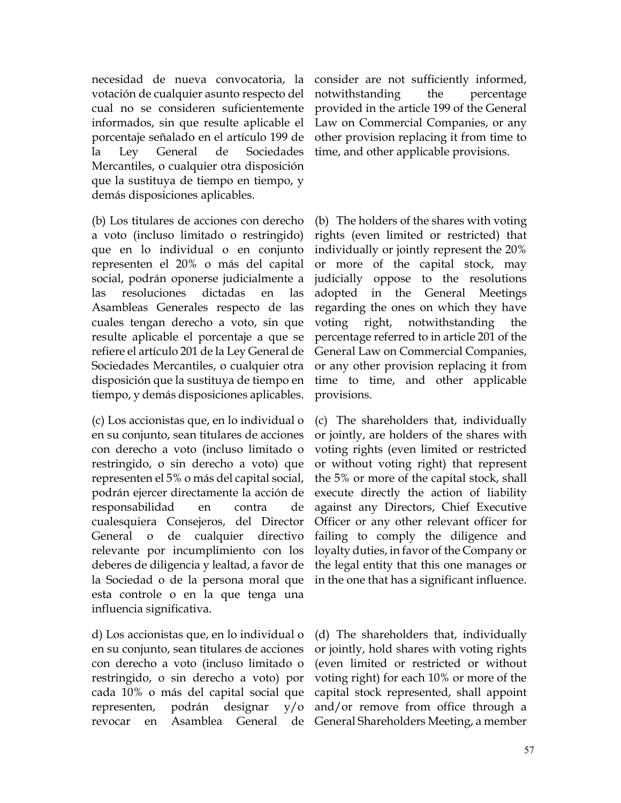necesidad de nueva convocatoria, la votación de cualquier asunto respecto del cual no se consideren suficientemente informados, sin que resulte aplicable el porcentaje señalado en el artículo 199 de la Ley General de Sociedades Mercantiles, o cualquier otra disposición que la sustituya de tiempo en tiempo, y demás disposiciones aplicables.

(b) Los titulares de acciones con derecho a voto (incluso limitado o restringido) que en lo individual o en conjunto representen el 20% o más del capital social, podrán oponerse judicialmente a las resoluciones dictadas en las Asambleas Generales respecto de las cuales tengan derecho a voto, sin que resulte aplicable el porcentaje a que se refiere el artículo 201 de la Ley General de Sociedades Mercantiles, o cualquier otra disposición que la sustituya de tiempo en tiempo, y demás disposiciones aplicables.

(c) Los accionistas que, en lo individual o en su conjunto, sean titulares de acciones con derecho a voto (incluso limitado o restringido, o sin derecho a voto) que representen el 5% o más del capital social, podrán ejercer directamente la acción de responsabilidad en contra de cualesquiera Consejeros, del Director General o de cualquier directivo relevante por incumplimiento con los deberes de diligencia y lealtad, a favor de la Sociedad o de la persona moral que esta controle o en la que tenga una influencia significativa.

d) Los accionistas que, en lo individual o en su conjunto, sean titulares de acciones con derecho a voto (incluso limitado o restringido, o sin derecho a voto) por cada 10% o más del capital social que representen, podrán designar y/o revocar en Asamblea General de

consider are not sufficiently informed, notwithstanding the percentage provided in the article 199 of the General Law on Commercial Companies, or any other provision replacing it from time to time, and other applicable provisions.

(b) The holders of the shares with voting rights (even limited or restricted) that individually or jointly represent the 20% or more of the capital stock, may judicially oppose to the resolutions adopted in the General Meetings regarding the ones on which they have voting right, notwithstanding the percentage referred to in article 201 of the General Law on Commercial Companies, or any other provision replacing it from time to time, and other applicable provisions.

(c) The shareholders that, individually or jointly, are holders of the shares with voting rights (even limited or restricted or without voting right) that represent the 5% or more of the capital stock, shall execute directly the action of liability against any Directors, Chief Executive Officer or any other relevant officer for failing to comply the diligence and loyalty duties, in favor of the Company or the legal entity that this one manages or in the one that has a significant influence.

(d) The shareholders that, individually or jointly, hold shares with voting rights (even limited or restricted or without voting right) for each 10% or more of the capital stock represented, shall appoint and/or remove from office through a General Shareholders Meeting, a member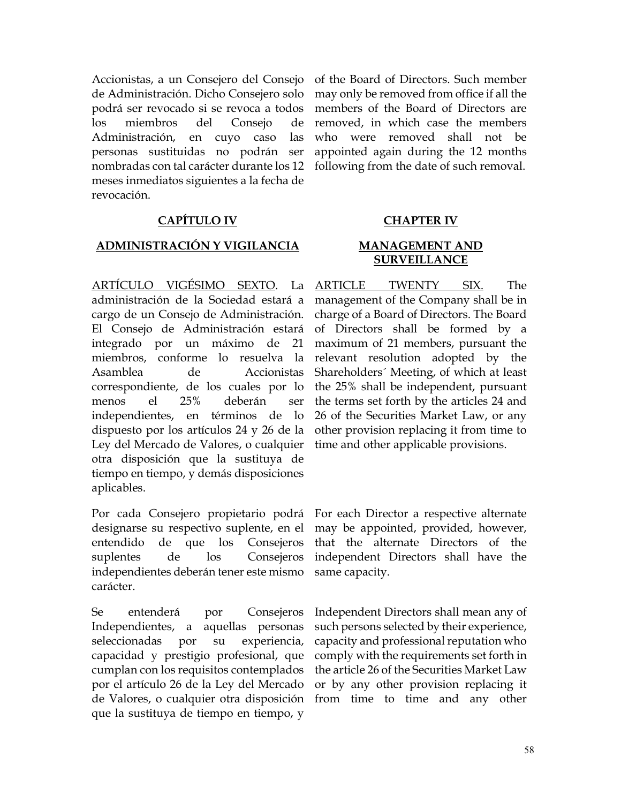Accionistas, a un Consejero del Consejo de Administración. Dicho Consejero solo podrá ser revocado si se revoca a todos los miembros del Consejo de Administración, en cuyo caso las personas sustituidas no podrán ser nombradas con tal carácter durante los 12 meses inmediatos siguientes a la fecha de revocación.

## **CAPÍTULO IV CHAPTER IV**

### **ADMINISTRACIÓN Y VIGILANCIA MANAGEMENT AND**

ARTÍCULO VIGÉSIMO SEXTO. La administración de la Sociedad estará a cargo de un Consejo de Administración. El Consejo de Administración estará integrado por un máximo de 21 miembros, conforme lo resuelva la Asamblea de Accionistas correspondiente, de los cuales por lo menos el 25% deberán ser independientes, en términos de lo dispuesto por los artículos 24 y 26 de la Ley del Mercado de Valores, o cualquier otra disposición que la sustituya de tiempo en tiempo, y demás disposiciones aplicables.

Por cada Consejero propietario podrá designarse su respectivo suplente, en el entendido de que los Consejeros suplentes de los Consejeros independientes deberán tener este mismo carácter.

Se entenderá por Consejeros Independientes, a aquellas personas seleccionadas por su experiencia, capacidad y prestigio profesional, que cumplan con los requisitos contemplados por el artículo 26 de la Ley del Mercado de Valores, o cualquier otra disposición que la sustituya de tiempo en tiempo, y

of the Board of Directors. Such member may only be removed from office if all the members of the Board of Directors are removed, in which case the members who were removed shall not be appointed again during the 12 months following from the date of such removal.

# **SURVEILLANCE**

ARTICLE TWENTY SIX. The management of the Company shall be in charge of a Board of Directors. The Board of Directors shall be formed by a maximum of 21 members, pursuant the relevant resolution adopted by the Shareholders´ Meeting, of which at least the 25% shall be independent, pursuant the terms set forth by the articles 24 and 26 of the Securities Market Law, or any other provision replacing it from time to time and other applicable provisions.

For each Director a respective alternate may be appointed, provided, however, that the alternate Directors of the independent Directors shall have the same capacity.

Independent Directors shall mean any of such persons selected by their experience, capacity and professional reputation who comply with the requirements set forth in the article 26 of the Securities Market Law or by any other provision replacing it from time to time and any other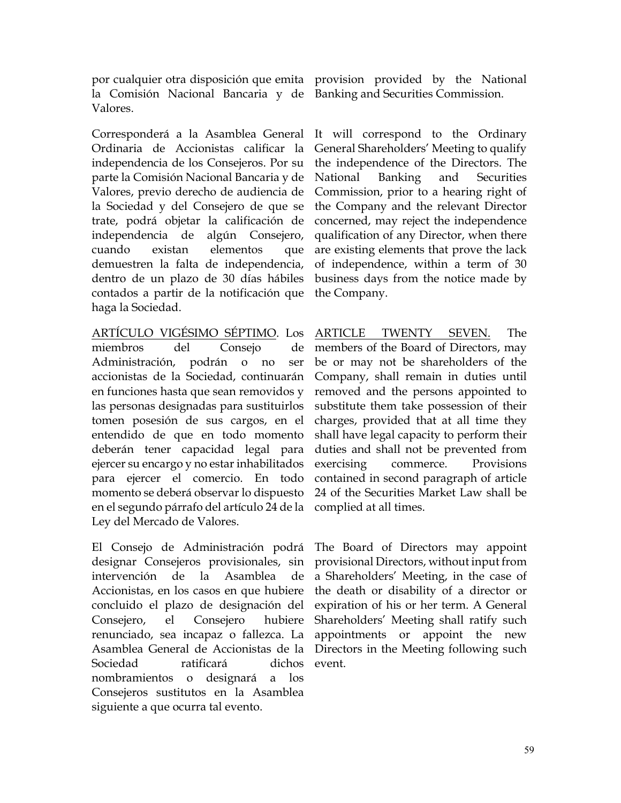por cualquier otra disposición que emita provision provided by the National la Comisión Nacional Bancaria y de Banking and Securities Commission. Valores.

Corresponderá a la Asamblea General Ordinaria de Accionistas calificar la independencia de los Consejeros. Por su parte la Comisión Nacional Bancaria y de Valores, previo derecho de audiencia de la Sociedad y del Consejero de que se trate, podrá objetar la calificación de independencia de algún Consejero, cuando existan elementos que demuestren la falta de independencia, dentro de un plazo de 30 días hábiles contados a partir de la notificación que haga la Sociedad.

ARTÍCULO VIGÉSIMO SÉPTIMO. Los miembros del Consejo de Administración, podrán o no ser accionistas de la Sociedad, continuarán en funciones hasta que sean removidos y las personas designadas para sustituirlos tomen posesión de sus cargos, en el entendido de que en todo momento deberán tener capacidad legal para ejercer su encargo y no estar inhabilitados para ejercer el comercio. En todo momento se deberá observar lo dispuesto en el segundo párrafo del artículo 24 de la Ley del Mercado de Valores.

El Consejo de Administración podrá designar Consejeros provisionales, sin intervención de la Asamblea de Accionistas, en los casos en que hubiere concluido el plazo de designación del Consejero, el Consejero hubiere renunciado, sea incapaz o fallezca. La Asamblea General de Accionistas de la Sociedad ratificará dichos nombramientos o designará a los Consejeros sustitutos en la Asamblea siguiente a que ocurra tal evento.

It will correspond to the Ordinary General Shareholders' Meeting to qualify the independence of the Directors. The National Banking and Securities Commission, prior to a hearing right of the Company and the relevant Director concerned, may reject the independence qualification of any Director, when there are existing elements that prove the lack of independence, within a term of 30 business days from the notice made by the Company.

ARTICLE TWENTY SEVEN. The members of the Board of Directors, may be or may not be shareholders of the Company, shall remain in duties until removed and the persons appointed to substitute them take possession of their charges, provided that at all time they shall have legal capacity to perform their duties and shall not be prevented from exercising commerce. Provisions contained in second paragraph of article 24 of the Securities Market Law shall be complied at all times.

The Board of Directors may appoint provisional Directors, without input from a Shareholders' Meeting, in the case of the death or disability of a director or expiration of his or her term. A General Shareholders' Meeting shall ratify such appointments or appoint the new Directors in the Meeting following such event.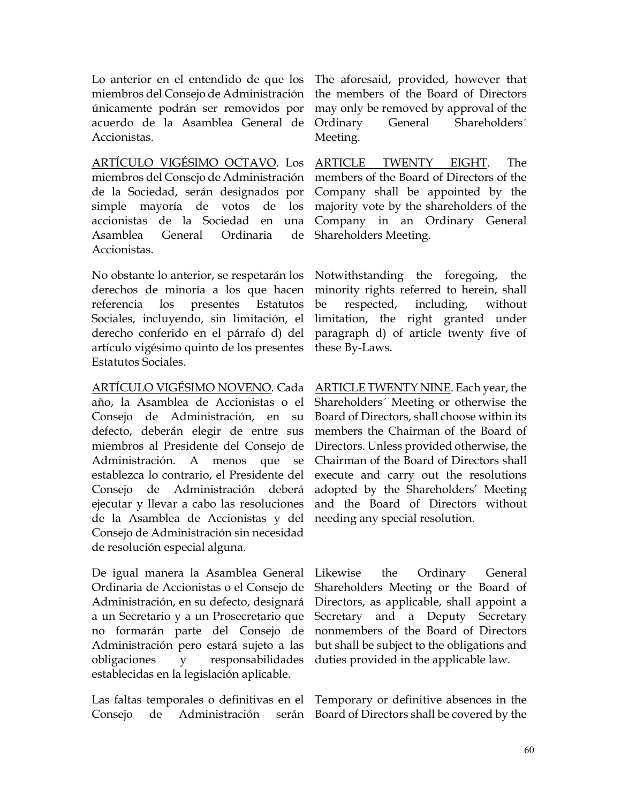Lo anterior en el entendido de que los miembros del Consejo de Administración únicamente podrán ser removidos por acuerdo de la Asamblea General de Accionistas.

ARTÍCULO VIGÉSIMO OCTAVO. Los miembros del Consejo de Administración de la Sociedad, serán designados por simple mayoría de votos de los accionistas de la Sociedad en una Asamblea General Ordinaria de **Accionistas** 

No obstante lo anterior, se respetarán los derechos de minoría a los que hacen referencia los presentes Estatutos Sociales, incluyendo, sin limitación, el derecho conferido en el párrafo d) del artículo vigésimo quinto de los presentes Estatutos Sociales.

ARTÍCULO VIGÉSIMO NOVENO. Cada año, la Asamblea de Accionistas o el Consejo de Administración, en su defecto, deberán elegir de entre sus miembros al Presidente del Consejo de Administración. A menos que se establezca lo contrario, el Presidente del Consejo de Administración deberá ejecutar y llevar a cabo las resoluciones de la Asamblea de Accionistas y del Consejo de Administración sin necesidad de resolución especial alguna.

De igual manera la Asamblea General Ordinaria de Accionistas o el Consejo de Administración, en su defecto, designará a un Secretario y a un Prosecretario que no formarán parte del Consejo de Administración pero estará sujeto a las obligaciones y responsabilidades establecidas en la legislación aplicable.

Las faltas temporales o definitivas en el Temporary or definitive absences in the Consejo de Administración serán Board of Directors shall be covered by the

The aforesaid, provided, however that the members of the Board of Directors may only be removed by approval of the Ordinary General Shareholders´ Meeting.

ARTICLE TWENTY EIGHT. The members of the Board of Directors of the Company shall be appointed by the majority vote by the shareholders of the Company in an Ordinary General Shareholders Meeting.

Notwithstanding the foregoing, the minority rights referred to herein, shall be respected, including, without limitation, the right granted under paragraph d) of article twenty five of these By-Laws.

ARTICLE TWENTY NINE. Each year, the Shareholders´ Meeting or otherwise the Board of Directors, shall choose within its members the Chairman of the Board of Directors. Unless provided otherwise, the Chairman of the Board of Directors shall execute and carry out the resolutions adopted by the Shareholders' Meeting and the Board of Directors without needing any special resolution.

Likewise the Ordinary General Shareholders Meeting or the Board of Directors, as applicable, shall appoint a Secretary and a Deputy Secretary nonmembers of the Board of Directors but shall be subject to the obligations and duties provided in the applicable law.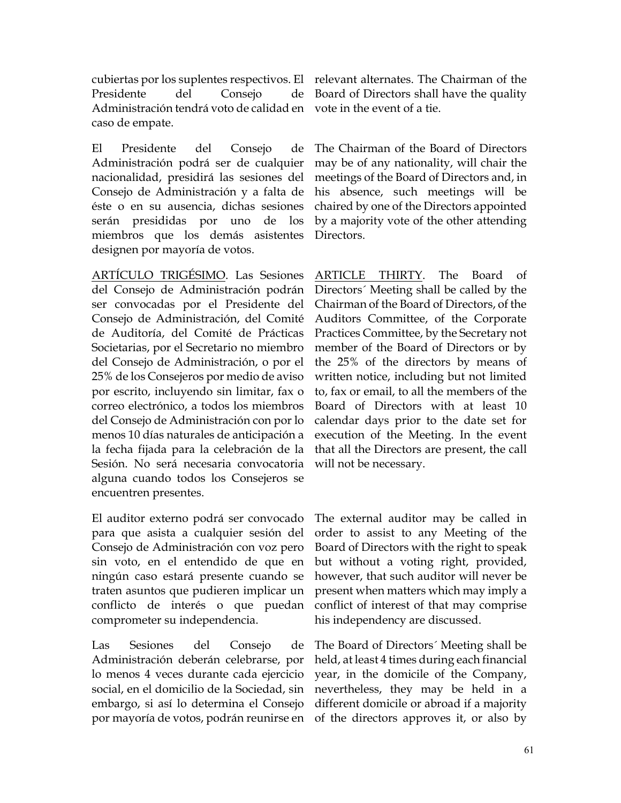cubiertas por los suplentes respectivos. El relevant alternates. The Chairman of the Presidente del Consejo de Administración tendrá voto de calidad en vote in the event of a tie. caso de empate.

El Presidente del Consejo de Administración podrá ser de cualquier nacionalidad, presidirá las sesiones del Consejo de Administración y a falta de éste o en su ausencia, dichas sesiones serán presididas por uno de los miembros que los demás asistentes designen por mayoría de votos.

ARTÍCULO TRIGÉSIMO. Las Sesiones del Consejo de Administración podrán ser convocadas por el Presidente del Consejo de Administración, del Comité de Auditoría, del Comité de Prácticas Societarias, por el Secretario no miembro del Consejo de Administración, o por el 25% de los Consejeros por medio de aviso por escrito, incluyendo sin limitar, fax o correo electrónico, a todos los miembros del Consejo de Administración con por lo menos 10 días naturales de anticipación a la fecha fijada para la celebración de la Sesión. No será necesaria convocatoria alguna cuando todos los Consejeros se encuentren presentes.

El auditor externo podrá ser convocado para que asista a cualquier sesión del Consejo de Administración con voz pero sin voto, en el entendido de que en ningún caso estará presente cuando se traten asuntos que pudieren implicar un conflicto de interés o que puedan comprometer su independencia.

Las Sesiones del Consejo de Administración deberán celebrarse, por lo menos 4 veces durante cada ejercicio social, en el domicilio de la Sociedad, sin embargo, si así lo determina el Consejo por mayoría de votos, podrán reunirse en

Board of Directors shall have the quality

The Chairman of the Board of Directors may be of any nationality, will chair the meetings of the Board of Directors and, in his absence, such meetings will be chaired by one of the Directors appointed by a majority vote of the other attending Directors.

ARTICLE THIRTY. The Board of Directors´ Meeting shall be called by the Chairman of the Board of Directors, of the Auditors Committee, of the Corporate Practices Committee, by the Secretary not member of the Board of Directors or by the 25% of the directors by means of written notice, including but not limited to, fax or email, to all the members of the Board of Directors with at least 10 calendar days prior to the date set for execution of the Meeting. In the event that all the Directors are present, the call will not be necessary.

The external auditor may be called in order to assist to any Meeting of the Board of Directors with the right to speak but without a voting right, provided, however, that such auditor will never be present when matters which may imply a conflict of interest of that may comprise his independency are discussed.

The Board of Directors´ Meeting shall be held, at least 4 times during each financial year, in the domicile of the Company, nevertheless, they may be held in a different domicile or abroad if a majority of the directors approves it, or also by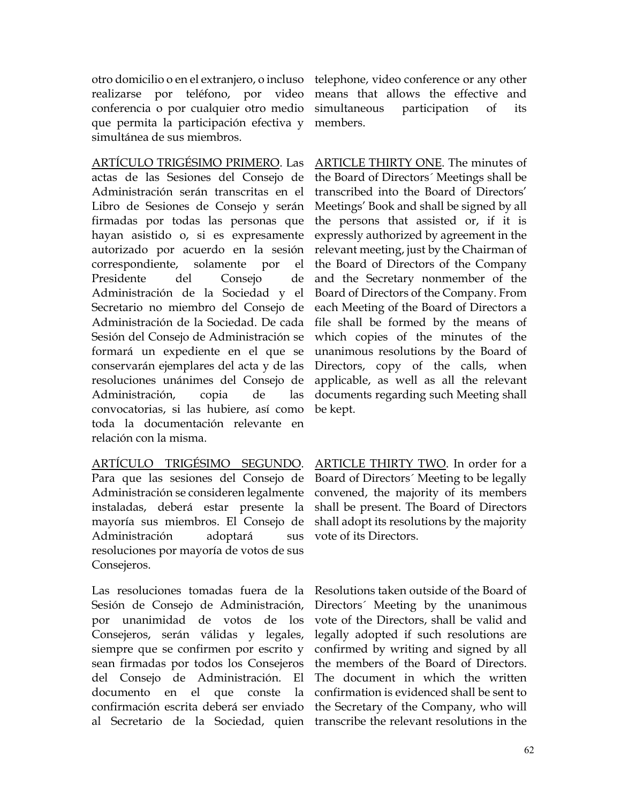otro domicilio o en el extranjero, o incluso realizarse por teléfono, por video conferencia o por cualquier otro medio que permita la participación efectiva y simultánea de sus miembros.

ARTÍCULO TRIGÉSIMO PRIMERO. Las actas de las Sesiones del Consejo de Administración serán transcritas en el Libro de Sesiones de Consejo y serán firmadas por todas las personas que hayan asistido o, si es expresamente autorizado por acuerdo en la sesión correspondiente, solamente por el Presidente del Consejo de Administración de la Sociedad y el Secretario no miembro del Consejo de Administración de la Sociedad. De cada Sesión del Consejo de Administración se formará un expediente en el que se conservarán ejemplares del acta y de las resoluciones unánimes del Consejo de Administración, copia de las convocatorias, si las hubiere, así como toda la documentación relevante en relación con la misma.

ARTÍCULO TRIGÉSIMO SEGUNDO. Para que las sesiones del Consejo de Administración se consideren legalmente instaladas, deberá estar presente la mayoría sus miembros. El Consejo de Administración adoptará sus resoluciones por mayoría de votos de sus Consejeros.

Las resoluciones tomadas fuera de la Sesión de Consejo de Administración, por unanimidad de votos de los Consejeros, serán válidas y legales, siempre que se confirmen por escrito y sean firmadas por todos los Consejeros del Consejo de Administración. El documento en el que conste la confirmación escrita deberá ser enviado

telephone, video conference or any other means that allows the effective and simultaneous participation of its members.

ARTICLE THIRTY ONE. The minutes of the Board of Directors´ Meetings shall be transcribed into the Board of Directors' Meetings' Book and shall be signed by all the persons that assisted or, if it is expressly authorized by agreement in the relevant meeting, just by the Chairman of the Board of Directors of the Company and the Secretary nonmember of the Board of Directors of the Company. From each Meeting of the Board of Directors a file shall be formed by the means of which copies of the minutes of the unanimous resolutions by the Board of Directors, copy of the calls, when applicable, as well as all the relevant documents regarding such Meeting shall be kept.

ARTICLE THIRTY TWO. In order for a Board of Directors´ Meeting to be legally convened, the majority of its members shall be present. The Board of Directors shall adopt its resolutions by the majority vote of its Directors.

al Secretario de la Sociedad, quien transcribe the relevant resolutions in the Resolutions taken outside of the Board of Directors´ Meeting by the unanimous vote of the Directors, shall be valid and legally adopted if such resolutions are confirmed by writing and signed by all the members of the Board of Directors. The document in which the written confirmation is evidenced shall be sent to the Secretary of the Company, who will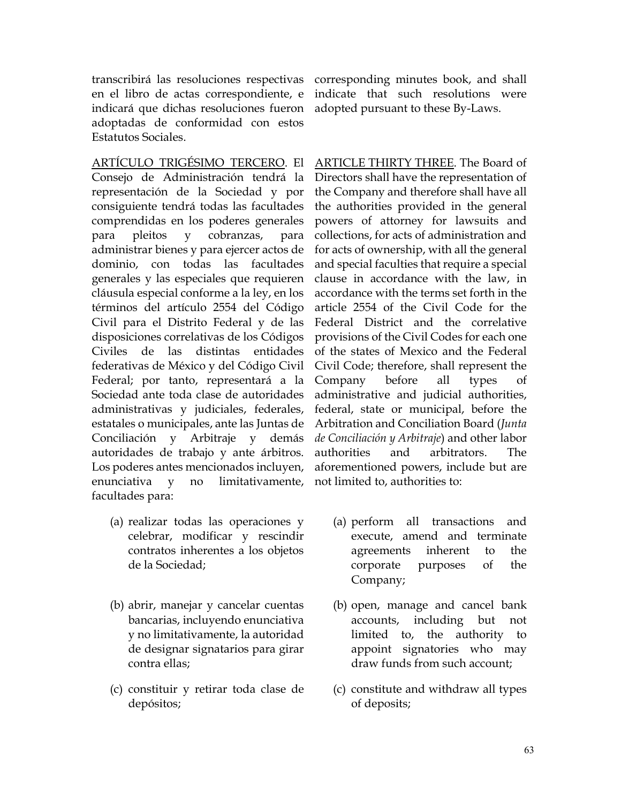transcribirá las resoluciones respectivas corresponding minutes book, and shall en el libro de actas correspondiente, e indicará que dichas resoluciones fueron adoptadas de conformidad con estos Estatutos Sociales.

ARTÍCULO TRIGÉSIMO TERCERO. El Consejo de Administración tendrá la representación de la Sociedad y por consiguiente tendrá todas las facultades comprendidas en los poderes generales para pleitos y cobranzas, para administrar bienes y para ejercer actos de dominio, con todas las facultades generales y las especiales que requieren cláusula especial conforme a la ley, en los términos del artículo 2554 del Código Civil para el Distrito Federal y de las disposiciones correlativas de los Códigos Civiles de las distintas entidades federativas de México y del Código Civil Federal; por tanto, representará a la Sociedad ante toda clase de autoridades administrativas y judiciales, federales, estatales o municipales, ante las Juntas de Conciliación y Arbitraje y demás autoridades de trabajo y ante árbitros. Los poderes antes mencionados incluyen, enunciativa y no limitativamente, facultades para:

- (a) realizar todas las operaciones y celebrar, modificar y rescindir contratos inherentes a los objetos de la Sociedad;
- (b) abrir, manejar y cancelar cuentas bancarias, incluyendo enunciativa y no limitativamente, la autoridad de designar signatarios para girar contra ellas;
- (c) constituir y retirar toda clase de depósitos;

indicate that such resolutions were adopted pursuant to these By-Laws.

ARTICLE THIRTY THREE. The Board of Directors shall have the representation of the Company and therefore shall have all the authorities provided in the general powers of attorney for lawsuits and collections, for acts of administration and for acts of ownership, with all the general and special faculties that require a special clause in accordance with the law, in accordance with the terms set forth in the article 2554 of the Civil Code for the Federal District and the correlative provisions of the Civil Codes for each one of the states of Mexico and the Federal Civil Code; therefore, shall represent the Company before all types of administrative and judicial authorities, federal, state or municipal, before the Arbitration and Conciliation Board (*Junta de Conciliación y Arbitraje*) and other labor authorities and arbitrators. The aforementioned powers, include but are not limited to, authorities to:

- (a) perform all transactions and execute, amend and terminate agreements inherent to the corporate purposes of the Company;
- (b) open, manage and cancel bank accounts, including but not limited to, the authority to appoint signatories who may draw funds from such account;
- (c) constitute and withdraw all types of deposits;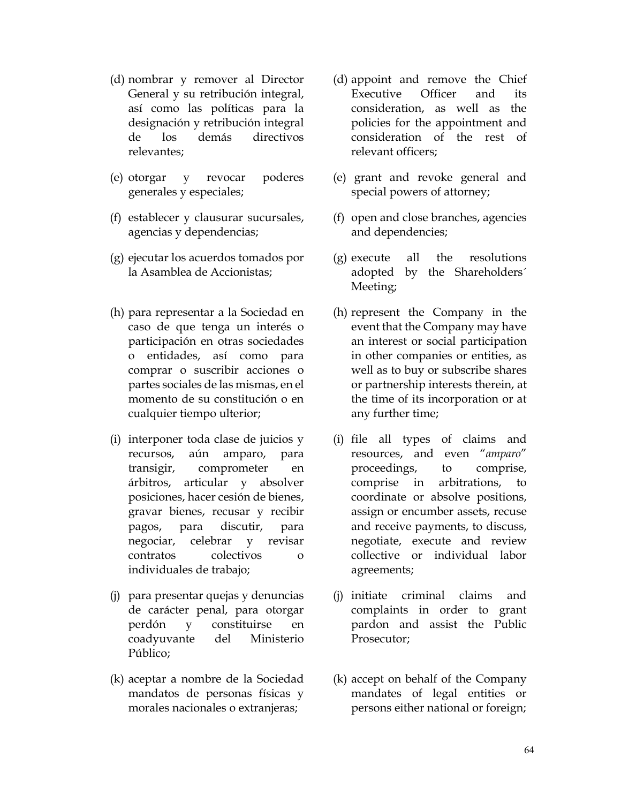- (d) nombrar y remover al Director General y su retribución integral, así como las políticas para la designación y retribución integral de los demás directivos relevantes;
- (e) otorgar y revocar poderes generales y especiales;
- (f) establecer y clausurar sucursales, agencias y dependencias;
- (g) ejecutar los acuerdos tomados por la Asamblea de Accionistas;
- (h) para representar a la Sociedad en caso de que tenga un interés o participación en otras sociedades o entidades, así como para comprar o suscribir acciones o partes sociales de las mismas, en el momento de su constitución o en cualquier tiempo ulterior;
- (i) interponer toda clase de juicios y recursos, aún amparo, para transigir, comprometer en árbitros, articular y absolver posiciones, hacer cesión de bienes, gravar bienes, recusar y recibir pagos, para discutir, para negociar, celebrar y revisar contratos colectivos o individuales de trabajo;
- (j) para presentar quejas y denuncias de carácter penal, para otorgar perdón y constituirse en coadyuvante del Ministerio Público;
- (k) aceptar a nombre de la Sociedad mandatos de personas físicas y morales nacionales o extranjeras;
- (d) appoint and remove the Chief Executive Officer and its consideration, as well as the policies for the appointment and consideration of the rest of relevant officers;
- (e) grant and revoke general and special powers of attorney;
- (f) open and close branches, agencies and dependencies;
- (g) execute all the resolutions adopted by the Shareholders´ Meeting;
- (h) represent the Company in the event that the Company may have an interest or social participation in other companies or entities, as well as to buy or subscribe shares or partnership interests therein, at the time of its incorporation or at any further time;
- (i) file all types of claims and resources, and even "*amparo*" proceedings, to comprise, comprise in arbitrations, to coordinate or absolve positions, assign or encumber assets, recuse and receive payments, to discuss, negotiate, execute and review collective or individual labor agreements;
- (j) initiate criminal claims and complaints in order to grant pardon and assist the Public Prosecutor;
- (k) accept on behalf of the Company mandates of legal entities or persons either national or foreign;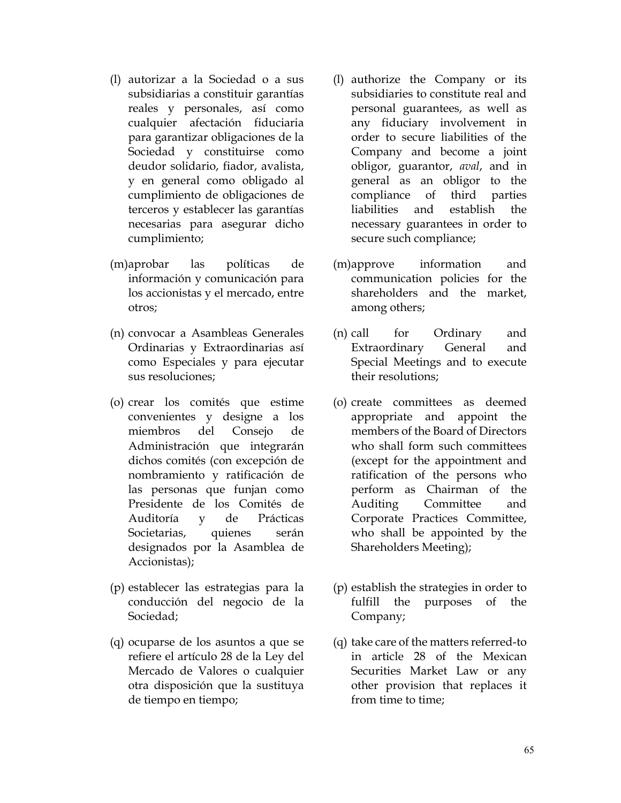- (l) autorizar a la Sociedad o a sus subsidiarias a constituir garantías reales y personales, así como cualquier afectación fiduciaria para garantizar obligaciones de la Sociedad y constituirse como deudor solidario, fiador, avalista, y en general como obligado al cumplimiento de obligaciones de terceros y establecer las garantías necesarias para asegurar dicho cumplimiento;
- (m)aprobar las políticas de información y comunicación para los accionistas y el mercado, entre otros;
- (n) convocar a Asambleas Generales Ordinarias y Extraordinarias así como Especiales y para ejecutar sus resoluciones;
- (o) crear los comités que estime convenientes y designe a los miembros del Consejo de Administración que integrarán dichos comités (con excepción de nombramiento y ratificación de las personas que funjan como Presidente de los Comités de Auditoría y de Prácticas Societarias, quienes serán designados por la Asamblea de Accionistas);
- (p) establecer las estrategias para la conducción del negocio de la Sociedad;
- (q) ocuparse de los asuntos a que se refiere el artículo 28 de la Ley del Mercado de Valores o cualquier otra disposición que la sustituya de tiempo en tiempo;
- (l) authorize the Company or its subsidiaries to constitute real and personal guarantees, as well as any fiduciary involvement in order to secure liabilities of the Company and become a joint obligor, guarantor, *aval*, and in general as an obligor to the compliance of third parties liabilities and establish the necessary guarantees in order to secure such compliance;
- (m)approve information and communication policies for the shareholders and the market, among others;
- (n) call for Ordinary and Extraordinary General and Special Meetings and to execute their resolutions;
- (o) create committees as deemed appropriate and appoint the members of the Board of Directors who shall form such committees (except for the appointment and ratification of the persons who perform as Chairman of the Auditing Committee and Corporate Practices Committee, who shall be appointed by the Shareholders Meeting);
- (p) establish the strategies in order to fulfill the purposes of the Company;
- (q) take care of the matters referred-to in article 28 of the Mexican Securities Market Law or any other provision that replaces it from time to time;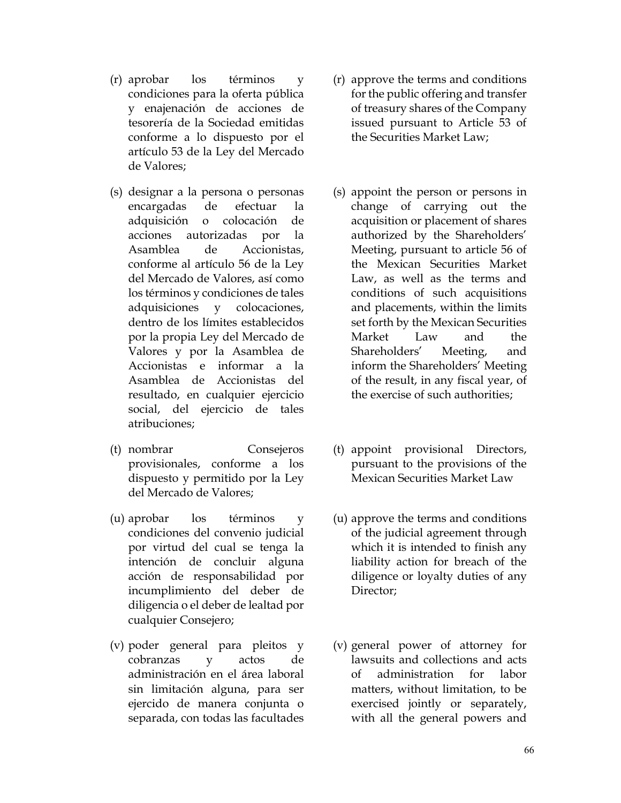- (r) aprobar los términos y condiciones para la oferta pública y enajenación de acciones de tesorería de la Sociedad emitidas conforme a lo dispuesto por el artículo 53 de la Ley del Mercado de Valores;
- (s) designar a la persona o personas encargadas de efectuar la adquisición o colocación de acciones autorizadas por la Asamblea de Accionistas, conforme al artículo 56 de la Ley del Mercado de Valores, así como los términos y condiciones de tales adquisiciones y colocaciones, dentro de los límites establecidos por la propia Ley del Mercado de Valores y por la Asamblea de Accionistas e informar a la Asamblea de Accionistas del resultado, en cualquier ejercicio social, del ejercicio de tales atribuciones;
- (t) nombrar Consejeros provisionales, conforme a los dispuesto y permitido por la Ley del Mercado de Valores;
- (u) aprobar los términos y condiciones del convenio judicial por virtud del cual se tenga la intención de concluir alguna acción de responsabilidad por incumplimiento del deber de diligencia o el deber de lealtad por cualquier Consejero;
- (v) poder general para pleitos y cobranzas y actos de administración en el área laboral sin limitación alguna, para ser ejercido de manera conjunta o separada, con todas las facultades
- (r) approve the terms and conditions for the public offering and transfer of treasury shares of the Company issued pursuant to Article 53 of the Securities Market Law;
- (s) appoint the person or persons in change of carrying out the acquisition or placement of shares authorized by the Shareholders' Meeting, pursuant to article 56 of the Mexican Securities Market Law, as well as the terms and conditions of such acquisitions and placements, within the limits set forth by the Mexican Securities Market Law and the Shareholders' Meeting, and inform the Shareholders' Meeting of the result, in any fiscal year, of the exercise of such authorities;
- (t) appoint provisional Directors, pursuant to the provisions of the Mexican Securities Market Law
- (u) approve the terms and conditions of the judicial agreement through which it is intended to finish any liability action for breach of the diligence or loyalty duties of any Director;
- (v) general power of attorney for lawsuits and collections and acts of administration for labor matters, without limitation, to be exercised jointly or separately, with all the general powers and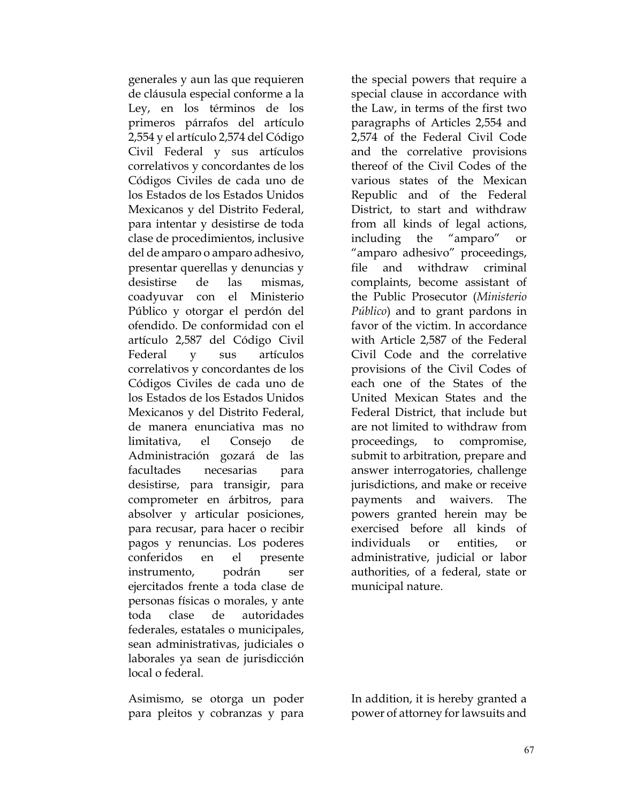generales y aun las que requieren de cláusula especial conforme a la Ley, en los términos de los primeros párrafos del artículo 2,554 y el artículo 2,574 del Código Civil Federal y sus artículos correlativos y concordantes de los Códigos Civiles de cada uno de los Estados de los Estados Unidos Mexicanos y del Distrito Federal, para intentar y desistirse de toda clase de procedimientos, inclusive del de amparo o amparo adhesivo, presentar querellas y denuncias y desistirse de las mismas, coadyuvar con el Ministerio Público y otorgar el perdón del ofendido. De conformidad con el artículo 2,587 del Código Civil Federal y sus artículos correlativos y concordantes de los Códigos Civiles de cada uno de los Estados de los Estados Unidos Mexicanos y del Distrito Federal, de manera enunciativa mas no limitativa, el Consejo de Administración gozará de las facultades necesarias para desistirse, para transigir, para comprometer en árbitros, para absolver y articular posiciones, para recusar, para hacer o recibir pagos y renuncias. Los poderes conferidos en el presente instrumento, podrán ser ejercitados frente a toda clase de personas físicas o morales, y ante toda clase de autoridades federales, estatales o municipales, sean administrativas, judiciales o laborales ya sean de jurisdicción local o federal.

Asimismo, se otorga un poder para pleitos y cobranzas y para

the special powers that require a special clause in accordance with the Law, in terms of the first two paragraphs of Articles 2,554 and 2,574 of the Federal Civil Code and the correlative provisions thereof of the Civil Codes of the various states of the Mexican Republic and of the Federal District, to start and withdraw from all kinds of legal actions, including the "amparo" or "amparo adhesivo" proceedings, file and withdraw criminal complaints, become assistant of the Public Prosecutor (*Ministerio Público*) and to grant pardons in favor of the victim. In accordance with Article 2,587 of the Federal Civil Code and the correlative provisions of the Civil Codes of each one of the States of the United Mexican States and the Federal District, that include but are not limited to withdraw from proceedings, to compromise, submit to arbitration, prepare and answer interrogatories, challenge jurisdictions, and make or receive payments and waivers. The powers granted herein may be exercised before all kinds of individuals or entities, or administrative, judicial or labor authorities, of a federal, state or municipal nature.

In addition, it is hereby granted a power of attorney for lawsuits and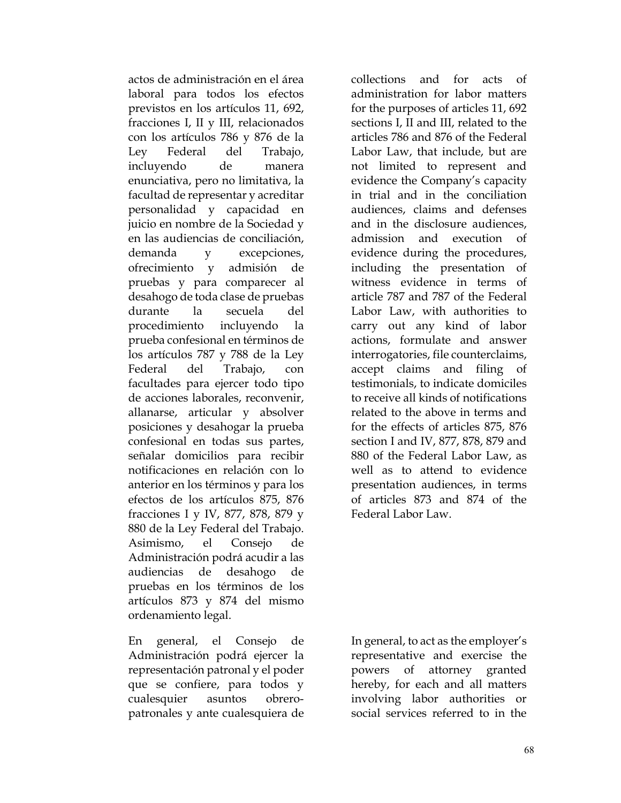actos de administración en el área laboral para todos los efectos previstos en los artículos 11, 692, fracciones I, II y III, relacionados con los artículos 786 y 876 de la Ley Federal del Trabajo, incluyendo de manera enunciativa, pero no limitativa, la facultad de representar y acreditar personalidad y capacidad en juicio en nombre de la Sociedad y en las audiencias de conciliación, demanda y excepciones, ofrecimiento y admisión de pruebas y para comparecer al desahogo de toda clase de pruebas durante la secuela del procedimiento incluyendo la prueba confesional en términos de los artículos 787 y 788 de la Ley Federal del Trabajo, con facultades para ejercer todo tipo de acciones laborales, reconvenir, allanarse, articular y absolver posiciones y desahogar la prueba confesional en todas sus partes, señalar domicilios para recibir notificaciones en relación con lo anterior en los términos y para los efectos de los artículos 875, 876 fracciones I y IV, 877, 878, 879 y 880 de la Ley Federal del Trabajo. Asimismo, el Consejo de Administración podrá acudir a las audiencias de desahogo de pruebas en los términos de los artículos 873 y 874 del mismo ordenamiento legal.

En general, el Consejo de Administración podrá ejercer la representación patronal y el poder que se confiere, para todos y cualesquier asuntos obreropatronales y ante cualesquiera de

collections and for acts of administration for labor matters for the purposes of articles 11, 692 sections I, II and III, related to the articles 786 and 876 of the Federal Labor Law, that include, but are not limited to represent and evidence the Company's capacity in trial and in the conciliation audiences, claims and defenses and in the disclosure audiences, admission and execution of evidence during the procedures, including the presentation of witness evidence in terms of article 787 and 787 of the Federal Labor Law, with authorities to carry out any kind of labor actions, formulate and answer interrogatories, file counterclaims, accept claims and filing of testimonials, to indicate domiciles to receive all kinds of notifications related to the above in terms and for the effects of articles 875, 876 section I and IV, 877, 878, 879 and 880 of the Federal Labor Law, as well as to attend to evidence presentation audiences, in terms of articles 873 and 874 of the Federal Labor Law.

In general, to act as the employer's representative and exercise the powers of attorney granted hereby, for each and all matters involving labor authorities or social services referred to in the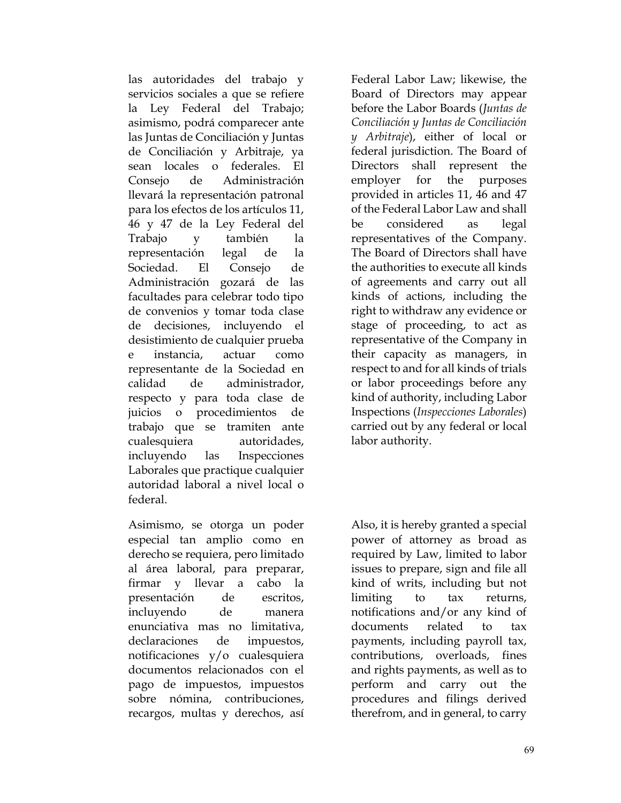las autoridades del trabajo y servicios sociales a que se refiere la Ley Federal del Trabajo; asimismo, podrá comparecer ante las Juntas de Conciliación y Juntas de Conciliación y Arbitraje, ya sean locales o federales. El Consejo de Administración llevará la representación patronal para los efectos de los artículos 11, 46 y 47 de la Ley Federal del Trabajo y también la representación legal de la Sociedad. El Consejo de Administración gozará de las facultades para celebrar todo tipo de convenios y tomar toda clase de decisiones, incluyendo el desistimiento de cualquier prueba e instancia, actuar como representante de la Sociedad en calidad de administrador, respecto y para toda clase de juicios o procedimientos de trabajo que se tramiten ante cualesquiera autoridades, incluyendo las Inspecciones Laborales que practique cualquier autoridad laboral a nivel local o federal.

Asimismo, se otorga un poder especial tan amplio como en derecho se requiera, pero limitado al área laboral, para preparar, firmar y llevar a cabo la presentación de escritos, incluyendo de manera enunciativa mas no limitativa, declaraciones de impuestos, notificaciones y/o cualesquiera documentos relacionados con el pago de impuestos, impuestos sobre nómina, contribuciones, recargos, multas y derechos, así

Federal Labor Law; likewise, the Board of Directors may appear before the Labor Boards (*Juntas de Conciliación y Juntas de Conciliación y Arbitraje*), either of local or federal jurisdiction. The Board of Directors shall represent the employer for the purposes provided in articles 11, 46 and 47 of the Federal Labor Law and shall be considered as legal representatives of the Company. The Board of Directors shall have the authorities to execute all kinds of agreements and carry out all kinds of actions, including the right to withdraw any evidence or stage of proceeding, to act as representative of the Company in their capacity as managers, in respect to and for all kinds of trials or labor proceedings before any kind of authority, including Labor Inspections (*Inspecciones Laborales*) carried out by any federal or local labor authority.

Also, it is hereby granted a special power of attorney as broad as required by Law, limited to labor issues to prepare, sign and file all kind of writs, including but not limiting to tax returns, notifications and/or any kind of documents related to tax payments, including payroll tax, contributions, overloads, fines and rights payments, as well as to perform and carry out the procedures and filings derived therefrom, and in general, to carry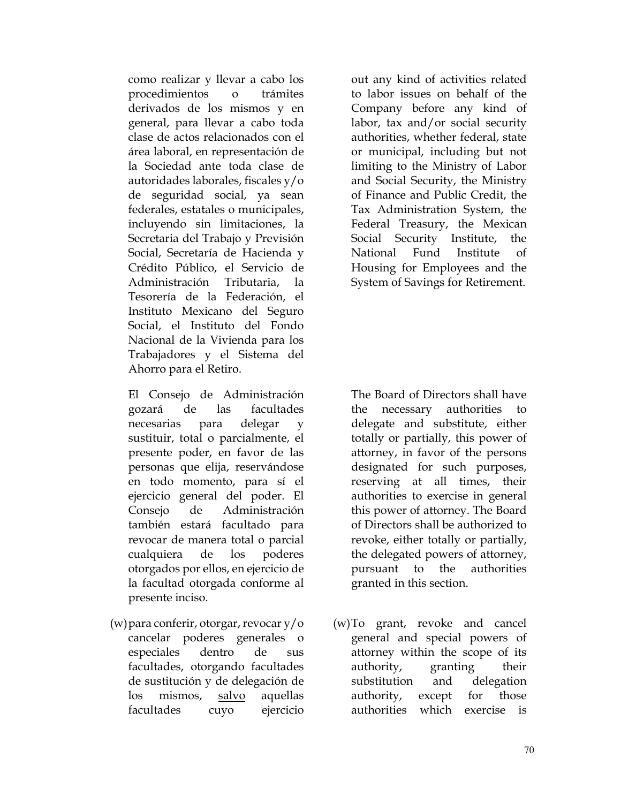como realizar y llevar a cabo los procedimientos o trámites derivados de los mismos y en general, para llevar a cabo toda clase de actos relacionados con el área laboral, en representación de la Sociedad ante toda clase de autoridades laborales, fiscales y/o de seguridad social, ya sean federales, estatales o municipales, incluyendo sin limitaciones, la Secretaria del Trabajo y Previsión Social, Secretaría de Hacienda y Crédito Público, el Servicio de Administración Tributaria, la Tesorería de la Federación, el Instituto Mexicano del Seguro Social, el Instituto del Fondo Nacional de la Vivienda para los Trabajadores y el Sistema del Ahorro para el Retiro.

El Consejo de Administración gozará de las facultades necesarias para delegar y sustituir, total o parcialmente, el presente poder, en favor de las personas que elija, reservándose en todo momento, para sí el ejercicio general del poder. El Consejo de Administración también estará facultado para revocar de manera total o parcial cualquiera de los poderes otorgados por ellos, en ejercicio de la facultad otorgada conforme al presente inciso.

(w)para conferir, otorgar, revocar y/o cancelar poderes generales o especiales dentro de sus facultades, otorgando facultades de sustitución y de delegación de los mismos, salvo aquellas facultades cuyo ejercicio

out any kind of activities related to labor issues on behalf of the Company before any kind of labor, tax and/or social security authorities, whether federal, state or municipal, including but not limiting to the Ministry of Labor and Social Security, the Ministry of Finance and Public Credit, the Tax Administration System, the Federal Treasury, the Mexican Social Security Institute, the National Fund Institute of Housing for Employees and the System of Savings for Retirement.

The Board of Directors shall have the necessary authorities to delegate and substitute, either totally or partially, this power of attorney, in favor of the persons designated for such purposes, reserving at all times, their authorities to exercise in general this power of attorney. The Board of Directors shall be authorized to revoke, either totally or partially, the delegated powers of attorney, pursuant to the authorities granted in this section.

(w)To grant, revoke and cancel general and special powers of attorney within the scope of its authority, granting their substitution and delegation authority, except for those authorities which exercise is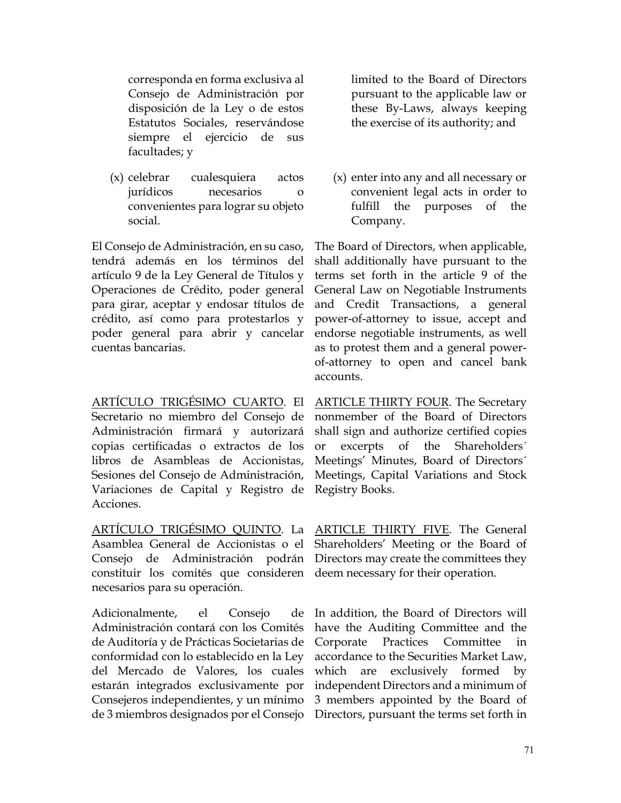corresponda en forma exclusiva al Consejo de Administración por disposición de la Ley o de estos Estatutos Sociales, reservándose siempre el ejercicio de sus facultades; y

(x) celebrar cualesquiera actos jurídicos necesarios o convenientes para lograr su objeto social.

El Consejo de Administración, en su caso, tendrá además en los términos del artículo 9 de la Ley General de Títulos y Operaciones de Crédito, poder general para girar, aceptar y endosar títulos de crédito, así como para protestarlos y poder general para abrir y cancelar cuentas bancarias.

ARTÍCULO TRIGÉSIMO CUARTO. El Secretario no miembro del Consejo de Administración firmará y autorizará copias certificadas o extractos de los libros de Asambleas de Accionistas, Sesiones del Consejo de Administración, Variaciones de Capital y Registro de Acciones.

ARTÍCULO TRIGÉSIMO QUINTO. La ARTICLE THIRTY FIVE. The General Asamblea General de Accionistas o el Shareholders' Meeting or the Board of Consejo de Administración podrán Directors may create the committees they constituir los comités que consideren deem necessary for their operation. necesarios para su operación.

Adicionalmente, el Consejo Administración contará con los Comités de Auditoría y de Prácticas Societarias de conformidad con lo establecido en la Ley del Mercado de Valores, los cuales estarán integrados exclusivamente por Consejeros independientes, y un mínimo de 3 miembros designados por el Consejo Directors, pursuant the terms set forth in

limited to the Board of Directors pursuant to the applicable law or these By-Laws, always keeping the exercise of its authority; and

(x) enter into any and all necessary or convenient legal acts in order to fulfill the purposes of the Company.

The Board of Directors, when applicable, shall additionally have pursuant to the terms set forth in the article 9 of the General Law on Negotiable Instruments and Credit Transactions, a general power-of-attorney to issue, accept and endorse negotiable instruments, as well as to protest them and a general powerof-attorney to open and cancel bank accounts.

ARTICLE THIRTY FOUR. The Secretary nonmember of the Board of Directors shall sign and authorize certified copies or excerpts of the Shareholders´ Meetings' Minutes, Board of Directors´ Meetings, Capital Variations and Stock Registry Books.

de In addition, the Board of Directors will have the Auditing Committee and the Corporate Practices Committee in accordance to the Securities Market Law, which are exclusively formed by independent Directors and a minimum of 3 members appointed by the Board of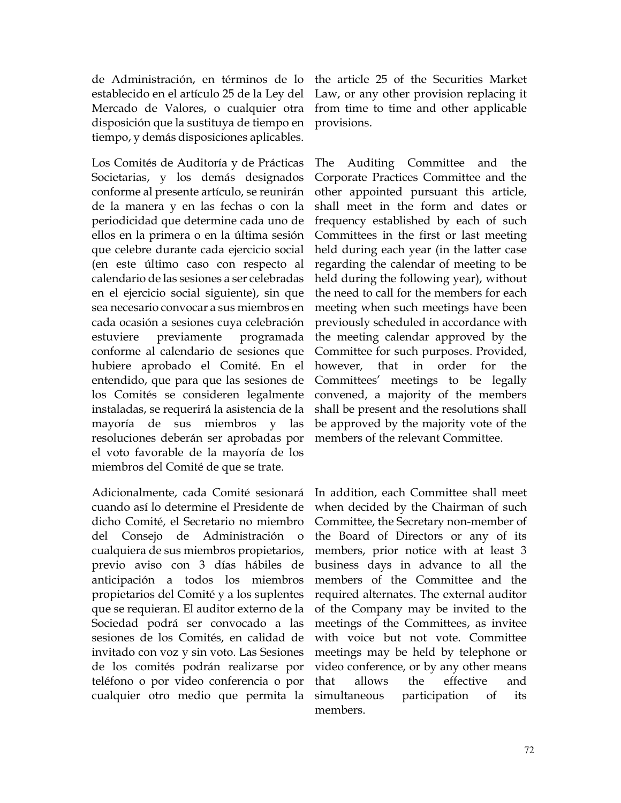de Administración, en términos de lo establecido en el artículo 25 de la Ley del Mercado de Valores, o cualquier otra disposición que la sustituya de tiempo en tiempo, y demás disposiciones aplicables.

Los Comités de Auditoría y de Prácticas Societarias, y los demás designados conforme al presente artículo, se reunirán de la manera y en las fechas o con la periodicidad que determine cada uno de ellos en la primera o en la última sesión que celebre durante cada ejercicio social (en este último caso con respecto al calendario de las sesiones a ser celebradas en el ejercicio social siguiente), sin que sea necesario convocar a sus miembros en cada ocasión a sesiones cuya celebración estuviere previamente programada conforme al calendario de sesiones que hubiere aprobado el Comité. En el entendido, que para que las sesiones de los Comités se consideren legalmente instaladas, se requerirá la asistencia de la mayoría de sus miembros y las resoluciones deberán ser aprobadas por el voto favorable de la mayoría de los miembros del Comité de que se trate.

Adicionalmente, cada Comité sesionará cuando así lo determine el Presidente de dicho Comité, el Secretario no miembro del Consejo de Administración o cualquiera de sus miembros propietarios, previo aviso con 3 días hábiles de anticipación a todos los miembros propietarios del Comité y a los suplentes que se requieran. El auditor externo de la Sociedad podrá ser convocado a las sesiones de los Comités, en calidad de invitado con voz y sin voto. Las Sesiones de los comités podrán realizarse por teléfono o por video conferencia o por cualquier otro medio que permita la

the article 25 of the Securities Market Law, or any other provision replacing it from time to time and other applicable provisions.

The Auditing Committee and the Corporate Practices Committee and the other appointed pursuant this article, shall meet in the form and dates or frequency established by each of such Committees in the first or last meeting held during each year (in the latter case regarding the calendar of meeting to be held during the following year), without the need to call for the members for each meeting when such meetings have been previously scheduled in accordance with the meeting calendar approved by the Committee for such purposes. Provided, however, that in order for the Committees' meetings to be legally convened, a majority of the members shall be present and the resolutions shall be approved by the majority vote of the members of the relevant Committee.

In addition, each Committee shall meet when decided by the Chairman of such Committee, the Secretary non-member of the Board of Directors or any of its members, prior notice with at least 3 business days in advance to all the members of the Committee and the required alternates. The external auditor of the Company may be invited to the meetings of the Committees, as invitee with voice but not vote. Committee meetings may be held by telephone or video conference, or by any other means that allows the effective and simultaneous participation of its members.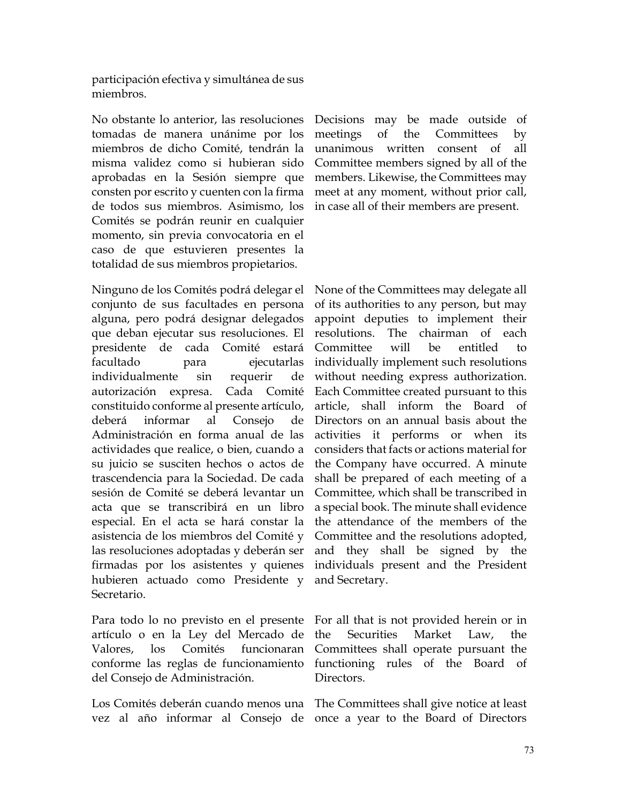participación efectiva y simultánea de sus miembros.

No obstante lo anterior, las resoluciones tomadas de manera unánime por los miembros de dicho Comité, tendrán la misma validez como si hubieran sido aprobadas en la Sesión siempre que consten por escrito y cuenten con la firma de todos sus miembros. Asimismo, los Comités se podrán reunir en cualquier momento, sin previa convocatoria en el caso de que estuvieren presentes la totalidad de sus miembros propietarios.

Ninguno de los Comités podrá delegar el conjunto de sus facultades en persona alguna, pero podrá designar delegados que deban ejecutar sus resoluciones. El presidente de cada Comité estará facultado para ejecutarlas individualmente sin requerir de autorización expresa. Cada Comité constituido conforme al presente artículo, deberá informar al Consejo de Administración en forma anual de las actividades que realice, o bien, cuando a su juicio se susciten hechos o actos de trascendencia para la Sociedad. De cada sesión de Comité se deberá levantar un acta que se transcribirá en un libro especial. En el acta se hará constar la asistencia de los miembros del Comité y las resoluciones adoptadas y deberán ser firmadas por los asistentes y quienes hubieren actuado como Presidente y Secretario.

Para todo lo no previsto en el presente artículo o en la Ley del Mercado de Valores, los Comités funcionaran conforme las reglas de funcionamiento del Consejo de Administración.

Los Comités deberán cuando menos una The Committees shall give notice at least

Decisions may be made outside of meetings of the Committees by unanimous written consent of all Committee members signed by all of the members. Likewise, the Committees may meet at any moment, without prior call, in case all of their members are present.

None of the Committees may delegate all of its authorities to any person, but may appoint deputies to implement their resolutions. The chairman of each Committee will be entitled to individually implement such resolutions without needing express authorization. Each Committee created pursuant to this article, shall inform the Board of Directors on an annual basis about the activities it performs or when its considers that facts or actions material for the Company have occurred. A minute shall be prepared of each meeting of a Committee, which shall be transcribed in a special book. The minute shall evidence the attendance of the members of the Committee and the resolutions adopted, and they shall be signed by the individuals present and the President and Secretary.

For all that is not provided herein or in the Securities Market Law, the Committees shall operate pursuant the functioning rules of the Board of Directors.

vez al año informar al Consejo de once a year to the Board of Directors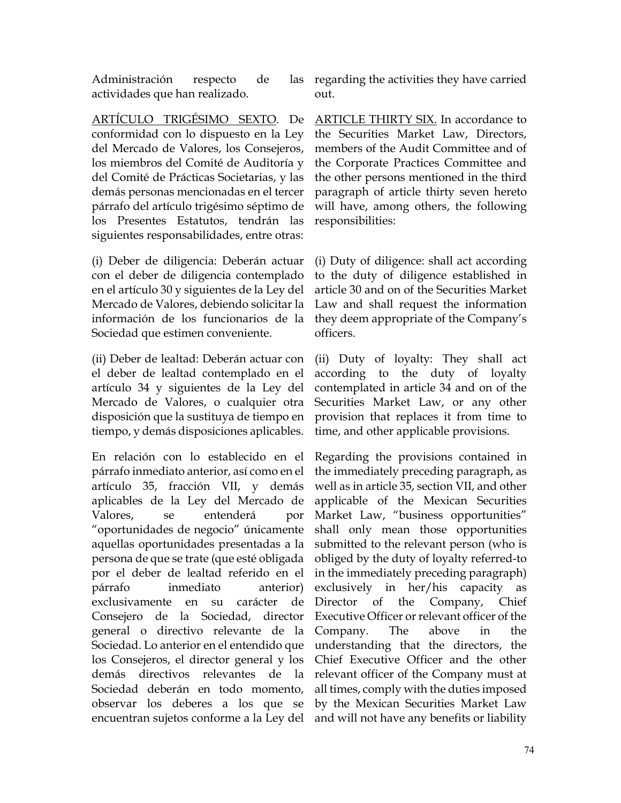Administración respecto de actividades que han realizado.

ARTÍCULO TRIGÉSIMO SEXTO. De conformidad con lo dispuesto en la Ley del Mercado de Valores, los Consejeros, los miembros del Comité de Auditoría y del Comité de Prácticas Societarias, y las demás personas mencionadas en el tercer párrafo del artículo trigésimo séptimo de los Presentes Estatutos, tendrán las siguientes responsabilidades, entre otras:

(i) Deber de diligencia: Deberán actuar con el deber de diligencia contemplado en el artículo 30 y siguientes de la Ley del Mercado de Valores, debiendo solicitar la información de los funcionarios de la Sociedad que estimen conveniente.

(ii) Deber de lealtad: Deberán actuar con el deber de lealtad contemplado en el artículo 34 y siguientes de la Ley del Mercado de Valores, o cualquier otra disposición que la sustituya de tiempo en tiempo, y demás disposiciones aplicables.

En relación con lo establecido en el párrafo inmediato anterior, así como en el artículo 35, fracción VII, y demás aplicables de la Ley del Mercado de Valores, se entenderá por "oportunidades de negocio" únicamente aquellas oportunidades presentadas a la persona de que se trate (que esté obligada por el deber de lealtad referido en el párrafo inmediato anterior) exclusivamente en su carácter de Consejero de la Sociedad, director general o directivo relevante de la Sociedad. Lo anterior en el entendido que los Consejeros, el director general y los demás directivos relevantes de la Sociedad deberán en todo momento, observar los deberes a los que se encuentran sujetos conforme a la Ley del

las regarding the activities they have carried out.

> ARTICLE THIRTY SIX. In accordance to the Securities Market Law, Directors, members of the Audit Committee and of the Corporate Practices Committee and the other persons mentioned in the third paragraph of article thirty seven hereto will have, among others, the following responsibilities:

> (i) Duty of diligence: shall act according to the duty of diligence established in article 30 and on of the Securities Market Law and shall request the information they deem appropriate of the Company's officers.

> (ii) Duty of loyalty: They shall act according to the duty of loyalty contemplated in article 34 and on of the Securities Market Law, or any other provision that replaces it from time to time, and other applicable provisions.

> Regarding the provisions contained in the immediately preceding paragraph, as well as in article 35, section VII, and other applicable of the Mexican Securities Market Law, "business opportunities" shall only mean those opportunities submitted to the relevant person (who is obliged by the duty of loyalty referred-to in the immediately preceding paragraph) exclusively in her/his capacity as Director of the Company, Chief Executive Officer or relevant officer of the Company. The above in the understanding that the directors, the Chief Executive Officer and the other relevant officer of the Company must at all times, comply with the duties imposed by the Mexican Securities Market Law and will not have any benefits or liability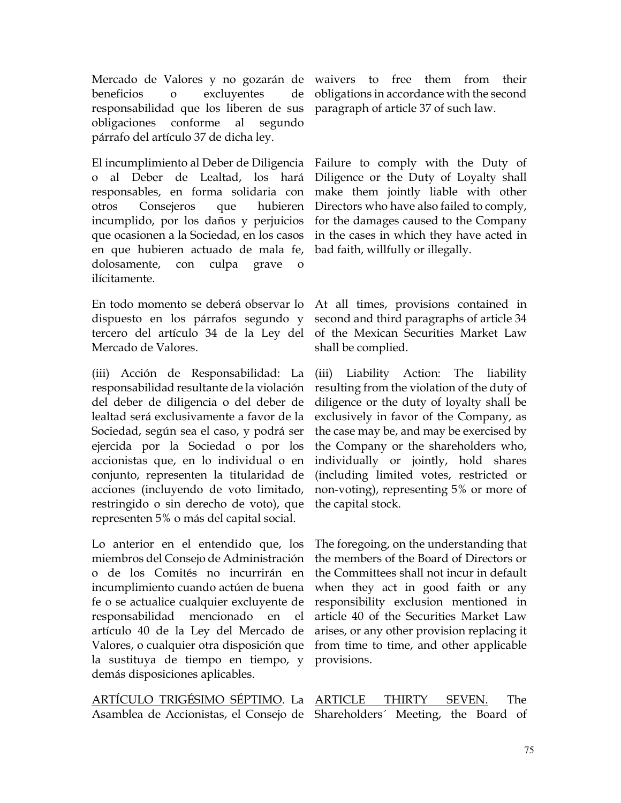Mercado de Valores y no gozarán de waivers to free them from their beneficios o excluyentes de responsabilidad que los liberen de sus paragraph of article 37 of such law. obligaciones conforme al segundo párrafo del artículo 37 de dicha ley.

El incumplimiento al Deber de Diligencia Failure to comply with the Duty of o al Deber de Lealtad, los hará responsables, en forma solidaria con otros Consejeros que hubieren incumplido, por los daños y perjuicios que ocasionen a la Sociedad, en los casos en que hubieren actuado de mala fe, dolosamente, con culpa grave o ilícitamente.

En todo momento se deberá observar lo dispuesto en los párrafos segundo y tercero del artículo 34 de la Ley del Mercado de Valores.

(iii) Acción de Responsabilidad: La responsabilidad resultante de la violación del deber de diligencia o del deber de lealtad será exclusivamente a favor de la Sociedad, según sea el caso, y podrá ser ejercida por la Sociedad o por los accionistas que, en lo individual o en conjunto, representen la titularidad de acciones (incluyendo de voto limitado, restringido o sin derecho de voto), que representen 5% o más del capital social.

Lo anterior en el entendido que, los miembros del Consejo de Administración o de los Comités no incurrirán en incumplimiento cuando actúen de buena fe o se actualice cualquier excluyente de responsabilidad mencionado en el artículo 40 de la Ley del Mercado de Valores, o cualquier otra disposición que la sustituya de tiempo en tiempo, y demás disposiciones aplicables.

<u>ARTÍCULO TRIGÉSIMO SÉPTIMO</u>. La <u>ARTICLE THIRTY SEVEN.</u> The Asamblea de Accionistas, el Consejo de Shareholders´ Meeting, the Board of

obligations in accordance with the second

Diligence or the Duty of Loyalty shall make them jointly liable with other Directors who have also failed to comply, for the damages caused to the Company in the cases in which they have acted in bad faith, willfully or illegally.

At all times, provisions contained in second and third paragraphs of article 34 of the Mexican Securities Market Law shall be complied.

(iii) Liability Action: The liability resulting from the violation of the duty of diligence or the duty of loyalty shall be exclusively in favor of the Company, as the case may be, and may be exercised by the Company or the shareholders who, individually or jointly, hold shares (including limited votes, restricted or non-voting), representing 5% or more of the capital stock.

The foregoing, on the understanding that the members of the Board of Directors or the Committees shall not incur in default when they act in good faith or any responsibility exclusion mentioned in article 40 of the Securities Market Law arises, or any other provision replacing it from time to time, and other applicable provisions.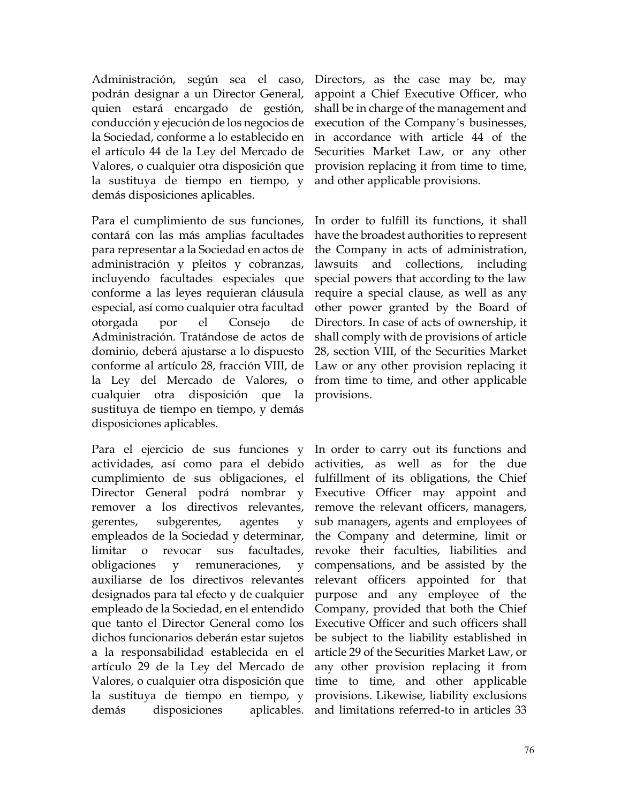Administración, según sea el caso, podrán designar a un Director General, quien estará encargado de gestión, conducción y ejecución de los negocios de la Sociedad, conforme a lo establecido en el artículo 44 de la Ley del Mercado de Valores, o cualquier otra disposición que la sustituya de tiempo en tiempo, y demás disposiciones aplicables.

Para el cumplimiento de sus funciones, contará con las más amplias facultades para representar a la Sociedad en actos de administración y pleitos y cobranzas, incluyendo facultades especiales que conforme a las leyes requieran cláusula especial, así como cualquier otra facultad otorgada por el Consejo de Administración. Tratándose de actos de dominio, deberá ajustarse a lo dispuesto conforme al artículo 28, fracción VIII, de la Ley del Mercado de Valores, o cualquier otra disposición que la sustituya de tiempo en tiempo, y demás disposiciones aplicables.

Para el ejercicio de sus funciones y actividades, así como para el debido cumplimiento de sus obligaciones, el Director General podrá nombrar y remover a los directivos relevantes, gerentes, subgerentes, agentes y empleados de la Sociedad y determinar, limitar o revocar sus facultades, obligaciones y remuneraciones, y auxiliarse de los directivos relevantes designados para tal efecto y de cualquier empleado de la Sociedad, en el entendido que tanto el Director General como los dichos funcionarios deberán estar sujetos a la responsabilidad establecida en el artículo 29 de la Ley del Mercado de Valores, o cualquier otra disposición que la sustituya de tiempo en tiempo, y demás disposiciones aplicables.

Directors, as the case may be, may appoint a Chief Executive Officer, who shall be in charge of the management and execution of the Company´s businesses, in accordance with article 44 of the Securities Market Law, or any other provision replacing it from time to time, and other applicable provisions.

In order to fulfill its functions, it shall have the broadest authorities to represent the Company in acts of administration, lawsuits and collections, including special powers that according to the law require a special clause, as well as any other power granted by the Board of Directors. In case of acts of ownership, it shall comply with de provisions of article 28, section VIII, of the Securities Market Law or any other provision replacing it from time to time, and other applicable provisions.

In order to carry out its functions and activities, as well as for the due fulfillment of its obligations, the Chief Executive Officer may appoint and remove the relevant officers, managers, sub managers, agents and employees of the Company and determine, limit or revoke their faculties, liabilities and compensations, and be assisted by the relevant officers appointed for that purpose and any employee of the Company, provided that both the Chief Executive Officer and such officers shall be subject to the liability established in article 29 of the Securities Market Law, or any other provision replacing it from time to time, and other applicable provisions. Likewise, liability exclusions and limitations referred-to in articles 33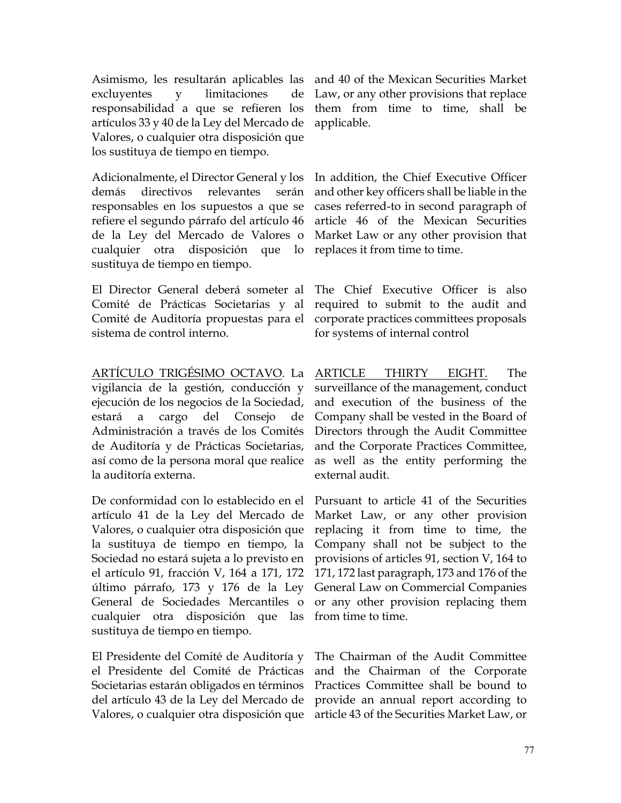Adicionalmente, el Director General y los demás directivos relevantes serán responsables en los supuestos a que se refiere el segundo párrafo del artículo 46 de la Ley del Mercado de Valores o cualquier otra disposición que lo replaces it from time to time. sustituya de tiempo en tiempo.

El Director General deberá someter al Comité de Prácticas Societarias y al Comité de Auditoría propuestas para el sistema de control interno.

<u>ARTÍCULO TRIGÉSIMO OCTAVO</u>. La <u>ARTICLE THIRTY EIGHT.</u> The vigilancia de la gestión, conducción y ejecución de los negocios de la Sociedad, estará a cargo del Consejo de Administración a través de los Comités de Auditoría y de Prácticas Societarias, así como de la persona moral que realice la auditoría externa.

De conformidad con lo establecido en el Pursuant to article 41 of the Securities artículo 41 de la Ley del Mercado de Valores, o cualquier otra disposición que la sustituya de tiempo en tiempo, la Sociedad no estará sujeta a lo previsto en el artículo 91, fracción V, 164 a 171, 172 último párrafo, 173 y 176 de la Ley General Law on Commercial Companies General de Sociedades Mercantiles o or any other provision replacing them cualquier otra disposición que las from time to time. sustituya de tiempo en tiempo.

El Presidente del Comité de Auditoría y el Presidente del Comité de Prácticas Societarias estarán obligados en términos del artículo 43 de la Ley del Mercado de Valores, o cualquier otra disposición que article 43 of the Securities Market Law, or

Law, or any other provisions that replace them from time to time, shall be applicable.

In addition, the Chief Executive Officer and other key officers shall be liable in the cases referred-to in second paragraph of article 46 of the Mexican Securities Market Law or any other provision that

The Chief Executive Officer is also required to submit to the audit and corporate practices committees proposals for systems of internal control

surveillance of the management, conduct and execution of the business of the Company shall be vested in the Board of Directors through the Audit Committee and the Corporate Practices Committee, as well as the entity performing the external audit.

Market Law, or any other provision replacing it from time to time, the Company shall not be subject to the provisions of articles 91, section V, 164 to 171, 172 last paragraph, 173 and 176 of the

The Chairman of the Audit Committee and the Chairman of the Corporate Practices Committee shall be bound to provide an annual report according to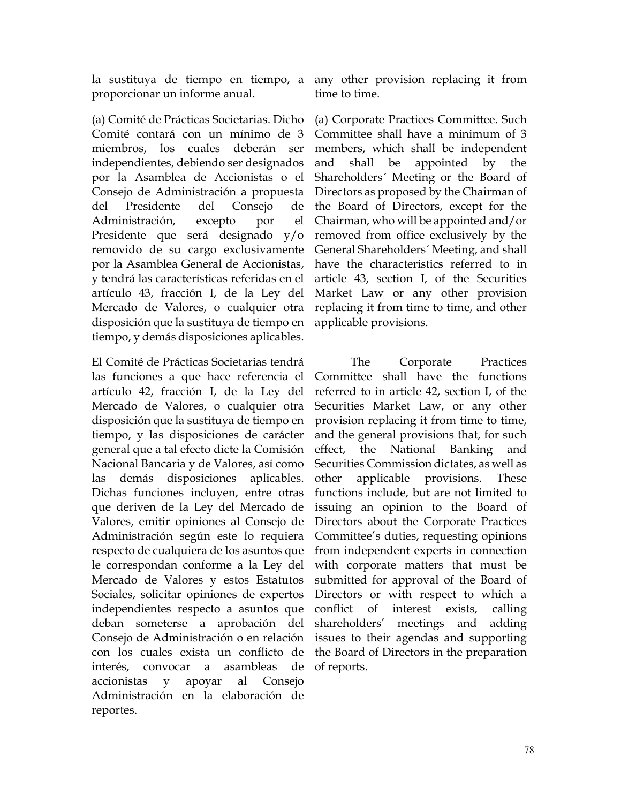proporcionar un informe anual.

(a) Comité de Prácticas Societarias. Dicho Comité contará con un mínimo de 3 miembros, los cuales deberán ser independientes, debiendo ser designados por la Asamblea de Accionistas o el Consejo de Administración a propuesta del Presidente del Consejo de Administración, excepto por el Presidente que será designado y/o removido de su cargo exclusivamente por la Asamblea General de Accionistas, y tendrá las características referidas en el artículo 43, fracción I, de la Ley del Mercado de Valores, o cualquier otra disposición que la sustituya de tiempo en tiempo, y demás disposiciones aplicables.

El Comité de Prácticas Societarias tendrá las funciones a que hace referencia el artículo 42, fracción I, de la Ley del Mercado de Valores, o cualquier otra disposición que la sustituya de tiempo en tiempo, y las disposiciones de carácter general que a tal efecto dicte la Comisión Nacional Bancaria y de Valores, así como las demás disposiciones aplicables. Dichas funciones incluyen, entre otras que deriven de la Ley del Mercado de Valores, emitir opiniones al Consejo de Administración según este lo requiera respecto de cualquiera de los asuntos que le correspondan conforme a la Ley del Mercado de Valores y estos Estatutos Sociales, solicitar opiniones de expertos independientes respecto a asuntos que deban someterse a aprobación del Consejo de Administración o en relación con los cuales exista un conflicto de interés, convocar a asambleas de accionistas y apoyar al Consejo Administración en la elaboración de reportes.

la sustituya de tiempo en tiempo, a any other provision replacing it from time to time.

> (a) Corporate Practices Committee. Such Committee shall have a minimum of 3 members, which shall be independent and shall be appointed by the Shareholders´ Meeting or the Board of Directors as proposed by the Chairman of the Board of Directors, except for the Chairman, who will be appointed and/or removed from office exclusively by the General Shareholders´ Meeting, and shall have the characteristics referred to in article 43, section I, of the Securities Market Law or any other provision replacing it from time to time, and other applicable provisions.

> The Corporate Practices Committee shall have the functions referred to in article 42, section I, of the Securities Market Law, or any other provision replacing it from time to time, and the general provisions that, for such effect, the National Banking and Securities Commission dictates, as well as other applicable provisions. These functions include, but are not limited to issuing an opinion to the Board of Directors about the Corporate Practices Committee's duties, requesting opinions from independent experts in connection with corporate matters that must be submitted for approval of the Board of Directors or with respect to which a conflict of interest exists, calling shareholders' meetings and adding issues to their agendas and supporting the Board of Directors in the preparation of reports.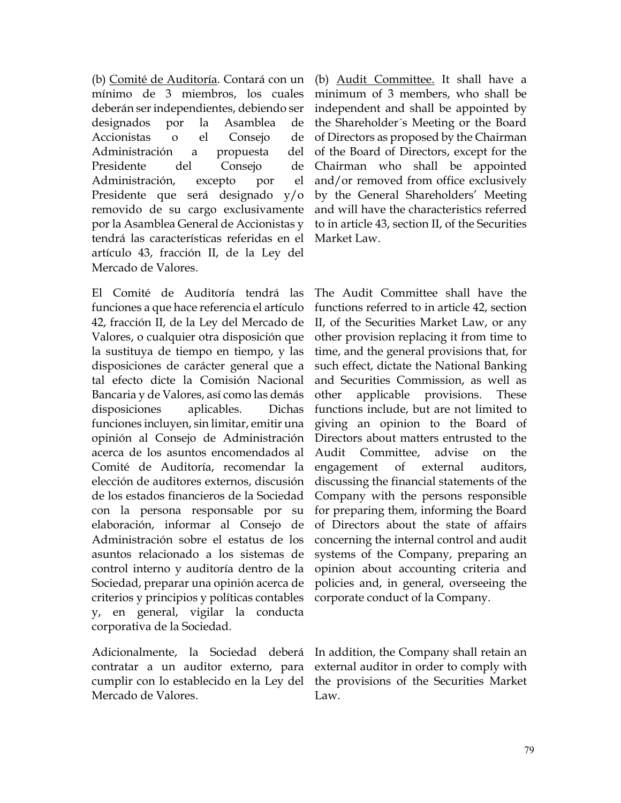(b) Comité de Auditoría. Contará con un mínimo de 3 miembros, los cuales deberán ser independientes, debiendo ser designados por la Asamblea de Accionistas o el Consejo de Administración a propuesta del Presidente del Consejo de Administración, excepto por el Presidente que será designado y/o removido de su cargo exclusivamente por la Asamblea General de Accionistas y tendrá las características referidas en el artículo 43, fracción II, de la Ley del Mercado de Valores.

El Comité de Auditoría tendrá las funciones a que hace referencia el artículo 42, fracción II, de la Ley del Mercado de Valores, o cualquier otra disposición que la sustituya de tiempo en tiempo, y las disposiciones de carácter general que a tal efecto dicte la Comisión Nacional Bancaria y de Valores, así como las demás disposiciones aplicables. Dichas funciones incluyen, sin limitar, emitir una opinión al Consejo de Administración acerca de los asuntos encomendados al Comité de Auditoría, recomendar la elección de auditores externos, discusión de los estados financieros de la Sociedad con la persona responsable por su elaboración, informar al Consejo de Administración sobre el estatus de los asuntos relacionado a los sistemas de control interno y auditoría dentro de la Sociedad, preparar una opinión acerca de criterios y principios y políticas contables y, en general, vigilar la conducta corporativa de la Sociedad.

Adicionalmente, la Sociedad deberá contratar a un auditor externo, para cumplir con lo establecido en la Ley del Mercado de Valores.

(b) Audit Committee. It shall have a minimum of 3 members, who shall be independent and shall be appointed by the Shareholder´s Meeting or the Board of Directors as proposed by the Chairman of the Board of Directors, except for the Chairman who shall be appointed and/or removed from office exclusively by the General Shareholders' Meeting and will have the characteristics referred to in article 43, section II, of the Securities Market Law.

The Audit Committee shall have the functions referred to in article 42, section II, of the Securities Market Law, or any other provision replacing it from time to time, and the general provisions that, for such effect, dictate the National Banking and Securities Commission, as well as other applicable provisions. These functions include, but are not limited to giving an opinion to the Board of Directors about matters entrusted to the Audit Committee, advise on the engagement of external auditors, discussing the financial statements of the Company with the persons responsible for preparing them, informing the Board of Directors about the state of affairs concerning the internal control and audit systems of the Company, preparing an opinion about accounting criteria and policies and, in general, overseeing the corporate conduct of la Company.

In addition, the Company shall retain an external auditor in order to comply with the provisions of the Securities Market Law.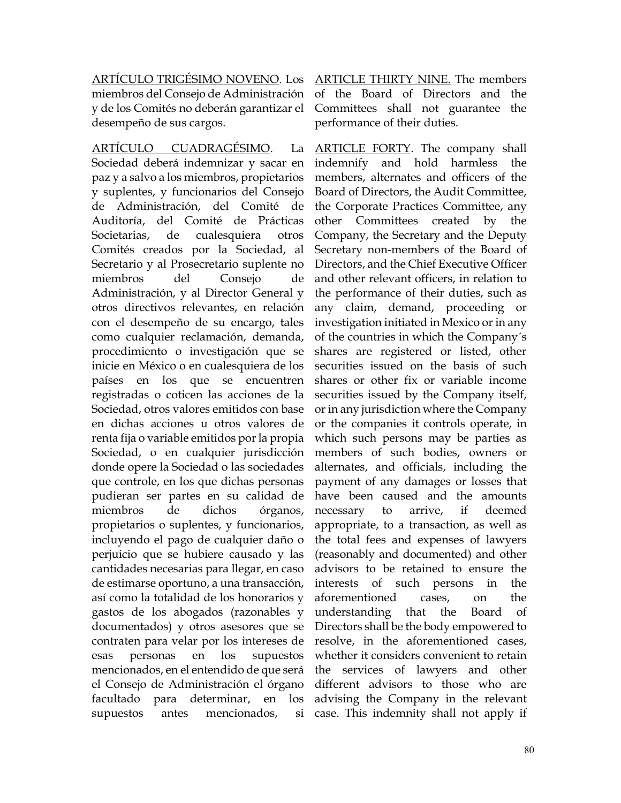ARTÍCULO TRIGÉSIMO NOVENO. Los ARTICLE THIRTY NINE. The members miembros del Consejo de Administración y de los Comités no deberán garantizar el desempeño de sus cargos.

ARTÍCULO CUADRAGÉSIMO. La Sociedad deberá indemnizar y sacar en paz y a salvo a los miembros, propietarios y suplentes, y funcionarios del Consejo de Administración, del Comité de Auditoría, del Comité de Prácticas Societarias, de cualesquiera otros Comités creados por la Sociedad, al Secretario y al Prosecretario suplente no miembros del Consejo de Administración, y al Director General y otros directivos relevantes, en relación con el desempeño de su encargo, tales como cualquier reclamación, demanda, procedimiento o investigación que se inicie en México o en cualesquiera de los países en los que se encuentren registradas o coticen las acciones de la Sociedad, otros valores emitidos con base en dichas acciones u otros valores de renta fija o variable emitidos por la propia Sociedad, o en cualquier jurisdicción donde opere la Sociedad o las sociedades que controle, en los que dichas personas pudieran ser partes en su calidad de miembros de dichos órganos, propietarios o suplentes, y funcionarios, incluyendo el pago de cualquier daño o perjuicio que se hubiere causado y las cantidades necesarias para llegar, en caso de estimarse oportuno, a una transacción, así como la totalidad de los honorarios y gastos de los abogados (razonables y documentados) y otros asesores que se contraten para velar por los intereses de esas personas en los supuestos mencionados, en el entendido de que será el Consejo de Administración el órgano facultado para determinar, en los supuestos antes mencionados, si

of the Board of Directors and the Committees shall not guarantee the performance of their duties.

ARTICLE FORTY. The company shall indemnify and hold harmless the members, alternates and officers of the Board of Directors, the Audit Committee, the Corporate Practices Committee, any other Committees created by the Company, the Secretary and the Deputy Secretary non-members of the Board of Directors, and the Chief Executive Officer and other relevant officers, in relation to the performance of their duties, such as any claim, demand, proceeding or investigation initiated in Mexico or in any of the countries in which the Company´s shares are registered or listed, other securities issued on the basis of such shares or other fix or variable income securities issued by the Company itself, or in any jurisdiction where the Company or the companies it controls operate, in which such persons may be parties as members of such bodies, owners or alternates, and officials, including the payment of any damages or losses that have been caused and the amounts necessary to arrive, if deemed appropriate, to a transaction, as well as the total fees and expenses of lawyers (reasonably and documented) and other advisors to be retained to ensure the interests of such persons in the aforementioned cases, on the understanding that the Board of Directors shall be the body empowered to resolve, in the aforementioned cases, whether it considers convenient to retain the services of lawyers and other different advisors to those who are advising the Company in the relevant case. This indemnity shall not apply if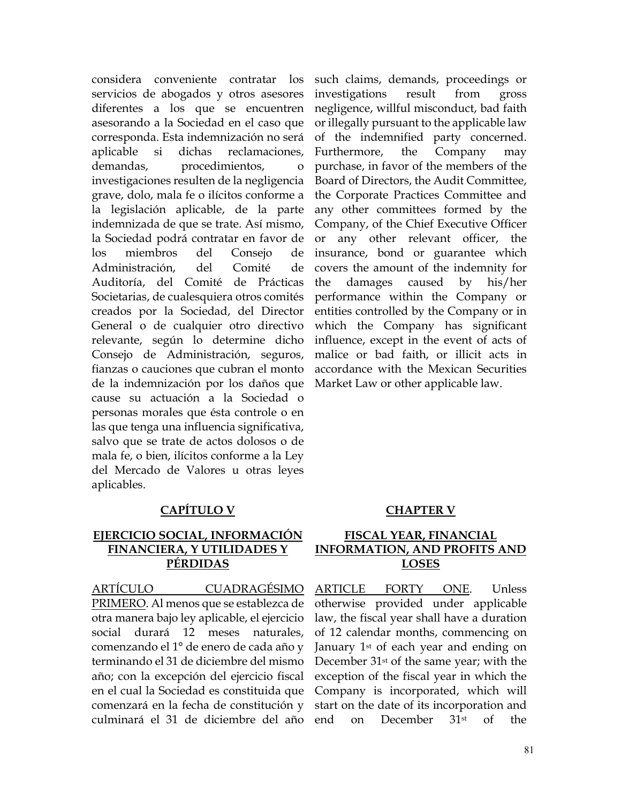considera conveniente contratar los servicios de abogados y otros asesores diferentes a los que se encuentren asesorando a la Sociedad en el caso que corresponda. Esta indemnización no será aplicable si dichas reclamaciones, demandas, procedimientos, o investigaciones resulten de la negligencia grave, dolo, mala fe o ilícitos conforme a la legislación aplicable, de la parte indemnizada de que se trate. Así mismo, la Sociedad podrá contratar en favor de los miembros del Consejo de Administración, del Comité de Auditoría, del Comité de Prácticas Societarias, de cualesquiera otros comités creados por la Sociedad, del Director General o de cualquier otro directivo relevante, según lo determine dicho Consejo de Administración, seguros, fianzas o cauciones que cubran el monto de la indemnización por los daños que cause su actuación a la Sociedad o personas morales que ésta controle o en las que tenga una influencia significativa, salvo que se trate de actos dolosos o de mala fe, o bien, ilícitos conforme a la Ley del Mercado de Valores u otras leyes aplicables.

# **CAPÍTULO V CHAPTER V**

## **EJERCICIO SOCIAL, INFORMACIÓN FINANCIERA, Y UTILIDADES Y PÉRDIDAS**

ARTÍCULO CUADRAGÉSIMO PRIMERO. Al menos que se establezca de otra manera bajo ley aplicable, el ejercicio social durará 12 meses naturales, comenzando el 1° de enero de cada año y terminando el 31 de diciembre del mismo año; con la excepción del ejercicio fiscal en el cual la Sociedad es constituida que comenzará en la fecha de constitución y culminará el 31 de diciembre del año

such claims, demands, proceedings or investigations result from gross negligence, willful misconduct, bad faith or illegally pursuant to the applicable law of the indemnified party concerned. Furthermore, the Company may purchase, in favor of the members of the Board of Directors, the Audit Committee, the Corporate Practices Committee and any other committees formed by the Company, of the Chief Executive Officer or any other relevant officer, the insurance, bond or guarantee which covers the amount of the indemnity for the damages caused by his/her performance within the Company or entities controlled by the Company or in which the Company has significant influence, except in the event of acts of malice or bad faith, or illicit acts in accordance with the Mexican Securities Market Law or other applicable law.

## **FISCAL YEAR, FINANCIAL INFORMATION, AND PROFITS AND LOSES**

ARTICLE FORTY ONE. Unless otherwise provided under applicable law, the fiscal year shall have a duration of 12 calendar months, commencing on January 1<sup>st</sup> of each year and ending on December 31st of the same year; with the exception of the fiscal year in which the Company is incorporated, which will start on the date of its incorporation and end on December 31st of the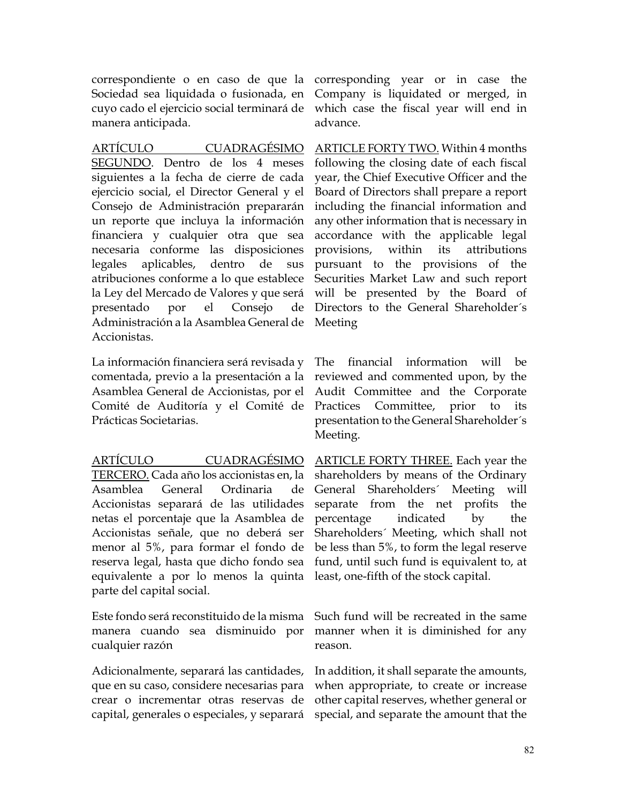correspondiente o en caso de que la corresponding year or in case the Sociedad sea liquidada o fusionada, en Company is liquidated or merged, in cuyo cado el ejercicio social terminará de which case the fiscal year will end in manera anticipada.

ARTÍCULO CUADRAGÉSIMO SEGUNDO. Dentro de los 4 meses siguientes a la fecha de cierre de cada ejercicio social, el Director General y el Consejo de Administración prepararán un reporte que incluya la información financiera y cualquier otra que sea necesaria conforme las disposiciones legales aplicables, dentro de sus atribuciones conforme a lo que establece la Ley del Mercado de Valores y que será will be presented by the Board of presentado por el Consejo Administración a la Asamblea General de Meeting Accionistas.

La información financiera será revisada y comentada, previo a la presentación a la Asamblea General de Accionistas, por el Comité de Auditoría y el Comité de Prácticas Societarias.

ARTÍCULO CUADRAGÉSIMO TERCERO. Cada año los accionistas en, la Asamblea General Ordinaria de Accionistas separará de las utilidades netas el porcentaje que la Asamblea de Accionistas señale, que no deberá ser menor al 5%, para formar el fondo de reserva legal, hasta que dicho fondo sea equivalente a por lo menos la quinta parte del capital social.

Este fondo será reconstituido de la misma manera cuando sea disminuido por cualquier razón

Adicionalmente, separará las cantidades, que en su caso, considere necesarias para crear o incrementar otras reservas de capital, generales o especiales, y separará special, and separate the amount that the

advance.

ARTICLE FORTY TWO. Within 4 months following the closing date of each fiscal year, the Chief Executive Officer and the Board of Directors shall prepare a report including the financial information and any other information that is necessary in accordance with the applicable legal provisions, within its attributions pursuant to the provisions of the Securities Market Law and such report Directors to the General Shareholder´s

The financial information will be reviewed and commented upon, by the Audit Committee and the Corporate Practices Committee, prior to its presentation to the General Shareholder´s Meeting.

ARTICLE FORTY THREE. Each year the shareholders by means of the Ordinary General Shareholders´ Meeting will separate from the net profits the percentage indicated by the Shareholders´ Meeting, which shall not be less than 5%, to form the legal reserve fund, until such fund is equivalent to, at least, one-fifth of the stock capital.

Such fund will be recreated in the same manner when it is diminished for any reason.

In addition, it shall separate the amounts, when appropriate, to create or increase other capital reserves, whether general or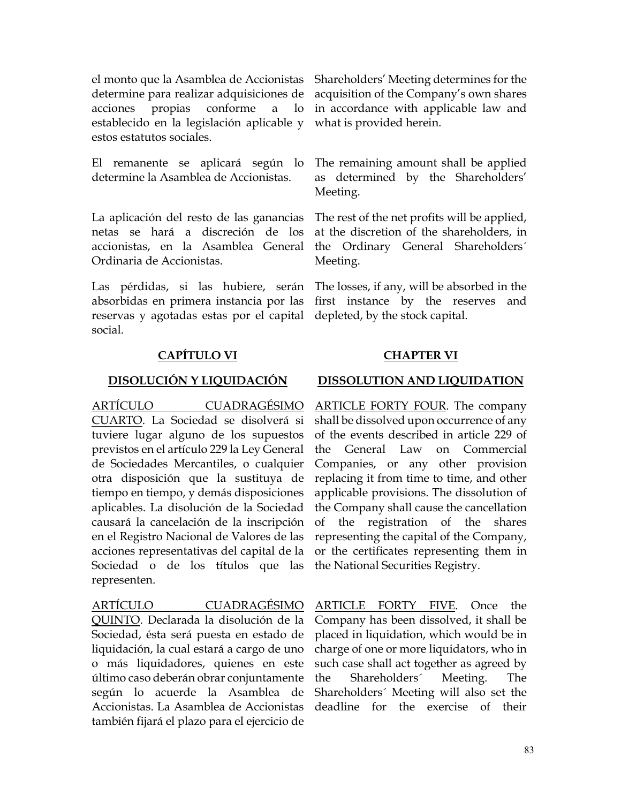el monto que la Asamblea de Accionistas determine para realizar adquisiciones de acquisition of the Company's own shares acciones propias conforme a lo establecido en la legislación aplicable y what is provided herein. estos estatutos sociales.

El remanente se aplicará según lo determine la Asamblea de Accionistas.

La aplicación del resto de las ganancias netas se hará a discreción de los accionistas, en la Asamblea General Ordinaria de Accionistas.

Las pérdidas, si las hubiere, serán absorbidas en primera instancia por las reservas y agotadas estas por el capital social.

# **CAPÍTULO VI CHAPTER VI**

ARTÍCULO CUADRAGÉSIMO CUARTO. La Sociedad se disolverá si tuviere lugar alguno de los supuestos previstos en el artículo 229 la Ley General de Sociedades Mercantiles, o cualquier otra disposición que la sustituya de tiempo en tiempo, y demás disposiciones aplicables. La disolución de la Sociedad causará la cancelación de la inscripción en el Registro Nacional de Valores de las acciones representativas del capital de la Sociedad o de los títulos que las representen.

ARTÍCULO CUADRAGÉSIMO QUINTO. Declarada la disolución de la Sociedad, ésta será puesta en estado de liquidación, la cual estará a cargo de uno o más liquidadores, quienes en este último caso deberán obrar conjuntamente según lo acuerde la Asamblea de Accionistas. La Asamblea de Accionistas también fijará el plazo para el ejercicio de

Shareholders' Meeting determines for the in accordance with applicable law and

The remaining amount shall be applied as determined by the Shareholders' Meeting.

The rest of the net profits will be applied, at the discretion of the shareholders, in the Ordinary General Shareholders´ Meeting.

The losses, if any, will be absorbed in the first instance by the reserves and depleted, by the stock capital.

### **DISOLUCIÓN Y LIQUIDACIÓN DISSOLUTION AND LIQUIDATION**

ARTICLE FORTY FOUR. The company shall be dissolved upon occurrence of any of the events described in article 229 of the General Law on Commercial Companies, or any other provision replacing it from time to time, and other applicable provisions. The dissolution of the Company shall cause the cancellation of the registration of the shares representing the capital of the Company, or the certificates representing them in the National Securities Registry.

ARTICLE FORTY FIVE. Once the Company has been dissolved, it shall be placed in liquidation, which would be in charge of one or more liquidators, who in such case shall act together as agreed by the Shareholders´ Meeting. The Shareholders´ Meeting will also set the deadline for the exercise of their